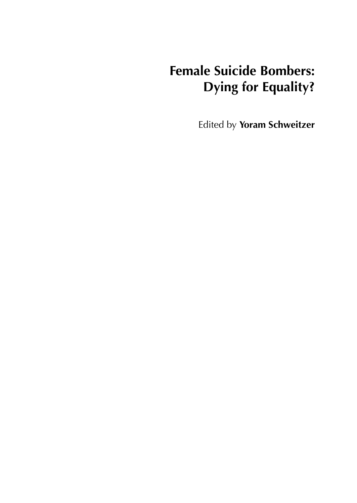# **Female Suicide Bombers: Dying for Equality?**

Edited by **Yoram Schweitzer**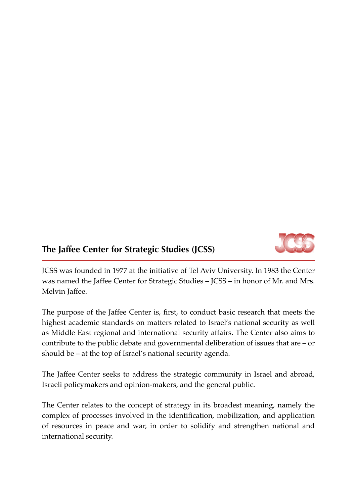

### **The Jaffee Center for Strategic Studies (JCSS)**

JCSS was founded in 1977 at the initiative of Tel Aviv University. In 1983 the Center was named the Jaffee Center for Strategic Studies – JCSS – in honor of Mr. and Mrs. Melvin Jaffee.

The purpose of the Jaffee Center is, first, to conduct basic research that meets the highest academic standards on matters related to Israel's national security as well as Middle East regional and international security affairs. The Center also aims to contribute to the public debate and governmental deliberation of issues that are – or should be – at the top of Israel's national security agenda.

The Jaffee Center seeks to address the strategic community in Israel and abroad, Israeli policymakers and opinion-makers, and the general public.

The Center relates to the concept of strategy in its broadest meaning, namely the complex of processes involved in the identification, mobilization, and application of resources in peace and war, in order to solidify and strengthen national and international security.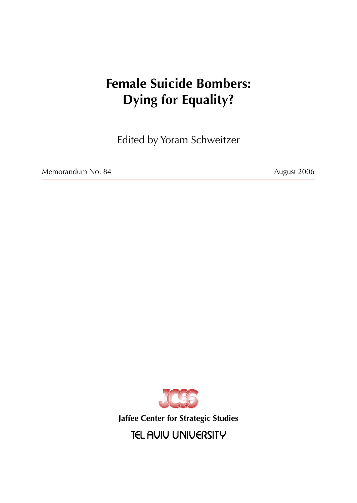# **Female Suicide Bombers: Dying for Equality?**

Edited by Yoram Schweitzer

Memorandum No. 84 August 2006



**Jaffee Center for Strategic Studies**

**TEL AUIU UNIUERSITY**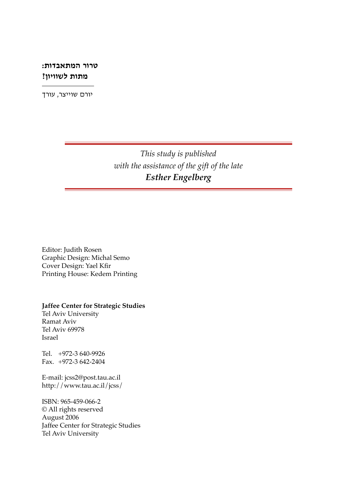#### **טרור המתאבדות: מתות לשוויון?**

יורם שוייצר, עורך

*This study is published with the assistance of the gift of the late Esther Engelberg*

Editor: Judith Rosen Graphic Design: Michal Semo Cover Design: Yael Kfir Printing House: Kedem Printing

**Jaffee Center for Strategic Studies**

Tel Aviv University Ramat Aviv Tel Aviv 69978 Israel

Tel. +972-3 640-9926 Fax. +972-3 642-2404

E-mail: jcss2@post.tau.ac.il http://www.tau.ac.il/jcss/

ISBN: 965-459-066-2 © All rights reserved August 2006 Jaffee Center for Strategic Studies Tel Aviv University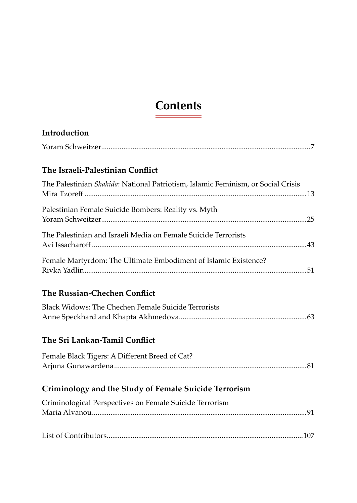# **Contents**

| Introduction                                                                     |  |
|----------------------------------------------------------------------------------|--|
|                                                                                  |  |
| The Israeli-Palestinian Conflict                                                 |  |
| The Palestinian Shahida: National Patriotism, Islamic Feminism, or Social Crisis |  |
| Palestinian Female Suicide Bombers: Reality vs. Myth                             |  |
| The Palestinian and Israeli Media on Female Suicide Terrorists                   |  |
| Female Martyrdom: The Ultimate Embodiment of Islamic Existence?                  |  |
| The Russian-Chechen Conflict                                                     |  |
| Black Widows: The Chechen Female Suicide Terrorists                              |  |
| The Sri Lankan-Tamil Conflict                                                    |  |
| Female Black Tigers: A Different Breed of Cat?                                   |  |
| Criminology and the Study of Female Suicide Terrorism                            |  |
| Criminological Perspectives on Female Suicide Terrorism                          |  |
|                                                                                  |  |
|                                                                                  |  |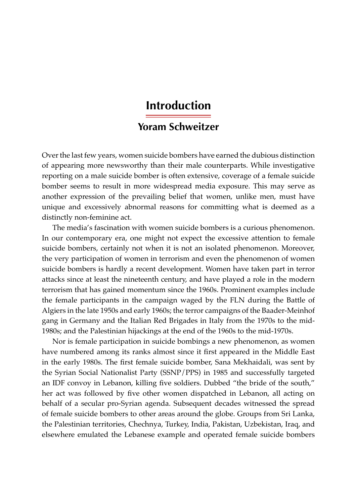### **Introduction**

### **Yoram Schweitzer**

Over the last few years, women suicide bombers have earned the dubious distinction of appearing more newsworthy than their male counterparts. While investigative reporting on a male suicide bomber is often extensive, coverage of a female suicide bomber seems to result in more widespread media exposure. This may serve as another expression of the prevailing belief that women, unlike men, must have unique and excessively abnormal reasons for committing what is deemed as a distinctly non-feminine act.

The media's fascination with women suicide bombers is a curious phenomenon. In our contemporary era, one might not expect the excessive attention to female suicide bombers, certainly not when it is not an isolated phenomenon. Moreover, the very participation of women in terrorism and even the phenomenon of women suicide bombers is hardly a recent development. Women have taken part in terror attacks since at least the nineteenth century, and have played a role in the modern terrorism that has gained momentum since the 1960s. Prominent examples include the female participants in the campaign waged by the FLN during the Battle of Algiers in the late 1950s and early 1960s; the terror campaigns of the Baader-Meinhof gang in Germany and the Italian Red Brigades in Italy from the 1970s to the mid-1980s; and the Palestinian hijackings at the end of the 1960s to the mid-1970s.

Nor is female participation in suicide bombings a new phenomenon, as women have numbered among its ranks almost since it first appeared in the Middle East in the early 1980s. The first female suicide bomber, Sana Mekhaidali, was sent by the Syrian Social Nationalist Party (SSNP/PPS) in 1985 and successfully targeted an IDF convoy in Lebanon, killing five soldiers. Dubbed "the bride of the south," her act was followed by five other women dispatched in Lebanon, all acting on behalf of a secular pro-Syrian agenda. Subsequent decades witnessed the spread of female suicide bombers to other areas around the globe. Groups from Sri Lanka, the Palestinian territories, Chechnya, Turkey, India, Pakistan, Uzbekistan, Iraq, and elsewhere emulated the Lebanese example and operated female suicide bombers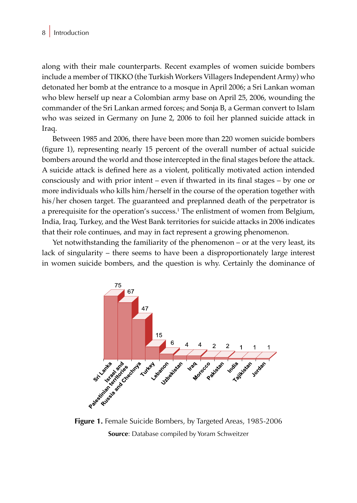along with their male counterparts. Recent examples of women suicide bombers include a member of TIKKO (the Turkish Workers Villagers Independent Army) who detonated her bomb at the entrance to a mosque in April 2006; a Sri Lankan woman who blew herself up near a Colombian army base on April 25, 2006, wounding the commander of the Sri Lankan armed forces; and Sonja B, a German convert to Islam who was seized in Germany on June 2, 2006 to foil her planned suicide attack in Iraq.

Between 1985 and 2006, there have been more than 220 women suicide bombers (figure 1), representing nearly 15 percent of the overall number of actual suicide bombers around the world and those intercepted in the final stages before the attack. A suicide attack is defined here as a violent, politically motivated action intended consciously and with prior intent – even if thwarted in its final stages – by one or more individuals who kills him/herself in the course of the operation together with his/her chosen target. The guaranteed and preplanned death of the perpetrator is a prerequisite for the operation's success.1 The enlistment of women from Belgium, India, Iraq, Turkey, and the West Bank territories for suicide attacks in 2006 indicates that their role continues, and may in fact represent a growing phenomenon.

Yet notwithstanding the familiarity of the phenomenon – or at the very least, its lack of singularity – there seems to have been a disproportionately large interest in women suicide bombers, and the question is why. Certainly the dominance of



**Source**: Database compiled by Yoram Schweitzer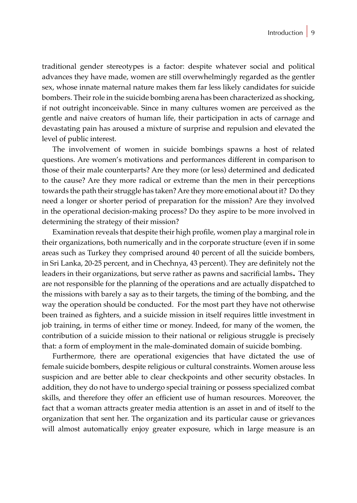traditional gender stereotypes is a factor: despite whatever social and political advances they have made, women are still overwhelmingly regarded as the gentler sex, whose innate maternal nature makes them far less likely candidates for suicide bombers. Their role in the suicide bombing arena has been characterized as shocking, if not outright inconceivable. Since in many cultures women are perceived as the gentle and naive creators of human life, their participation in acts of carnage and devastating pain has aroused a mixture of surprise and repulsion and elevated the level of public interest.

The involvement of women in suicide bombings spawns a host of related questions. Are women's motivations and performances different in comparison to those of their male counterparts? Are they more (or less) determined and dedicated to the cause? Are they more radical or extreme than the men in their perceptions towards the path their struggle has taken? Are they more emotional about it? Do they need a longer or shorter period of preparation for the mission? Are they involved in the operational decision-making process? Do they aspire to be more involved in determining the strategy of their mission?

Examination reveals that despite their high profile, women play a marginal role in their organizations, both numerically and in the corporate structure (even if in some areas such as Turkey they comprised around 40 percent of all the suicide bombers, in Sri Lanka, 20-25 percent, and in Chechnya, 43 percent). They are definitely not the leaders in their organizations, but serve rather as pawns and sacrificial lambs. They are not responsible for the planning of the operations and are actually dispatched to the missions with barely a say as to their targets, the timing of the bombing, and the way the operation should be conducted. For the most part they have not otherwise been trained as fighters, and a suicide mission in itself requires little investment in job training, in terms of either time or money. Indeed, for many of the women, the contribution of a suicide mission to their national or religious struggle is precisely that: a form of employment in the male-dominated domain of suicide bombing.

Furthermore, there are operational exigencies that have dictated the use of female suicide bombers, despite religious or cultural constraints. Women arouse less suspicion and are better able to clear checkpoints and other security obstacles. In addition, they do not have to undergo special training or possess specialized combat skills, and therefore they offer an efficient use of human resources. Moreover, the fact that a woman attracts greater media attention is an asset in and of itself to the organization that sent her. The organization and its particular cause or grievances will almost automatically enjoy greater exposure, which in large measure is an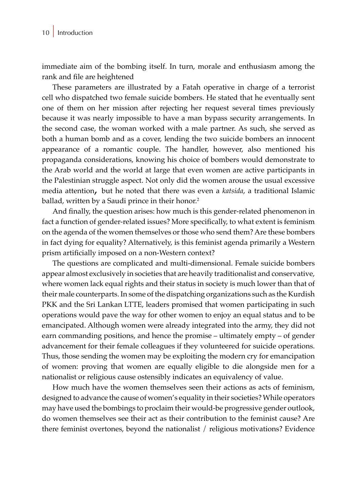immediate aim of the bombing itself. In turn, morale and enthusiasm among the rank and file are heightened

These parameters are illustrated by a Fatah operative in charge of a terrorist cell who dispatched two female suicide bombers. He stated that he eventually sent one of them on her mission after rejecting her request several times previously because it was nearly impossible to have a man bypass security arrangements. In the second case, the woman worked with a male partner. As such, she served as both a human bomb and as a cover, lending the two suicide bombers an innocent appearance of a romantic couple. The handler, however, also mentioned his propaganda considerations, knowing his choice of bombers would demonstrate to the Arab world and the world at large that even women are active participants in the Palestinian struggle aspect. Not only did the women arouse the usual excessive media attention, but he noted that there was even a *katsida*, a traditional Islamic ballad, written by a Saudi prince in their honor.<sup>2</sup>

And finally, the question arises: how much is this gender-related phenomenon in fact a function of gender-related issues? More specifically, to what extent is feminism on the agenda of the women themselves or those who send them? Are these bombers in fact dying for equality? Alternatively, is this feminist agenda primarily a Western prism artificially imposed on a non-Western context?

The questions are complicated and multi-dimensional. Female suicide bombers appear almost exclusively in societies that are heavily traditionalist and conservative, where women lack equal rights and their status in society is much lower than that of their male counterparts. In some of the dispatching organizations such as the Kurdish PKK and the Sri Lankan LTTE, leaders promised that women participating in such operations would pave the way for other women to enjoy an equal status and to be emancipated. Although women were already integrated into the army, they did not earn commanding positions, and hence the promise – ultimately empty – of gender advancement for their female colleagues if they volunteered for suicide operations. Thus, those sending the women may be exploiting the modern cry for emancipation of women: proving that women are equally eligible to die alongside men for a nationalist or religious cause ostensibly indicates an equivalency of value.

How much have the women themselves seen their actions as acts of feminism, designed to advance the cause of women's equality in their societies? While operators may have used the bombings to proclaim their would-be progressive gender outlook, do women themselves see their act as their contribution to the feminist cause? Are there feminist overtones, beyond the nationalist / religious motivations? Evidence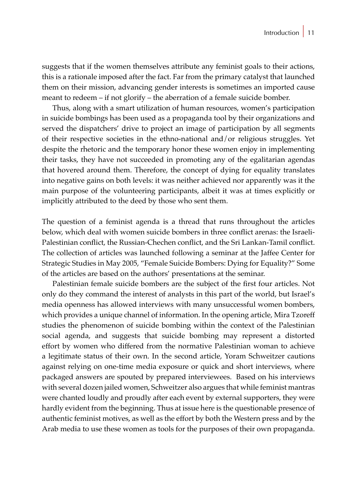suggests that if the women themselves attribute any feminist goals to their actions, this is a rationale imposed after the fact. Far from the primary catalyst that launched them on their mission, advancing gender interests is sometimes an imported cause meant to redeem – if not glorify – the aberration of a female suicide bomber.

Thus, along with a smart utilization of human resources, women's participation in suicide bombings has been used as a propaganda tool by their organizations and served the dispatchers' drive to project an image of participation by all segments of their respective societies in the ethno-national and/or religious struggles. Yet despite the rhetoric and the temporary honor these women enjoy in implementing their tasks, they have not succeeded in promoting any of the egalitarian agendas that hovered around them. Therefore, the concept of dying for equality translates into negative gains on both levels: it was neither achieved nor apparently was it the main purpose of the volunteering participants, albeit it was at times explicitly or implicitly attributed to the deed by those who sent them.

The question of a feminist agenda is a thread that runs throughout the articles below, which deal with women suicide bombers in three conflict arenas: the Israeli-Palestinian conflict, the Russian-Chechen conflict, and the Sri Lankan-Tamil conflict. The collection of articles was launched following a seminar at the Jaffee Center for Strategic Studies in May 2005, "Female Suicide Bombers: Dying for Equality?" Some of the articles are based on the authors' presentations at the seminar.

Palestinian female suicide bombers are the subject of the first four articles. Not only do they command the interest of analysts in this part of the world, but Israel's media openness has allowed interviews with many unsuccessful women bombers, which provides a unique channel of information. In the opening article, Mira Tzoreff studies the phenomenon of suicide bombing within the context of the Palestinian social agenda, and suggests that suicide bombing may represent a distorted effort by women who differed from the normative Palestinian woman to achieve a legitimate status of their own. In the second article, Yoram Schweitzer cautions against relying on one-time media exposure or quick and short interviews, where packaged answers are spouted by prepared interviewees. Based on his interviews with several dozen jailed women, Schweitzer also argues that while feminist mantras were chanted loudly and proudly after each event by external supporters, they were hardly evident from the beginning. Thus at issue here is the questionable presence of authentic feminist motives, as well as the effort by both the Western press and by the Arab media to use these women as tools for the purposes of their own propaganda.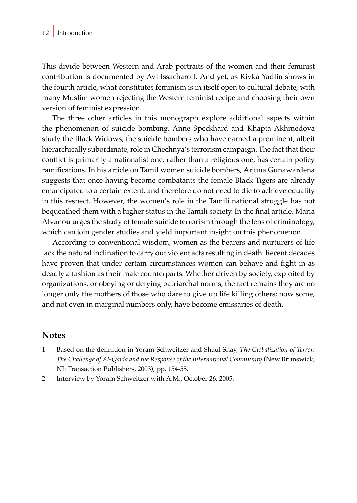This divide between Western and Arab portraits of the women and their feminist contribution is documented by Avi Issacharoff. And yet, as Rivka Yadlin shows in the fourth article, what constitutes feminism is in itself open to cultural debate, with many Muslim women rejecting the Western feminist recipe and choosing their own version of feminist expression.

The three other articles in this monograph explore additional aspects within the phenomenon of suicide bombing. Anne Speckhard and Khapta Akhmedova study the Black Widows, the suicide bombers who have earned a prominent, albeit hierarchically subordinate, role in Chechnya's terrorism campaign. The fact that their conflict is primarily a nationalist one, rather than a religious one, has certain policy ramifications. In his article on Tamil women suicide bombers, Arjuna Gunawardena suggests that once having become combatants the female Black Tigers are already emancipated to a certain extent, and therefore do not need to die to achieve equality in this respect. However, the women's role in the Tamili national struggle has not bequeathed them with a higher status in the Tamili society. In the final article, Maria Alvanou urges the study of female suicide terrorism through the lens of criminology, which can join gender studies and yield important insight on this phenomenon.

According to conventional wisdom, women as the bearers and nurturers of life lack the natural inclination to carry out violent acts resulting in death. Recent decades have proven that under certain circumstances women can behave and fight in as deadly a fashion as their male counterparts. Whether driven by society, exploited by organizations, or obeying or defying patriarchal norms, the fact remains they are no longer only the mothers of those who dare to give up life killing others; now some, and not even in marginal numbers only, have become emissaries of death.

#### **Notes**

- 1 Based on the definition in Yoram Schweitzer and Shaul Shay, *The Globalization of Terror: The Challenge of Al-Qaida and the Response of the International Community* (New Brunswick, NJ: Transaction Publishers, 2003), pp. 154-55.
- 2 Interview by Yoram Schweitzer with A.M., October 26, 2005.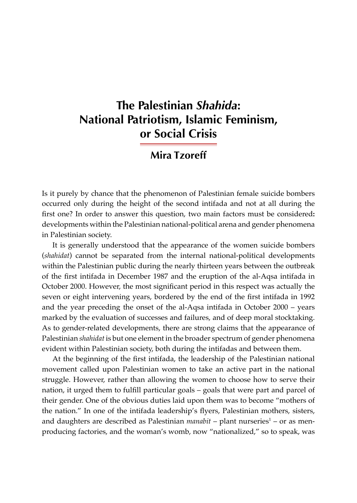## **The Palestinian** *Shahida***: National Patriotism, Islamic Feminism, or Social Crisis**

### **Mira Tzoreff**

Is it purely by chance that the phenomenon of Palestinian female suicide bombers occurred only during the height of the second intifada and not at all during the first one? In order to answer this question, two main factors must be considered**:**  developments within the Palestinian national-political arena and gender phenomena in Palestinian society.

It is generally understood that the appearance of the women suicide bombers (*shahidat*) cannot be separated from the internal national-political developments within the Palestinian public during the nearly thirteen years between the outbreak of the first intifada in December 1987 and the eruption of the al-Aqsa intifada in October 2000. However, the most significant period in this respect was actually the seven or eight intervening years, bordered by the end of the first intifada in 1992 and the year preceding the onset of the al-Aqsa intifada in October 2000 – years marked by the evaluation of successes and failures, and of deep moral stocktaking. As to gender-related developments, there are strong claims that the appearance of Palestinian *shahidat* is but one element in the broader spectrum of gender phenomena evident within Palestinian society, both during the intifadas and between them.

At the beginning of the first intifada, the leadership of the Palestinian national movement called upon Palestinian women to take an active part in the national struggle. However, rather than allowing the women to choose how to serve their nation, it urged them to fulfill particular goals – goals that were part and parcel of their gender. One of the obvious duties laid upon them was to become "mothers of the nation." In one of the intifada leadership's flyers, Palestinian mothers, sisters, and daughters are described as Palestinian *manabit* – plant nurseries<sup>1</sup> – or as menproducing factories, and the woman's womb, now "nationalized," so to speak, was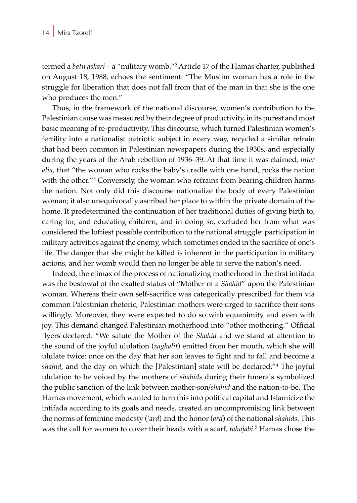termed a *batn askari* – a "military womb."<sup>2</sup> Article 17 of the Hamas charter, published on August 18, 1988, echoes the sentiment: "The Muslim woman has a role in the struggle for liberation that does not fall from that of the man in that she is the one who produces the men."

Thus, in the framework of the national discourse, women's contribution to the Palestinian cause was measured by their degree of productivity, in its purest and most basic meaning of re-productivity. This discourse, which turned Palestinian women's fertility into a nationalist patriotic subject in every way, recycled a similar refrain that had been common in Palestinian newspapers during the 1930s, and especially during the years of the Arab rebellion of 1936–39. At that time it was claimed, *inter alia*, that "the woman who rocks the baby's cradle with one hand, rocks the nation with the other."<sup>3</sup> Conversely, the woman who refrains from bearing children harms the nation. Not only did this discourse nationalize the body of every Palestinian woman; it also unequivocally ascribed her place to within the private domain of the home. It predetermined the continuation of her traditional duties of giving birth to, caring for, and educating children, and in doing so, excluded her from what was considered the loftiest possible contribution to the national struggle: participation in military activities against the enemy, which sometimes ended in the sacrifice of one's life. The danger that she might be killed is inherent in the participation in military actions, and her womb would then no longer be able to serve the nation's need.

Indeed, the climax of the process of nationalizing motherhood in the first intifada was the bestowal of the exalted status of "Mother of a *Shahid*" upon the Palestinian woman. Whereas their own self-sacrifice was categorically prescribed for them via common Palestinian rhetoric, Palestinian mothers were urged to sacrifice their sons willingly. Moreover, they were expected to do so with equanimity and even with joy. This demand changed Palestinian motherhood into "other mothering." Official flyers declared: "We salute the Mother of the *Shahid* and we stand at attention to the sound of the joyful ululation (*zaghalit*) emitted from her mouth, which she will ululate twice: once on the day that her son leaves to fight and to fall and become a *shahid*, and the day on which the [Palestinian] state will be declared."<sup>4</sup> The joyful ululation to be voiced by the mothers of *shahids* during their funerals symbolized the public sanction of the link between mother-son*/shahid* and the nation-to-be. The Hamas movement, which wanted to turn this into political capital and Islamicize the intifada according to its goals and needs, created an uncompromising link between the norms of feminine modesty (*'ard*) and the honor (*ard*) of the national *shahids*. This was the call for women to cover their heads with a scarf, *tahajabi*. 5 Hamas chose the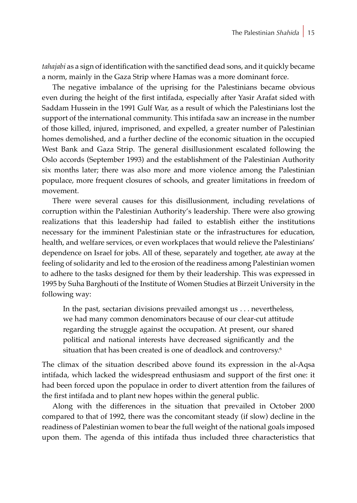*tahajabi* as a sign of identification with the sanctified dead sons, and it quickly became a norm, mainly in the Gaza Strip where Hamas was a more dominant force.

The negative imbalance of the uprising for the Palestinians became obvious even during the height of the first intifada, especially after Yasir Arafat sided with Saddam Hussein in the 1991 Gulf War, as a result of which the Palestinians lost the support of the international community. This intifada saw an increase in the number of those killed, injured, imprisoned, and expelled, a greater number of Palestinian homes demolished, and a further decline of the economic situation in the occupied West Bank and Gaza Strip. The general disillusionment escalated following the Oslo accords (September 1993) and the establishment of the Palestinian Authority six months later; there was also more and more violence among the Palestinian populace, more frequent closures of schools, and greater limitations in freedom of movement.

There were several causes for this disillusionment, including revelations of corruption within the Palestinian Authority's leadership. There were also growing realizations that this leadership had failed to establish either the institutions necessary for the imminent Palestinian state or the infrastructures for education, health, and welfare services, or even workplaces that would relieve the Palestinians' dependence on Israel for jobs. All of these, separately and together, ate away at the feeling of solidarity and led to the erosion of the readiness among Palestinian women to adhere to the tasks designed for them by their leadership. This was expressed in 1995 by Suha Barghouti of the Institute of Women Studies at Birzeit University in the following way:

In the past, sectarian divisions prevailed amongst us . . . nevertheless, we had many common denominators because of our clear-cut attitude regarding the struggle against the occupation. At present, our shared political and national interests have decreased significantly and the situation that has been created is one of deadlock and controversy.<sup>6</sup>

The climax of the situation described above found its expression in the al-Aqsa intifada, which lacked the widespread enthusiasm and support of the first one: it had been forced upon the populace in order to divert attention from the failures of the first intifada and to plant new hopes within the general public.

Along with the differences in the situation that prevailed in October 2000 compared to that of 1992, there was the concomitant steady (if slow) decline in the readiness of Palestinian women to bear the full weight of the national goals imposed upon them. The agenda of this intifada thus included three characteristics that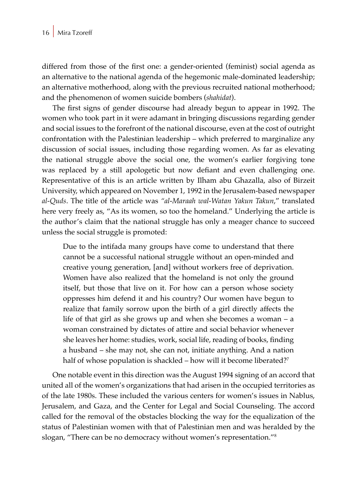differed from those of the first one: a gender-oriented (feminist) social agenda as an alternative to the national agenda of the hegemonic male-dominated leadership; an alternative motherhood, along with the previous recruited national motherhood; and the phenomenon of women suicide bombers (*shahidat*).

The first signs of gender discourse had already begun to appear in 1992. The women who took part in it were adamant in bringing discussions regarding gender and social issues to the forefront of the national discourse, even at the cost of outright confrontation with the Palestinian leadership – which preferred to marginalize any discussion of social issues, including those regarding women. As far as elevating the national struggle above the social one, the women's earlier forgiving tone was replaced by a still apologetic but now defiant and even challenging one. Representative of this is an article written by Ilham abu Ghazalla, also of Birzeit University, which appeared on November 1, 1992 in the Jerusalem-based newspaper *al-Quds*. The title of the article was *"al-Maraah wal-Watan Yakun Takun*," translated here very freely as, "As its women, so too the homeland." Underlying the article is the author's claim that the national struggle has only a meager chance to succeed unless the social struggle is promoted:

Due to the intifada many groups have come to understand that there cannot be a successful national struggle without an open-minded and creative young generation, [and] without workers free of deprivation. Women have also realized that the homeland is not only the ground itself, but those that live on it. For how can a person whose society oppresses him defend it and his country? Our women have begun to realize that family sorrow upon the birth of a girl directly affects the life of that girl as she grows up and when she becomes a woman – a woman constrained by dictates of attire and social behavior whenever she leaves her home: studies, work, social life, reading of books, finding a husband – she may not, she can not, initiate anything. And a nation half of whose population is shackled – how will it become liberated?<sup>7</sup>

One notable event in this direction was the August 1994 signing of an accord that united all of the women's organizations that had arisen in the occupied territories as of the late 1980s. These included the various centers for women's issues in Nablus, Jerusalem, and Gaza, and the Center for Legal and Social Counseling. The accord called for the removal of the obstacles blocking the way for the equalization of the status of Palestinian women with that of Palestinian men and was heralded by the slogan, "There can be no democracy without women's representation."<sup>8</sup>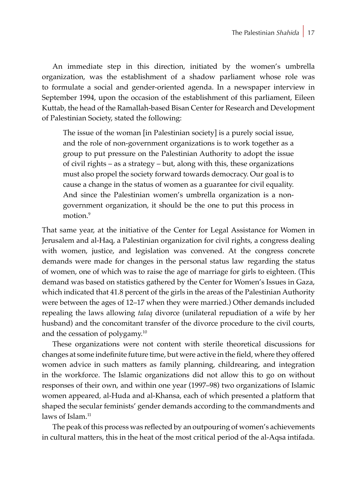An immediate step in this direction, initiated by the women's umbrella organization, was the establishment of a shadow parliament whose role was to formulate a social and gender-oriented agenda. In a newspaper interview in September 1994, upon the occasion of the establishment of this parliament, Eileen Kuttab, the head of the Ramallah-based Bisan Center for Research and Development of Palestinian Society, stated the following:

The issue of the woman [in Palestinian society] is a purely social issue, and the role of non-government organizations is to work together as a group to put pressure on the Palestinian Authority to adopt the issue of civil rights – as a strategy – but, along with this, these organizations must also propel the society forward towards democracy. Our goal is to cause a change in the status of women as a guarantee for civil equality. And since the Palestinian women's umbrella organization is a nongovernment organization, it should be the one to put this process in motion.<sup>9</sup>

That same year, at the initiative of the Center for Legal Assistance for Women in Jerusalem and al-Haq, a Palestinian organization for civil rights, a congress dealing with women, justice, and legislation was convened. At the congress concrete demands were made for changes in the personal status law regarding the status of women, one of which was to raise the age of marriage for girls to eighteen. (This demand was based on statistics gathered by the Center for Women's Issues in Gaza, which indicated that 41.8 percent of the girls in the areas of the Palestinian Authority were between the ages of 12–17 when they were married.) Other demands included repealing the laws allowing *talaq* divorce (unilateral repudiation of a wife by her husband) and the concomitant transfer of the divorce procedure to the civil courts, and the cessation of polygamy.10

These organizations were not content with sterile theoretical discussions for changes at some indefinite future time, but were active in the field, where they offered women advice in such matters as family planning, childrearing, and integration in the workforce. The Islamic organizations did not allow this to go on without responses of their own, and within one year (1997–98) two organizations of Islamic women appeared*,* al-Huda and al-Khansa, each of which presented a platform that shaped the secular feminists' gender demands according to the commandments and laws of Islam  $11$ 

The peak of this process was reflected by an outpouring of women's achievements in cultural matters, this in the heat of the most critical period of the al-Aqsa intifada.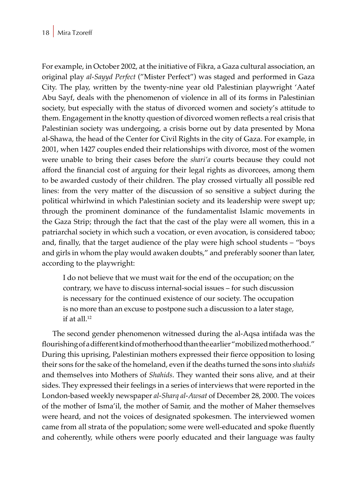For example, in October 2002, at the initiative of Fikra, a Gaza cultural association, an original play *al-Sayyd Perfect* ("Mister Perfect") was staged and performed in Gaza City. The play, written by the twenty-nine year old Palestinian playwright 'Aatef Abu Sayf, deals with the phenomenon of violence in all of its forms in Palestinian society, but especially with the status of divorced women and society's attitude to them. Engagement in the knotty question of divorced women reflects a real crisis that Palestinian society was undergoing, a crisis borne out by data presented by Mona al-Shawa, the head of the Center for Civil Rights in the city of Gaza. For example, in 2001, when 1427 couples ended their relationships with divorce, most of the women were unable to bring their cases before the *shari'a* courts because they could not afford the financial cost of arguing for their legal rights as divorcees, among them to be awarded custody of their children. The play crossed virtually all possible red lines: from the very matter of the discussion of so sensitive a subject during the political whirlwind in which Palestinian society and its leadership were swept up; through the prominent dominance of the fundamentalist Islamic movements in the Gaza Strip; through the fact that the cast of the play were all women, this in a patriarchal society in which such a vocation, or even avocation, is considered taboo; and, finally, that the target audience of the play were high school students – "boys and girls in whom the play would awaken doubts," and preferably sooner than later, according to the playwright:

I do not believe that we must wait for the end of the occupation; on the contrary, we have to discuss internal-social issues – for such discussion is necessary for the continued existence of our society. The occupation is no more than an excuse to postpone such a discussion to a later stage, if at all  $12$ 

The second gender phenomenon witnessed during the al-Aqsa intifada was the flourishing of a different kind of motherhood than the earlier "mobilized motherhood." During this uprising, Palestinian mothers expressed their fierce opposition to losing their sons for the sake of the homeland, even if the deaths turned the sons into *shahids* and themselves into Mothers of *Shahids*. They wanted their sons alive, and at their sides. They expressed their feelings in a series of interviews that were reported in the London-based weekly newspaper *al-Sharq al-Awsat* of December 28, 2000. The voices of the mother of Isma'il, the mother of Samir, and the mother of Maher themselves were heard, and not the voices of designated spokesmen. The interviewed women came from all strata of the population; some were well-educated and spoke fluently and coherently, while others were poorly educated and their language was faulty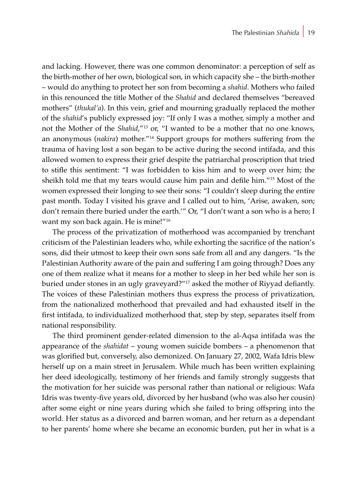and lacking. However, there was one common denominator: a perception of self as the birth-mother of her own, biological son, in which capacity she – the birth-mother – would do anything to protect her son from becoming a *shahid*. Mothers who failed in this renounced the title Mother of the *Shahid* and declared themselves "bereaved mothers" (*thukal'a*). In this vein, grief and mourning gradually replaced the mother of the *shahid*'s publicly expressed joy: "If only I was a mother, simply a mother and not the Mother of the *Shahid*,"<sup>13</sup> or, "I wanted to be a mother that no one knows, an anonymous (*nakira*) mother."14 Support groups for mothers suffering from the trauma of having lost a son began to be active during the second intifada, and this allowed women to express their grief despite the patriarchal proscription that tried to stifle this sentiment: "I was forbidden to kiss him and to weep over him; the sheikh told me that my tears would cause him pain and defile him."15 Most of the women expressed their longing to see their sons: "I couldn't sleep during the entire past month. Today I visited his grave and I called out to him, 'Arise, awaken, son; don't remain there buried under the earth.'" Or, "I don't want a son who is a hero; I want my son back again. He is mine!"<sup>16</sup>

The process of the privatization of motherhood was accompanied by trenchant criticism of the Palestinian leaders who, while exhorting the sacrifice of the nation's sons, did their utmost to keep their own sons safe from all and any dangers. "Is the Palestinian Authority aware of the pain and suffering I am going through? Does any one of them realize what it means for a mother to sleep in her bed while her son is buried under stones in an ugly graveyard?"<sup>17</sup> asked the mother of Riyyad defiantly. The voices of these Palestinian mothers thus express the process of privatization, from the nationalized motherhood that prevailed and had exhausted itself in the first intifada, to individualized motherhood that, step by step, separates itself from national responsibility.

The third prominent gender-related dimension to the al-Aqsa intifada was the appearance of the *shahidat* – young women suicide bombers – a phenomenon that was glorified but, conversely, also demonized. On January 27, 2002, Wafa Idris blew herself up on a main street in Jerusalem. While much has been written explaining her deed ideologically, testimony of her friends and family strongly suggests that the motivation for her suicide was personal rather than national or religious: Wafa Idris was twenty-five years old, divorced by her husband (who was also her cousin) after some eight or nine years during which she failed to bring offspring into the world. Her status as a divorced and barren woman, and her return as a dependant to her parents' home where she became an economic burden, put her in what is a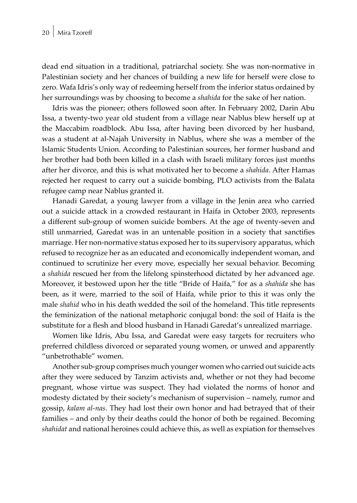dead end situation in a traditional, patriarchal society. She was non-normative in Palestinian society and her chances of building a new life for herself were close to zero. Wafa Idris's only way of redeeming herself from the inferior status ordained by her surroundings was by choosing to become a *shahida* for the sake of her nation.

Idris was the pioneer; others followed soon after. In February 2002, Darin Abu Issa, a twenty-two year old student from a village near Nablus blew herself up at the Maccabim roadblock. Abu Issa, after having been divorced by her husband, was a student at al-Najah University in Nablus, where she was a member of the Islamic Students Union. According to Palestinian sources, her former husband and her brother had both been killed in a clash with Israeli military forces just months after her divorce, and this is what motivated her to become a *shahida*. After Hamas rejected her request to carry out a suicide bombing, PLO activists from the Balata refugee camp near Nablus granted it.

Hanadi Garedat, a young lawyer from a village in the Jenin area who carried out a suicide attack in a crowded restaurant in Haifa in October 2003, represents a different sub-group of women suicide bombers. At the age of twenty-seven and still unmarried, Garedat was in an untenable position in a society that sanctifies marriage. Her non-normative status exposed her to its supervisory apparatus, which refused to recognize her as an educated and economically independent woman, and continued to scrutinize her every move, especially her sexual behavior. Becoming a *shahida* rescued her from the lifelong spinsterhood dictated by her advanced age. Moreover, it bestowed upon her the title "Bride of Haifa," for as a *shahida* she has been, as it were, married to the soil of Haifa, while prior to this it was only the male *shahid* who in his death wedded the soil of the homeland. This title represents the feminization of the national metaphoric conjugal bond: the soil of Haifa is the substitute for a flesh and blood husband in Hanadi Garedat's unrealized marriage.

Women like Idris, Abu Issa, and Garedat were easy targets for recruiters who preferred childless divorced or separated young women, or unwed and apparently "unbetrothable" women.

Another sub-group comprises much younger women who carried out suicide acts after they were seduced by Tanzim activists and, whether or not they had become pregnant, whose virtue was suspect. They had violated the norms of honor and modesty dictated by their society's mechanism of supervision – namely, rumor and gossip, *kalam al-nas*. They had lost their own honor and had betrayed that of their families – and only by their deaths could the honor of both be regained. Becoming *shahidat* and national heroines could achieve this, as well as expiation for themselves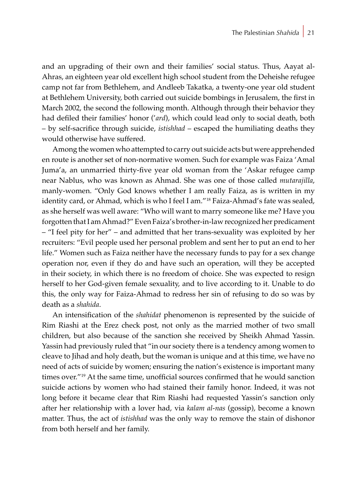and an upgrading of their own and their families' social status. Thus, Aayat al-Ahras, an eighteen year old excellent high school student from the Deheishe refugee camp not far from Bethlehem, and Andleeb Takatka, a twenty-one year old student at Bethlehem University, both carried out suicide bombings in Jerusalem, the first in March 2002, the second the following month. Although through their behavior they had defiled their families' honor ('*ard*), which could lead only to social death, both – by self-sacrifice through suicide, *istishhad* – escaped the humiliating deaths they would otherwise have suffered.

Among the women who attempted to carry out suicide acts but were apprehended en route is another set of non-normative women. Such for example was Faiza 'Amal Juma'a, an unmarried thirty-five year old woman from the 'Askar refugee camp near Nablus, who was known as Ahmad. She was one of those called *mutarajilla*, manly-women. "Only God knows whether I am really Faiza, as is written in my identity card, or Ahmad, which is who I feel I am."<sup>18</sup> Faiza-Ahmad's fate was sealed, as she herself was well aware: "Who will want to marry someone like me? Have you forgotten that I am Ahmad?" Even Faiza's brother-in-law recognized her predicament – "I feel pity for her" – and admitted that her trans-sexuality was exploited by her recruiters: "Evil people used her personal problem and sent her to put an end to her life." Women such as Faiza neither have the necessary funds to pay for a sex change operation nor, even if they do and have such an operation, will they be accepted in their society, in which there is no freedom of choice. She was expected to resign herself to her God-given female sexuality, and to live according to it. Unable to do this, the only way for Faiza-Ahmad to redress her sin of refusing to do so was by death as a *shahida*.

An intensification of the *shahidat* phenomenon is represented by the suicide of Rim Riashi at the Erez check post, not only as the married mother of two small children, but also because of the sanction she received by Sheikh Ahmad Yassin. Yassin had previously ruled that "in our society there is a tendency among women to cleave to Jihad and holy death, but the woman is unique and at this time, we have no need of acts of suicide by women; ensuring the nation's existence is important many times over."<sup>19</sup> At the same time, unofficial sources confirmed that he would sanction suicide actions by women who had stained their family honor. Indeed, it was not long before it became clear that Rim Riashi had requested Yassin's sanction only after her relationship with a lover had, via *kalam al-nas* (gossip), become a known matter. Thus, the act of *istishhad* was the only way to remove the stain of dishonor from both herself and her family.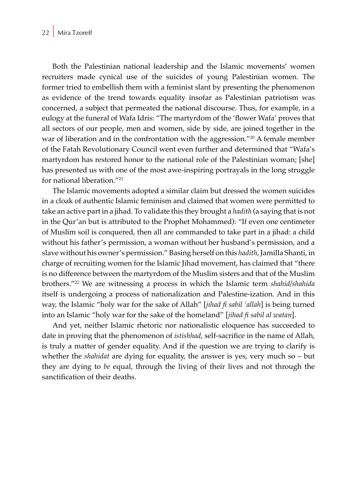Both the Palestinian national leadership and the Islamic movements' women recruiters made cynical use of the suicides of young Palestinian women. The former tried to embellish them with a feminist slant by presenting the phenomenon as evidence of the trend towards equality insofar as Palestinian patriotism was concerned, a subject that permeated the national discourse. Thus, for example, in a eulogy at the funeral of Wafa Idris: "The martyrdom of the 'flower Wafa' proves that all sectors of our people, men and women, side by side, are joined together in the war of liberation and in the confrontation with the aggression."<sup>20</sup> A female member of the Fatah Revolutionary Council went even further and determined that "Wafa's martyrdom has restored honor to the national role of the Palestinian woman; [she] has presented us with one of the most awe-inspiring portrayals in the long struggle for national liberation."<sup>21</sup>

The Islamic movements adopted a similar claim but dressed the women suicides in a cloak of authentic Islamic feminism and claimed that women were permitted to take an active part in a jihad. To validate this they brought a *hadith* (a saying that is not in the Qur'an but is attributed to the Prophet Mohammed): "If even one centimeter of Muslim soil is conquered, then all are commanded to take part in a jihad: a child without his father's permission, a woman without her husband's permission, and a slave without his owner's permission." Basing herself on this *hadith*, Jamilla Shanti, in charge of recruiting women for the Islamic Jihad movement, has claimed that "there is no difference between the martyrdom of the Muslim sisters and that of the Muslim brothers."22 We are witnessing a process in which the Islamic term *shahid/shahida* itself is undergoing a process of nationalization and Palestine-ization. And in this way, the Islamic "holy war for the sake of Allah" [*jihad fi sabil 'allah*] is being turned into an Islamic "holy war for the sake of the homeland" [*jihad fi sabil al watan*].

And yet, neither Islamic rhetoric nor nationalistic eloquence has succeeded to date in proving that the phenomenon of *istishhad*, self-sacrifice in the name of Allah, is truly a matter of gender equality. And if the question we are trying to clarify is whether the *shahidat* are dying for equality, the answer is yes, very much so – but they are dying to *be* equal, through the living of their lives and not through the sanctification of their deaths.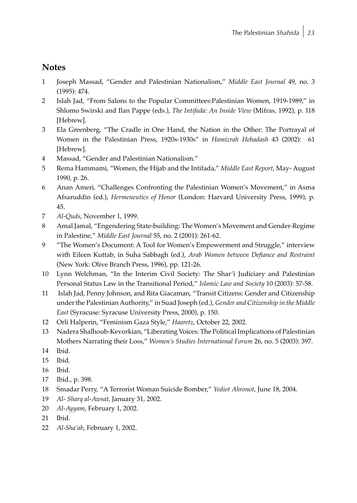### **Notes**

- 1 Joseph Massad, "Gender and Palestinian Nationalism," *Middle East Journal* 49, no. 3 (1995): 474.
- 2 Islah Jad, "From Salons to the Popular Committees:Palestinian Women, 1919-1989," in Shlomo Swirski and Ilan Pappe (eds.), *The Intifada: An Inside View* (Mifras, 1992), p. 118 [Hebrew].
- 3 Ela Greenberg, "The Cradle in One Hand, the Nation in the Other: The Portrayal of Women in the Palestinian Press, 1920s-1930s" in *Hamizrah Hehadash* 43 (2002): 61 [Hebrew].
- 4 Massad, "Gender and Palestinian Nationalism."
- 5 Rema Hammami, "Women, the Hijab and the Intifada," *Middle East Report*, May- August 1990, p. 26.
- 6 Anan Ameri, "Challenges Confronting the Palestinian Women's Movement," in Asma Afsaruddin (ed.), *Hermeneutics of Honor* (London: Harvard University Press, 1999), p. 45.
- 7 *Al-Quds*, November 1, 1999.
- 8 Amal Jamal, "Engendering State-building: The Women's Movement and Gender-Regime in Palestine," *Middle East Journal* 55, no. 2 (2001): 261-62.
- 9 "The Women's Document: A Tool for Women's Empowerment and Struggle," interview with Eileen Kuttab, in Suha Sabbagh (ed.), *Arab Women between Defiance and Restraint* (New York: Olive Branch Press, 1996), pp. 121-26.
- 10 Lynn Welchman, "In the Interim Civil Society: The Shar'i Judiciary and Palestinian Personal Status Law in the Transitional Period," *Islamic Law and Society* 10 (2003): 57-58.
- 11 Islah Jad, Penny Johnson, and Rita Giacaman, "Transit Citizens: Gender and Citizenship under the Palestinian Authority," in Suad Joseph (ed.), *Gender and Citizenship in the Middle East* (Syracuse: Syracuse University Press, 2000), p. 150.
- 12 Orli Halperin, "Feminism Gaza Style," *Haaretz,* October 22, 2002.
- 13 Nadera Shalhoub-Kevorkian, "Liberating Voices: The Political Implications of Palestinian Mothers Narrating their Loss," *Women's Studies International Forum* 26, no. 5 (2003): 397.
- 14 Ibid.
- 15 Ibid.
- 16 Ibid.
- 17 Ibid., p. 398.
- 18 Smadar Perry, "A Terrorist Woman Suicide Bomber," *Yediot Ahronot*, June 18, 2004.
- 19 *Al- Sharq al-Awsat*, January 31, 2002.
- 20 *Al-Ayyam*, February 1, 2002.
- 21 Ibid.
- 22 *Al-Sha'ab*, February 1, 2002.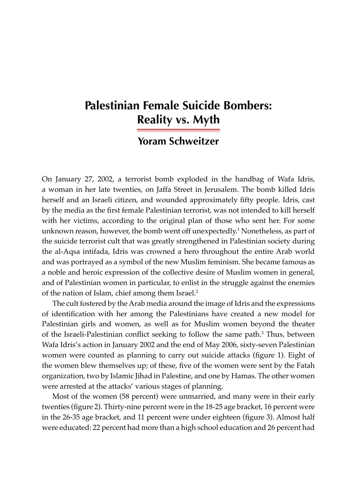## **Palestinian Female Suicide Bombers: Reality vs. Myth**

### **Yoram Schweitzer**

On January 27, 2002, a terrorist bomb exploded in the handbag of Wafa Idris, a woman in her late twenties, on Jaffa Street in Jerusalem. The bomb killed Idris herself and an Israeli citizen, and wounded approximately fifty people. Idris, cast by the media as the first female Palestinian terrorist, was not intended to kill herself with her victims, according to the original plan of those who sent her. For some unknown reason, however, the bomb went off unexpectedly.<sup>1</sup> Nonetheless, as part of the suicide terrorist cult that was greatly strengthened in Palestinian society during the al-Aqsa intifada, Idris was crowned a hero throughout the entire Arab world and was portrayed as a symbol of the new Muslim feminism. She became famous as a noble and heroic expression of the collective desire of Muslim women in general, and of Palestinian women in particular, to enlist in the struggle against the enemies of the nation of Islam, chief among them Israel.<sup>2</sup>

The cult fostered by the Arab media around the image of Idris and the expressions of identification with her among the Palestinians have created a new model for Palestinian girls and women, as well as for Muslim women beyond the theater of the Israeli-Palestinian conflict seeking to follow the same path.<sup>3</sup> Thus, between Wafa Idris's action in January 2002 and the end of May 2006, sixty-seven Palestinian women were counted as planning to carry out suicide attacks (figure 1). Eight of the women blew themselves up; of these, five of the women were sent by the Fatah organization, two by Islamic Jihad in Palestine, and one by Hamas. The other women were arrested at the attacks' various stages of planning.

Most of the women (58 percent) were unmarried, and many were in their early twenties (figure 2). Thirty-nine percent were in the 18-25 age bracket, 16 percent were in the 26-35 age bracket, and 11 percent were under eighteen (figure 3). Almost half were educated: 22 percent had more than a high school education and 26 percent had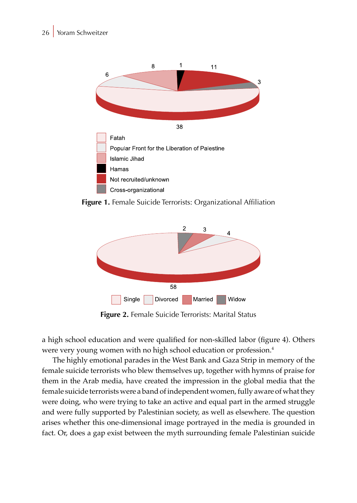

**Figure 1.** Female Suicide Terrorists: Organizational Affiliation



**Figure 2.** Female Suicide Terrorists: Marital Status

a high school education and were qualified for non-skilled labor (figure 4). Others were very young women with no high school education or profession.4

The highly emotional parades in the West Bank and Gaza Strip in memory of the female suicide terrorists who blew themselves up, together with hymns of praise for them in the Arab media, have created the impression in the global media that the female suicide terrorists were a band of independent women, fully aware of what they were doing, who were trying to take an active and equal part in the armed struggle and were fully supported by Palestinian society, as well as elsewhere. The question arises whether this one-dimensional image portrayed in the media is grounded in fact. Or, does a gap exist between the myth surrounding female Palestinian suicide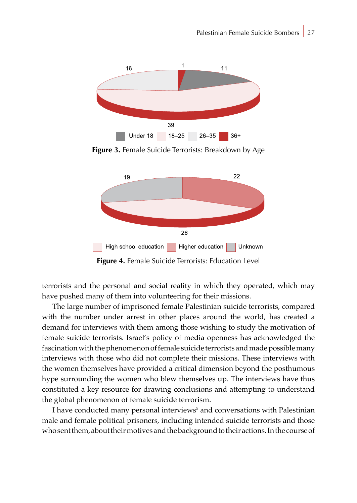

**Figure 3.** Female Suicide Terrorists: Breakdown by Age



**Figure 4.** Female Suicide Terrorists: Education Level

terrorists and the personal and social reality in which they operated, which may have pushed many of them into volunteering for their missions.

The large number of imprisoned female Palestinian suicide terrorists, compared with the number under arrest in other places around the world, has created a demand for interviews with them among those wishing to study the motivation of female suicide terrorists. Israel's policy of media openness has acknowledged the fascination with the phenomenon of female suicide terrorists and made possible many interviews with those who did not complete their missions. These interviews with the women themselves have provided a critical dimension beyond the posthumous hype surrounding the women who blew themselves up. The interviews have thus constituted a key resource for drawing conclusions and attempting to understand the global phenomenon of female suicide terrorism.

I have conducted many personal interviews<sup>5</sup> and conversations with Palestinian male and female political prisoners, including intended suicide terrorists and those who sent them, about their motives and the background to their actions. In the course of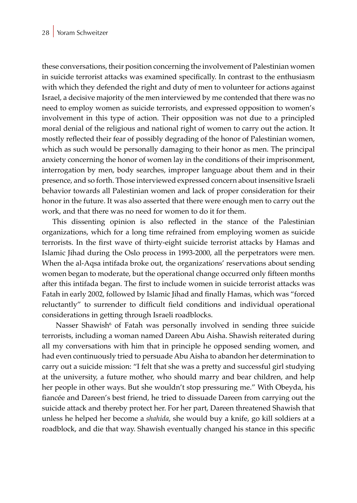these conversations, their position concerning the involvement of Palestinian women in suicide terrorist attacks was examined specifically. In contrast to the enthusiasm with which they defended the right and duty of men to volunteer for actions against Israel, a decisive majority of the men interviewed by me contended that there was no need to employ women as suicide terrorists, and expressed opposition to women's involvement in this type of action. Their opposition was not due to a principled moral denial of the religious and national right of women to carry out the action. It mostly reflected their fear of possibly degrading of the honor of Palestinian women, which as such would be personally damaging to their honor as men. The principal anxiety concerning the honor of women lay in the conditions of their imprisonment, interrogation by men, body searches, improper language about them and in their presence, and so forth. Those interviewed expressed concern about insensitive Israeli behavior towards all Palestinian women and lack of proper consideration for their honor in the future. It was also asserted that there were enough men to carry out the work, and that there was no need for women to do it for them.

This dissenting opinion is also reflected in the stance of the Palestinian organizations, which for a long time refrained from employing women as suicide terrorists. In the first wave of thirty-eight suicide terrorist attacks by Hamas and Islamic Jihad during the Oslo process in 1993-2000, all the perpetrators were men. When the al-Aqsa intifada broke out, the organizations' reservations about sending women began to moderate, but the operational change occurred only fifteen months after this intifada began. The first to include women in suicide terrorist attacks was Fatah in early 2002, followed by Islamic Jihad and finally Hamas, which was "forced reluctantly" to surrender to difficult field conditions and individual operational considerations in getting through Israeli roadblocks.

Nasser Shawish<sup>6</sup> of Fatah was personally involved in sending three suicide terrorists, including a woman named Dareen Abu Aisha. Shawish reiterated during all my conversations with him that in principle he opposed sending women, and had even continuously tried to persuade Abu Aisha to abandon her determination to carry out a suicide mission: "I felt that she was a pretty and successful girl studying at the university, a future mother, who should marry and bear children, and help her people in other ways. But she wouldn't stop pressuring me." With Obeyda, his fiancée and Dareen's best friend, he tried to dissuade Dareen from carrying out the suicide attack and thereby protect her. For her part, Dareen threatened Shawish that unless he helped her become a *shahida*, she would buy a knife, go kill soldiers at a roadblock, and die that way. Shawish eventually changed his stance in this specific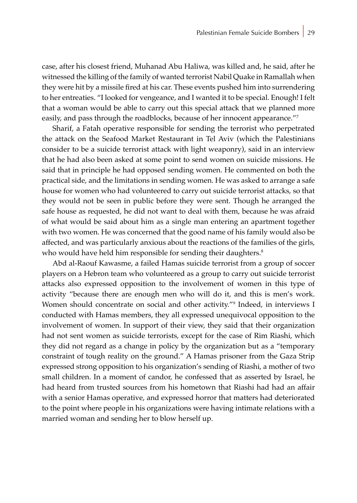case, after his closest friend, Muhanad Abu Haliwa, was killed and, he said, after he witnessed the killing of the family of wanted terrorist Nabil Quake in Ramallah when they were hit by a missile fired at his car. These events pushed him into surrendering to her entreaties. "I looked for vengeance, and I wanted it to be special. Enough! I felt that a woman would be able to carry out this special attack that we planned more easily, and pass through the roadblocks, because of her innocent appearance."<sup>7</sup>

Sharif, a Fatah operative responsible for sending the terrorist who perpetrated the attack on the Seafood Market Restaurant in Tel Aviv (which the Palestinians consider to be a suicide terrorist attack with light weaponry), said in an interview that he had also been asked at some point to send women on suicide missions. He said that in principle he had opposed sending women. He commented on both the practical side, and the limitations in sending women. He was asked to arrange a safe house for women who had volunteered to carry out suicide terrorist attacks, so that they would not be seen in public before they were sent. Though he arranged the safe house as requested, he did not want to deal with them, because he was afraid of what would be said about him as a single man entering an apartment together with two women. He was concerned that the good name of his family would also be affected, and was particularly anxious about the reactions of the families of the girls, who would have held him responsible for sending their daughters.<sup>8</sup>

Abd al-Raouf Kawasme, a failed Hamas suicide terrorist from a group of soccer players on a Hebron team who volunteered as a group to carry out suicide terrorist attacks also expressed opposition to the involvement of women in this type of activity "because there are enough men who will do it, and this is men's work. Women should concentrate on social and other activity."<sup>9</sup> Indeed, in interviews I conducted with Hamas members, they all expressed unequivocal opposition to the involvement of women. In support of their view, they said that their organization had not sent women as suicide terrorists, except for the case of Rim Riashi, which they did not regard as a change in policy by the organization but as a "temporary constraint of tough reality on the ground." A Hamas prisoner from the Gaza Strip expressed strong opposition to his organization's sending of Riashi, a mother of two small children. In a moment of candor, he confessed that as asserted by Israel, he had heard from trusted sources from his hometown that Riashi had had an affair with a senior Hamas operative, and expressed horror that matters had deteriorated to the point where people in his organizations were having intimate relations with a married woman and sending her to blow herself up.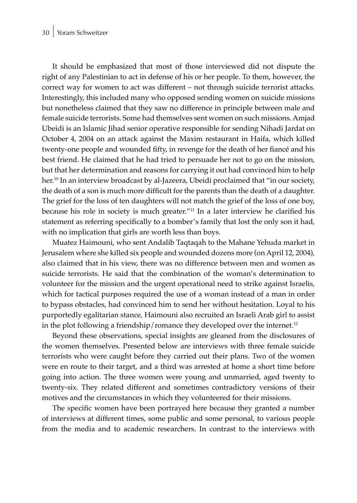It should be emphasized that most of those interviewed did not dispute the right of any Palestinian to act in defense of his or her people. To them, however, the correct way for women to act was different – not through suicide terrorist attacks. Interestingly, this included many who opposed sending women on suicide missions but nonetheless claimed that they saw no difference in principle between male and female suicide terrorists. Some had themselves sent women on such missions. Amjad Ubeidi is an Islamic Jihad senior operative responsible for sending Nihadi Jardat on October 4, 2004 on an attack against the Maxim restaurant in Haifa, which killed twenty-one people and wounded fifty, in revenge for the death of her fiancé and his best friend. He claimed that he had tried to persuade her not to go on the mission, but that her determination and reasons for carrying it out had convinced him to help her.<sup>10</sup> In an interview broadcast by al-Jazeera, Ubeidi proclaimed that "in our society, the death of a son is much more difficult for the parents than the death of a daughter. The grief for the loss of ten daughters will not match the grief of the loss of one boy, because his role in society is much greater."<sup>11</sup> In a later interview he clarified his statement as referring specifically to a bomber's family that lost the only son it had, with no implication that girls are worth less than boys.

Muatez Haimouni, who sent Andalib Taqtaqah to the Mahane Yehuda market in Jerusalem where she killed six people and wounded dozens more (on April 12, 2004), also claimed that in his view, there was no difference between men and women as suicide terrorists. He said that the combination of the woman's determination to volunteer for the mission and the urgent operational need to strike against Israelis, which for tactical purposes required the use of a woman instead of a man in order to bypass obstacles, had convinced him to send her without hesitation. Loyal to his purportedly egalitarian stance, Haimouni also recruited an Israeli Arab girl to assist in the plot following a friendship/romance they developed over the internet.<sup>12</sup>

Beyond these observations, special insights are gleaned from the disclosures of the women themselves. Presented below are interviews with three female suicide terrorists who were caught before they carried out their plans. Two of the women were en route to their target, and a third was arrested at home a short time before going into action. The three women were young and unmarried, aged twenty to twenty-six. They related different and sometimes contradictory versions of their motives and the circumstances in which they volunteered for their missions.

The specific women have been portrayed here because they granted a number of interviews at different times, some public and some personal, to various people from the media and to academic researchers. In contrast to the interviews with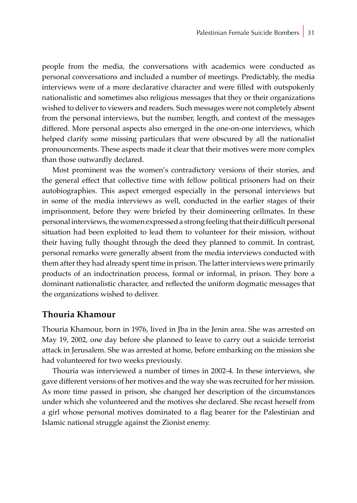people from the media, the conversations with academics were conducted as personal conversations and included a number of meetings. Predictably, the media interviews were of a more declarative character and were filled with outspokenly nationalistic and sometimes also religious messages that they or their organizations wished to deliver to viewers and readers. Such messages were not completely absent from the personal interviews, but the number, length, and context of the messages differed. More personal aspects also emerged in the one-on-one interviews, which helped clarify some missing particulars that were obscured by all the nationalist pronouncements. These aspects made it clear that their motives were more complex than those outwardly declared.

Most prominent was the women's contradictory versions of their stories, and the general effect that collective time with fellow political prisoners had on their autobiographies. This aspect emerged especially in the personal interviews but in some of the media interviews as well, conducted in the earlier stages of their imprisonment, before they were briefed by their domineering cellmates. In these personal interviews, the women expressed a strong feeling that their difficult personal situation had been exploited to lead them to volunteer for their mission, without their having fully thought through the deed they planned to commit. In contrast, personal remarks were generally absent from the media interviews conducted with them after they had already spent time in prison. The latter interviews were primarily products of an indoctrination process, formal or informal, in prison. They bore a dominant nationalistic character, and reflected the uniform dogmatic messages that the organizations wished to deliver.

#### **Thouria Khamour**

Thouria Khamour, born in 1976, lived in Jba in the Jenin area. She was arrested on May 19, 2002, one day before she planned to leave to carry out a suicide terrorist attack in Jerusalem. She was arrested at home, before embarking on the mission she had volunteered for two weeks previously.

Thouria was interviewed a number of times in 2002-4. In these interviews, she gave different versions of her motives and the way she was recruited for her mission. As more time passed in prison, she changed her description of the circumstances under which she volunteered and the motives she declared. She recast herself from a girl whose personal motives dominated to a flag bearer for the Palestinian and Islamic national struggle against the Zionist enemy.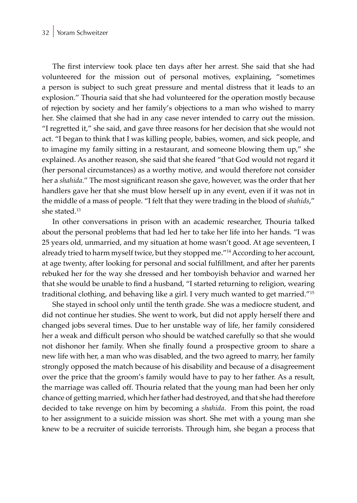#### 32 Yoram Schweitzer

The first interview took place ten days after her arrest. She said that she had volunteered for the mission out of personal motives, explaining, "sometimes a person is subject to such great pressure and mental distress that it leads to an explosion." Thouria said that she had volunteered for the operation mostly because of rejection by society and her family's objections to a man who wished to marry her. She claimed that she had in any case never intended to carry out the mission. "I regretted it," she said, and gave three reasons for her decision that she would not act. "I began to think that I was killing people, babies, women, and sick people, and to imagine my family sitting in a restaurant, and someone blowing them up," she explained. As another reason, she said that she feared "that God would not regard it (her personal circumstances) as a worthy motive, and would therefore not consider her a *shahida*." The most significant reason she gave, however, was the order that her handlers gave her that she must blow herself up in any event, even if it was not in the middle of a mass of people. "I felt that they were trading in the blood of *shahids*," she stated.<sup>13</sup>

In other conversations in prison with an academic researcher, Thouria talked about the personal problems that had led her to take her life into her hands. "I was 25 years old, unmarried, and my situation at home wasn't good. At age seventeen, I already tried to harm myself twice, but they stopped me."14 According to her account, at age twenty, after looking for personal and social fulfillment, and after her parents rebuked her for the way she dressed and her tomboyish behavior and warned her that she would be unable to find a husband, "I started returning to religion, wearing traditional clothing, and behaving like a girl. I very much wanted to get married."<sup>15</sup>

She stayed in school only until the tenth grade. She was a mediocre student, and did not continue her studies. She went to work, but did not apply herself there and changed jobs several times. Due to her unstable way of life, her family considered her a weak and difficult person who should be watched carefully so that she would not dishonor her family. When she finally found a prospective groom to share a new life with her, a man who was disabled, and the two agreed to marry, her family strongly opposed the match because of his disability and because of a disagreement over the price that the groom's family would have to pay to her father. As a result, the marriage was called off. Thouria related that the young man had been her only chance of getting married, which her father had destroyed, and that she had therefore decided to take revenge on him by becoming a *shahida*. From this point, the road to her assignment to a suicide mission was short. She met with a young man she knew to be a recruiter of suicide terrorists. Through him, she began a process that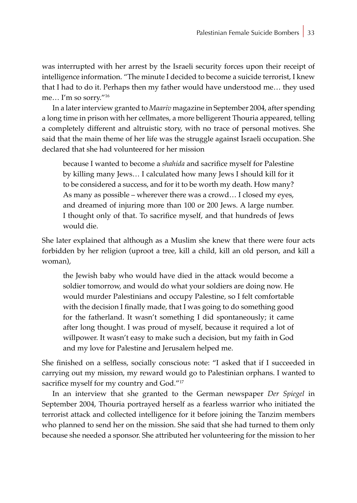was interrupted with her arrest by the Israeli security forces upon their receipt of intelligence information. "The minute I decided to become a suicide terrorist, I knew that I had to do it. Perhaps then my father would have understood me… they used me… I'm so sorry."<sup>16</sup>

In a later interview granted to *Maariv* magazine in September 2004, after spending a long time in prison with her cellmates, a more belligerent Thouria appeared, telling a completely different and altruistic story, with no trace of personal motives. She said that the main theme of her life was the struggle against Israeli occupation. She declared that she had volunteered for her mission

because I wanted to become a *shahida* and sacrifice myself for Palestine by killing many Jews… I calculated how many Jews I should kill for it to be considered a success, and for it to be worth my death. How many? As many as possible – wherever there was a crowd… I closed my eyes, and dreamed of injuring more than 100 or 200 Jews. A large number. I thought only of that. To sacrifice myself, and that hundreds of Jews would die.

She later explained that although as a Muslim she knew that there were four acts forbidden by her religion (uproot a tree, kill a child, kill an old person, and kill a woman),

the Jewish baby who would have died in the attack would become a soldier tomorrow, and would do what your soldiers are doing now. He would murder Palestinians and occupy Palestine, so I felt comfortable with the decision I finally made, that I was going to do something good for the fatherland. It wasn't something I did spontaneously; it came after long thought. I was proud of myself, because it required a lot of willpower. It wasn't easy to make such a decision, but my faith in God and my love for Palestine and Jerusalem helped me.

She finished on a selfless, socially conscious note: "I asked that if I succeeded in carrying out my mission, my reward would go to Palestinian orphans. I wanted to sacrifice myself for my country and God."<sup>17</sup>

In an interview that she granted to the German newspaper *Der Spiegel* in September 2004, Thouria portrayed herself as a fearless warrior who initiated the terrorist attack and collected intelligence for it before joining the Tanzim members who planned to send her on the mission. She said that she had turned to them only because she needed a sponsor. She attributed her volunteering for the mission to her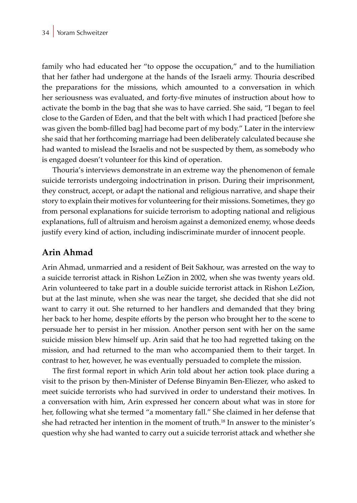family who had educated her "to oppose the occupation," and to the humiliation that her father had undergone at the hands of the Israeli army. Thouria described the preparations for the missions, which amounted to a conversation in which her seriousness was evaluated, and forty-five minutes of instruction about how to activate the bomb in the bag that she was to have carried. She said, "I began to feel close to the Garden of Eden, and that the belt with which I had practiced [before she was given the bomb-filled bag] had become part of my body." Later in the interview she said that her forthcoming marriage had been deliberately calculated because she had wanted to mislead the Israelis and not be suspected by them, as somebody who is engaged doesn't volunteer for this kind of operation.

Thouria's interviews demonstrate in an extreme way the phenomenon of female suicide terrorists undergoing indoctrination in prison. During their imprisonment, they construct, accept, or adapt the national and religious narrative, and shape their story to explain their motives for volunteering for their missions. Sometimes, they go from personal explanations for suicide terrorism to adopting national and religious explanations, full of altruism and heroism against a demonized enemy, whose deeds justify every kind of action, including indiscriminate murder of innocent people.

### **Arin Ahmad**

Arin Ahmad, unmarried and a resident of Beit Sakhour, was arrested on the way to a suicide terrorist attack in Rishon LeZion in 2002, when she was twenty years old. Arin volunteered to take part in a double suicide terrorist attack in Rishon LeZion, but at the last minute, when she was near the target, she decided that she did not want to carry it out. She returned to her handlers and demanded that they bring her back to her home, despite efforts by the person who brought her to the scene to persuade her to persist in her mission. Another person sent with her on the same suicide mission blew himself up. Arin said that he too had regretted taking on the mission, and had returned to the man who accompanied them to their target. In contrast to her, however, he was eventually persuaded to complete the mission.

The first formal report in which Arin told about her action took place during a visit to the prison by then-Minister of Defense Binyamin Ben-Eliezer, who asked to meet suicide terrorists who had survived in order to understand their motives. In a conversation with him, Arin expressed her concern about what was in store for her, following what she termed "a momentary fall." She claimed in her defense that she had retracted her intention in the moment of truth.18 In answer to the minister's question why she had wanted to carry out a suicide terrorist attack and whether she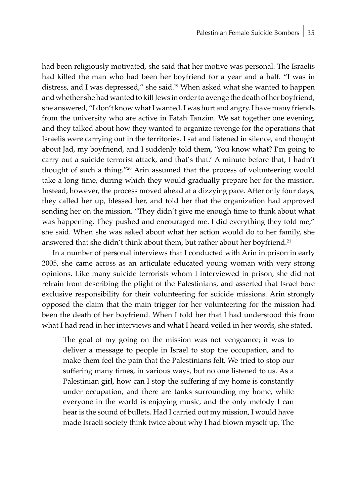had been religiously motivated, she said that her motive was personal. The Israelis had killed the man who had been her boyfriend for a year and a half. "I was in distress, and I was depressed," she said.19 When asked what she wanted to happen and whether she had wanted to kill Jews in order to avenge the death of her boyfriend, she answered, "I don't know what I wanted. I was hurt and angry. I have many friends from the university who are active in Fatah Tanzim. We sat together one evening, and they talked about how they wanted to organize revenge for the operations that Israelis were carrying out in the territories. I sat and listened in silence, and thought about Jad, my boyfriend, and I suddenly told them, 'You know what? I'm going to carry out a suicide terrorist attack, and that's that.' A minute before that, I hadn't thought of such a thing."20 Arin assumed that the process of volunteering would take a long time, during which they would gradually prepare her for the mission. Instead, however, the process moved ahead at a dizzying pace. After only four days, they called her up, blessed her, and told her that the organization had approved sending her on the mission. "They didn't give me enough time to think about what was happening. They pushed and encouraged me. I did everything they told me," she said. When she was asked about what her action would do to her family, she answered that she didn't think about them, but rather about her boyfriend.<sup>21</sup>

In a number of personal interviews that I conducted with Arin in prison in early 2005, she came across as an articulate educated young woman with very strong opinions. Like many suicide terrorists whom I interviewed in prison, she did not refrain from describing the plight of the Palestinians, and asserted that Israel bore exclusive responsibility for their volunteering for suicide missions. Arin strongly opposed the claim that the main trigger for her volunteering for the mission had been the death of her boyfriend. When I told her that I had understood this from what I had read in her interviews and what I heard veiled in her words, she stated,

The goal of my going on the mission was not vengeance; it was to deliver a message to people in Israel to stop the occupation, and to make them feel the pain that the Palestinians felt. We tried to stop our suffering many times, in various ways, but no one listened to us. As a Palestinian girl, how can I stop the suffering if my home is constantly under occupation, and there are tanks surrounding my home, while everyone in the world is enjoying music, and the only melody I can hear is the sound of bullets. Had I carried out my mission, I would have made Israeli society think twice about why I had blown myself up. The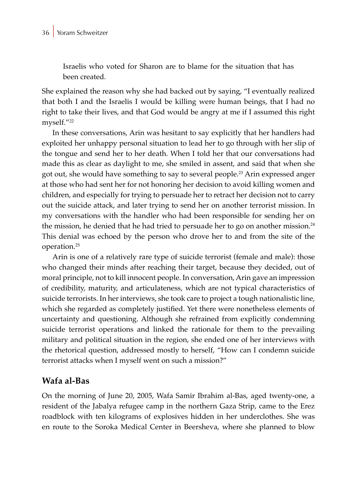Israelis who voted for Sharon are to blame for the situation that has been created.

She explained the reason why she had backed out by saying, "I eventually realized that both I and the Israelis I would be killing were human beings, that I had no right to take their lives, and that God would be angry at me if I assumed this right myself."<sup>22</sup>

In these conversations, Arin was hesitant to say explicitly that her handlers had exploited her unhappy personal situation to lead her to go through with her slip of the tongue and send her to her death. When I told her that our conversations had made this as clear as daylight to me, she smiled in assent, and said that when she got out, she would have something to say to several people.23 Arin expressed anger at those who had sent her for not honoring her decision to avoid killing women and children, and especially for trying to persuade her to retract her decision not to carry out the suicide attack, and later trying to send her on another terrorist mission. In my conversations with the handler who had been responsible for sending her on the mission, he denied that he had tried to persuade her to go on another mission.<sup>24</sup> This denial was echoed by the person who drove her to and from the site of the operation.25

Arin is one of a relatively rare type of suicide terrorist (female and male): those who changed their minds after reaching their target, because they decided, out of moral principle, not to kill innocent people. In conversation, Arin gave an impression of credibility, maturity, and articulateness, which are not typical characteristics of suicide terrorists. In her interviews, she took care to project a tough nationalistic line, which she regarded as completely justified. Yet there were nonetheless elements of uncertainty and questioning. Although she refrained from explicitly condemning suicide terrorist operations and linked the rationale for them to the prevailing military and political situation in the region, she ended one of her interviews with the rhetorical question, addressed mostly to herself, "How can I condemn suicide terrorist attacks when I myself went on such a mission?"

#### **Wafa al-Bas**

On the morning of June 20, 2005, Wafa Samir Ibrahim al-Bas, aged twenty-one, a resident of the Jabalya refugee camp in the northern Gaza Strip, came to the Erez roadblock with ten kilograms of explosives hidden in her underclothes. She was en route to the Soroka Medical Center in Beersheva, where she planned to blow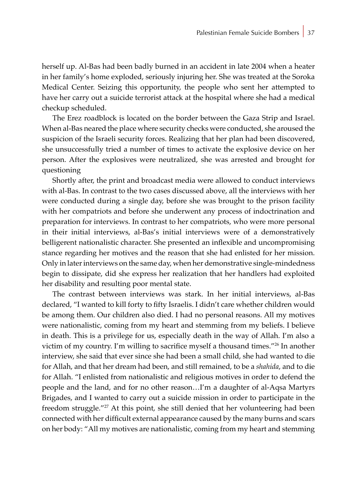herself up. Al-Bas had been badly burned in an accident in late 2004 when a heater in her family's home exploded, seriously injuring her. She was treated at the Soroka Medical Center. Seizing this opportunity, the people who sent her attempted to have her carry out a suicide terrorist attack at the hospital where she had a medical checkup scheduled.

The Erez roadblock is located on the border between the Gaza Strip and Israel. When al-Bas neared the place where security checks were conducted, she aroused the suspicion of the Israeli security forces. Realizing that her plan had been discovered, she unsuccessfully tried a number of times to activate the explosive device on her person. After the explosives were neutralized, she was arrested and brought for questioning

Shortly after, the print and broadcast media were allowed to conduct interviews with al-Bas. In contrast to the two cases discussed above, all the interviews with her were conducted during a single day, before she was brought to the prison facility with her compatriots and before she underwent any process of indoctrination and preparation for interviews. In contrast to her compatriots, who were more personal in their initial interviews, al-Bas's initial interviews were of a demonstratively belligerent nationalistic character. She presented an inflexible and uncompromising stance regarding her motives and the reason that she had enlisted for her mission. Only in later interviews on the same day, when her demonstrative single-mindedness begin to dissipate, did she express her realization that her handlers had exploited her disability and resulting poor mental state.

The contrast between interviews was stark. In her initial interviews, al-Bas declared, "I wanted to kill forty to fifty Israelis. I didn't care whether children would be among them. Our children also died. I had no personal reasons. All my motives were nationalistic, coming from my heart and stemming from my beliefs. I believe in death. This is a privilege for us, especially death in the way of Allah. I'm also a victim of my country. I'm willing to sacrifice myself a thousand times."26 In another interview, she said that ever since she had been a small child, she had wanted to die for Allah, and that her dream had been, and still remained, to be a *shahida*, and to die for Allah. "I enlisted from nationalistic and religious motives in order to defend the people and the land, and for no other reason…I'm a daughter of al-Aqsa Martyrs Brigades, and I wanted to carry out a suicide mission in order to participate in the freedom struggle."<sup>27</sup> At this point, she still denied that her volunteering had been connected with her difficult external appearance caused by the many burns and scars on her body: "All my motives are nationalistic, coming from my heart and stemming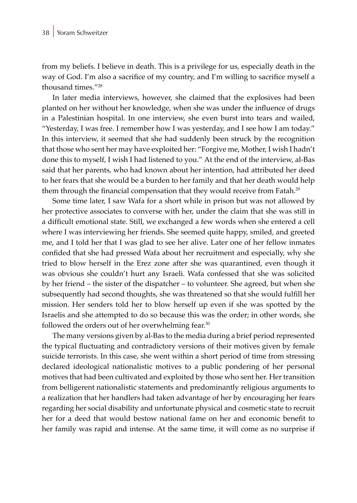from my beliefs. I believe in death. This is a privilege for us, especially death in the way of God. I'm also a sacrifice of my country, and I'm willing to sacrifice myself a thousand times."<sup>28</sup>

In later media interviews, however, she claimed that the explosives had been planted on her without her knowledge, when she was under the influence of drugs in a Palestinian hospital. In one interview, she even burst into tears and wailed, "Yesterday, I was free. I remember how I was yesterday, and I see how I am today." In this interview, it seemed that she had suddenly been struck by the recognition that those who sent her may have exploited her: "Forgive me, Mother, I wish I hadn't done this to myself, I wish I had listened to you." At the end of the interview, al-Bas said that her parents, who had known about her intention, had attributed her deed to her fears that she would be a burden to her family and that her death would help them through the financial compensation that they would receive from Fatah.<sup>29</sup>

Some time later, I saw Wafa for a short while in prison but was not allowed by her protective associates to converse with her, under the claim that she was still in a difficult emotional state. Still, we exchanged a few words when she entered a cell where I was interviewing her friends. She seemed quite happy, smiled, and greeted me, and I told her that I was glad to see her alive. Later one of her fellow inmates confided that she had pressed Wafa about her recruitment and especially, why she tried to blow herself in the Erez zone after she was quarantined, even though it was obvious she couldn't hurt any Israeli. Wafa confessed that she was solicited by her friend – the sister of the dispatcher – to volunteer. She agreed, but when she subsequently had second thoughts, she was threatened so that she would fulfill her mission. Her senders told her to blow herself up even if she was spotted by the Israelis and she attempted to do so because this was the order; in other words, she followed the orders out of her overwhelming fear.<sup>30</sup>

The many versions given by al-Bas to the media during a brief period represented the typical fluctuating and contradictory versions of their motives given by female suicide terrorists. In this case, she went within a short period of time from stressing declared ideological nationalistic motives to a public pondering of her personal motives that had been cultivated and exploited by those who sent her. Her transition from belligerent nationalistic statements and predominantly religious arguments to a realization that her handlers had taken advantage of her by encouraging her fears regarding her social disability and unfortunate physical and cosmetic state to recruit her for a deed that would bestow national fame on her and economic benefit to her family was rapid and intense. At the same time, it will come as no surprise if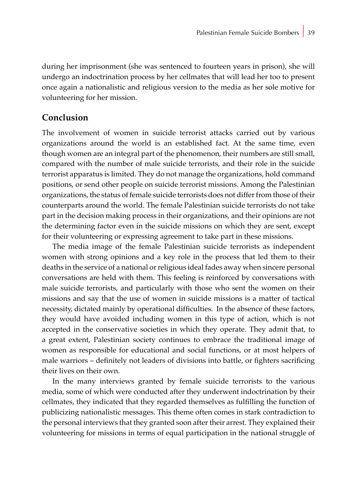during her imprisonment (she was sentenced to fourteen years in prison), she will undergo an indoctrination process by her cellmates that will lead her too to present once again a nationalistic and religious version to the media as her sole motive for volunteering for her mission.

### **Conclusion**

The involvement of women in suicide terrorist attacks carried out by various organizations around the world is an established fact. At the same time, even though women are an integral part of the phenomenon, their numbers are still small, compared with the number of male suicide terrorists, and their role in the suicide terrorist apparatus is limited. They do not manage the organizations, hold command positions, or send other people on suicide terrorist missions. Among the Palestinian organizations, the status of female suicide terrorists does not differ from those of their counterparts around the world. The female Palestinian suicide terrorists do not take part in the decision making process in their organizations, and their opinions are not the determining factor even in the suicide missions on which they are sent, except for their volunteering or expressing agreement to take part in these missions.

The media image of the female Palestinian suicide terrorists as independent women with strong opinions and a key role in the process that led them to their deaths in the service of a national or religious ideal fades away when sincere personal conversations are held with them. This feeling is reinforced by conversations with male suicide terrorists, and particularly with those who sent the women on their missions and say that the use of women in suicide missions is a matter of tactical necessity, dictated mainly by operational difficulties. In the absence of these factors, they would have avoided including women in this type of action, which is not accepted in the conservative societies in which they operate. They admit that, to a great extent, Palestinian society continues to embrace the traditional image of women as responsible for educational and social functions, or at most helpers of male warriors – definitely not leaders of divisions into battle, or fighters sacrificing their lives on their own.

In the many interviews granted by female suicide terrorists to the various media, some of which were conducted after they underwent indoctrination by their cellmates, they indicated that they regarded themselves as fulfilling the function of publicizing nationalistic messages. This theme often comes in stark contradiction to the personal interviews that they granted soon after their arrest. They explained their volunteering for missions in terms of equal participation in the national struggle of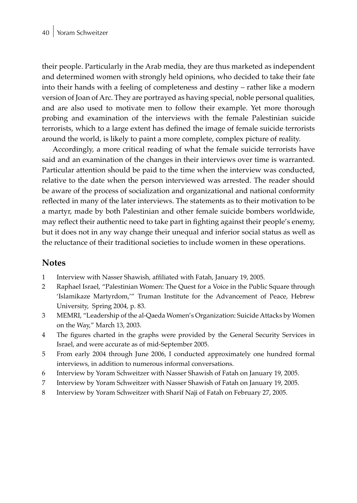their people. Particularly in the Arab media, they are thus marketed as independent and determined women with strongly held opinions, who decided to take their fate into their hands with a feeling of completeness and destiny – rather like a modern version of Joan of Arc. They are portrayed as having special, noble personal qualities, and are also used to motivate men to follow their example. Yet more thorough probing and examination of the interviews with the female Palestinian suicide terrorists, which to a large extent has defined the image of female suicide terrorists around the world, is likely to paint a more complete, complex picture of reality.

Accordingly, a more critical reading of what the female suicide terrorists have said and an examination of the changes in their interviews over time is warranted. Particular attention should be paid to the time when the interview was conducted, relative to the date when the person interviewed was arrested. The reader should be aware of the process of socialization and organizational and national conformity reflected in many of the later interviews. The statements as to their motivation to be a martyr, made by both Palestinian and other female suicide bombers worldwide, may reflect their authentic need to take part in fighting against their people's enemy, but it does not in any way change their unequal and inferior social status as well as the reluctance of their traditional societies to include women in these operations.

### **Notes**

- 1 Interview with Nasser Shawish, affiliated with Fatah, January 19, 2005.
- 2 Raphael Israel, "Palestinian Women: The Quest for a Voice in the Public Square through 'Islamikaze Martyrdom,'" Truman Institute for the Advancement of Peace, Hebrew University, Spring 2004, p. 83.
- 3 MEMRI, "Leadership of the al-Qaeda Women's Organization: Suicide Attacks by Women on the Way," March 13, 2003.
- 4 The figures charted in the graphs were provided by the General Security Services in Israel, and were accurate as of mid-September 2005.
- 5 From early 2004 through June 2006, I conducted approximately one hundred formal interviews, in addition to numerous informal conversations.
- 6 Interview by Yoram Schweitzer with Nasser Shawish of Fatah on January 19, 2005.
- 7 Interview by Yoram Schweitzer with Nasser Shawish of Fatah on January 19, 2005.
- 8 Interview by Yoram Schweitzer with Sharif Naji of Fatah on February 27, 2005.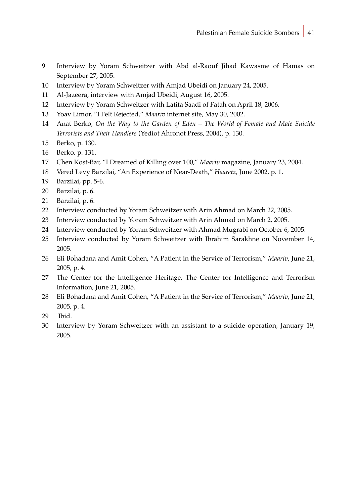- Interview by Yoram Schweitzer with Abd al-Raouf Jihad Kawasme of Hamas on September 27, 2005.
- Interview by Yoram Schweitzer with Amjad Ubeidi on January 24, 2005.
- Al-Jazeera, interview with Amjad Ubeidi, August 16, 2005.
- Interview by Yoram Schweitzer with Latifa Saadi of Fatah on April 18, 2006.
- Yoav Limor, "I Felt Rejected," *Maariv* internet site, May 30, 2002.
- Anat Berko, *On the Way to the Garden of Eden The World of Female and Male Suicide Terrorists and Their Handlers* (Yediot Ahronot Press, 2004), p. 130.
- Berko, p. 130.
- Berko, p. 131.
- Chen Kost-Bar, "I Dreamed of Killing over 100," *Maariv* magazine, January 23, 2004.
- Vered Levy Barzilai, "An Experience of Near-Death," *Haaretz*, June 2002, p. 1.
- Barzilai, pp. 5-6.
- Barzilai, p. 6.
- Barzilai, p. 6.
- Interview conducted by Yoram Schweitzer with Arin Ahmad on March 22, 2005.
- Interview conducted by Yoram Schweitzer with Arin Ahmad on March 2, 2005.
- Interview conducted by Yoram Schweitzer with Ahmad Mugrabi on October 6, 2005.
- Interview conducted by Yoram Schweitzer with Ibrahim Sarakhne on November 14, 2005.
- Eli Bohadana and Amit Cohen, "A Patient in the Service of Terrorism," *Maariv*, June 21, 2005, p. 4.
- The Center for the Intelligence Heritage, The Center for Intelligence and Terrorism Information, June 21, 2005.
- Eli Bohadana and Amit Cohen, "A Patient in the Service of Terrorism," *Maariv*, June 21, 2005, p. 4.
- 29 Ibid.
- Interview by Yoram Schweitzer with an assistant to a suicide operation, January 19, 2005.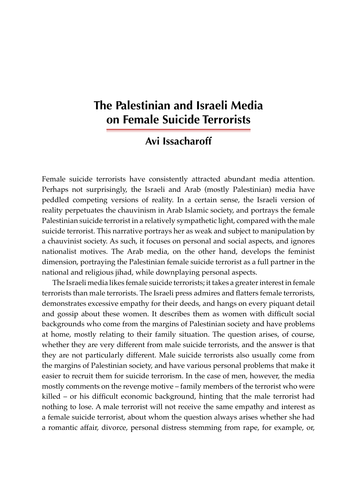# **The Palestinian and Israeli Media on Female Suicide Terrorists**

## **Avi Issacharoff**

Female suicide terrorists have consistently attracted abundant media attention. Perhaps not surprisingly, the Israeli and Arab (mostly Palestinian) media have peddled competing versions of reality. In a certain sense, the Israeli version of reality perpetuates the chauvinism in Arab Islamic society, and portrays the female Palestinian suicide terrorist in a relatively sympathetic light, compared with the male suicide terrorist. This narrative portrays her as weak and subject to manipulation by a chauvinist society. As such, it focuses on personal and social aspects, and ignores nationalist motives. The Arab media, on the other hand, develops the feminist dimension, portraying the Palestinian female suicide terrorist as a full partner in the national and religious jihad, while downplaying personal aspects.

The Israeli media likes female suicide terrorists; it takes a greater interest in female terrorists than male terrorists. The Israeli press admires and flatters female terrorists, demonstrates excessive empathy for their deeds, and hangs on every piquant detail and gossip about these women. It describes them as women with difficult social backgrounds who come from the margins of Palestinian society and have problems at home, mostly relating to their family situation. The question arises, of course, whether they are very different from male suicide terrorists, and the answer is that they are not particularly different. Male suicide terrorists also usually come from the margins of Palestinian society, and have various personal problems that make it easier to recruit them for suicide terrorism. In the case of men, however, the media mostly comments on the revenge motive – family members of the terrorist who were killed – or his difficult economic background, hinting that the male terrorist had nothing to lose. A male terrorist will not receive the same empathy and interest as a female suicide terrorist, about whom the question always arises whether she had a romantic affair, divorce, personal distress stemming from rape, for example, or,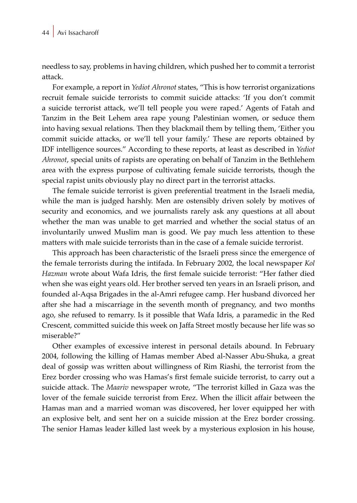needless to say, problems in having children, which pushed her to commit a terrorist attack.

For example, a report in *Yediot Ahronot* states, "This is how terrorist organizations recruit female suicide terrorists to commit suicide attacks: 'If you don't commit a suicide terrorist attack, we'll tell people you were raped.' Agents of Fatah and Tanzim in the Beit Lehem area rape young Palestinian women, or seduce them into having sexual relations. Then they blackmail them by telling them, 'Either you commit suicide attacks, or we'll tell your family.' These are reports obtained by IDF intelligence sources." According to these reports, at least as described in *Yediot Ahronot*, special units of rapists are operating on behalf of Tanzim in the Bethlehem area with the express purpose of cultivating female suicide terrorists, though the special rapist units obviously play no direct part in the terrorist attacks.

The female suicide terrorist is given preferential treatment in the Israeli media, while the man is judged harshly. Men are ostensibly driven solely by motives of security and economics, and we journalists rarely ask any questions at all about whether the man was unable to get married and whether the social status of an involuntarily unwed Muslim man is good. We pay much less attention to these matters with male suicide terrorists than in the case of a female suicide terrorist.

This approach has been characteristic of the Israeli press since the emergence of the female terrorists during the intifada. In February 2002, the local newspaper *Kol Hazman* wrote about Wafa Idris, the first female suicide terrorist: "Her father died when she was eight years old. Her brother served ten years in an Israeli prison, and founded al-Aqsa Brigades in the al-Amri refugee camp. Her husband divorced her after she had a miscarriage in the seventh month of pregnancy, and two months ago, she refused to remarry. Is it possible that Wafa Idris, a paramedic in the Red Crescent, committed suicide this week on Jaffa Street mostly because her life was so miserable?"

Other examples of excessive interest in personal details abound. In February 2004, following the killing of Hamas member Abed al-Nasser Abu-Shuka, a great deal of gossip was written about willingness of Rim Riashi, the terrorist from the Erez border crossing who was Hamas's first female suicide terrorist, to carry out a suicide attack. The *Maariv* newspaper wrote, "The terrorist killed in Gaza was the lover of the female suicide terrorist from Erez. When the illicit affair between the Hamas man and a married woman was discovered, her lover equipped her with an explosive belt, and sent her on a suicide mission at the Erez border crossing. The senior Hamas leader killed last week by a mysterious explosion in his house,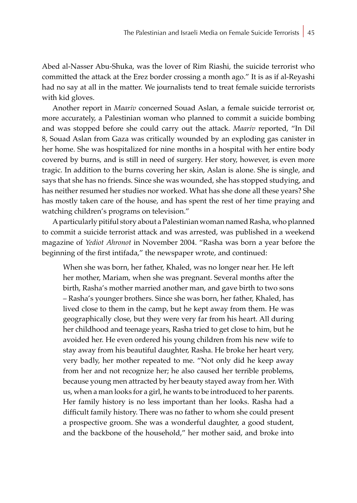Abed al-Nasser Abu-Shuka, was the lover of Rim Riashi, the suicide terrorist who committed the attack at the Erez border crossing a month ago." It is as if al-Reyashi had no say at all in the matter. We journalists tend to treat female suicide terrorists with kid gloves.

Another report in *Maariv* concerned Souad Aslan, a female suicide terrorist or, more accurately, a Palestinian woman who planned to commit a suicide bombing and was stopped before she could carry out the attack. *Maariv* reported, "In Dil 8, Souad Aslan from Gaza was critically wounded by an exploding gas canister in her home. She was hospitalized for nine months in a hospital with her entire body covered by burns, and is still in need of surgery. Her story, however, is even more tragic. In addition to the burns covering her skin, Aslan is alone. She is single, and says that she has no friends. Since she was wounded, she has stopped studying, and has neither resumed her studies nor worked. What has she done all these years? She has mostly taken care of the house, and has spent the rest of her time praying and watching children's programs on television."

A particularly pitiful story about a Palestinian woman named Rasha, who planned to commit a suicide terrorist attack and was arrested, was published in a weekend magazine of *Yediot Ahronot* in November 2004. "Rasha was born a year before the beginning of the first intifada," the newspaper wrote, and continued:

When she was born, her father, Khaled, was no longer near her. He left her mother, Mariam, when she was pregnant. Several months after the birth, Rasha's mother married another man, and gave birth to two sons – Rasha's younger brothers. Since she was born, her father, Khaled, has lived close to them in the camp, but he kept away from them. He was geographically close, but they were very far from his heart. All during her childhood and teenage years, Rasha tried to get close to him, but he avoided her. He even ordered his young children from his new wife to stay away from his beautiful daughter, Rasha. He broke her heart very, very badly, her mother repeated to me. "Not only did he keep away from her and not recognize her; he also caused her terrible problems, because young men attracted by her beauty stayed away from her. With us, when a man looks for a girl, he wants to be introduced to her parents. Her family history is no less important than her looks. Rasha had a difficult family history. There was no father to whom she could present a prospective groom. She was a wonderful daughter, a good student, and the backbone of the household," her mother said, and broke into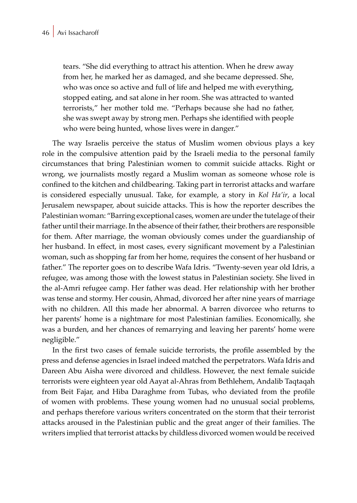tears. "She did everything to attract his attention. When he drew away from her, he marked her as damaged, and she became depressed. She, who was once so active and full of life and helped me with everything, stopped eating, and sat alone in her room. She was attracted to wanted terrorists," her mother told me. "Perhaps because she had no father, she was swept away by strong men. Perhaps she identified with people who were being hunted, whose lives were in danger."

The way Israelis perceive the status of Muslim women obvious plays a key role in the compulsive attention paid by the Israeli media to the personal family circumstances that bring Palestinian women to commit suicide attacks. Right or wrong, we journalists mostly regard a Muslim woman as someone whose role is confined to the kitchen and childbearing. Taking part in terrorist attacks and warfare is considered especially unusual. Take, for example, a story in *Kol Ha'ir*, a local Jerusalem newspaper, about suicide attacks. This is how the reporter describes the Palestinian woman: "Barring exceptional cases, women are under the tutelage of their father until their marriage. In the absence of their father, their brothers are responsible for them. After marriage, the woman obviously comes under the guardianship of her husband. In effect, in most cases, every significant movement by a Palestinian woman, such as shopping far from her home, requires the consent of her husband or father." The reporter goes on to describe Wafa Idris. "Twenty-seven year old Idris, a refugee, was among those with the lowest status in Palestinian society. She lived in the al-Amri refugee camp. Her father was dead. Her relationship with her brother was tense and stormy. Her cousin, Ahmad, divorced her after nine years of marriage with no children. All this made her abnormal. A barren divorcee who returns to her parents' home is a nightmare for most Palestinian families. Economically, she was a burden, and her chances of remarrying and leaving her parents' home were negligible."

In the first two cases of female suicide terrorists, the profile assembled by the press and defense agencies in Israel indeed matched the perpetrators. Wafa Idris and Dareen Abu Aisha were divorced and childless. However, the next female suicide terrorists were eighteen year old Aayat al-Ahras from Bethlehem, Andalib Taqtaqah from Beit Fajar, and Hiba Daraghme from Tubas, who deviated from the profile of women with problems. These young women had no unusual social problems, and perhaps therefore various writers concentrated on the storm that their terrorist attacks aroused in the Palestinian public and the great anger of their families. The writers implied that terrorist attacks by childless divorced women would be received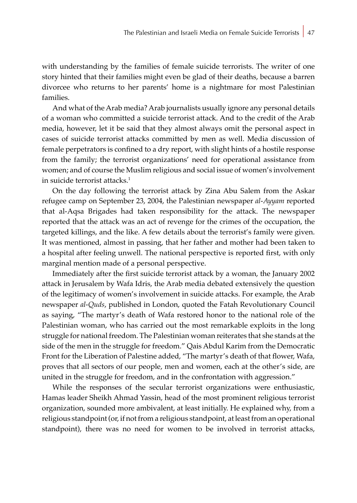with understanding by the families of female suicide terrorists. The writer of one story hinted that their families might even be glad of their deaths, because a barren divorcee who returns to her parents' home is a nightmare for most Palestinian families.

And what of the Arab media? Arab journalists usually ignore any personal details of a woman who committed a suicide terrorist attack. And to the credit of the Arab media, however, let it be said that they almost always omit the personal aspect in cases of suicide terrorist attacks committed by men as well. Media discussion of female perpetrators is confined to a dry report, with slight hints of a hostile response from the family; the terrorist organizations' need for operational assistance from women; and of course the Muslim religious and social issue of women's involvement in suicide terrorist attacks.<sup>1</sup>

On the day following the terrorist attack by Zina Abu Salem from the Askar refugee camp on September 23, 2004, the Palestinian newspaper *al-Ayyam* reported that al-Aqsa Brigades had taken responsibility for the attack. The newspaper reported that the attack was an act of revenge for the crimes of the occupation, the targeted killings, and the like. A few details about the terrorist's family were given. It was mentioned, almost in passing, that her father and mother had been taken to a hospital after feeling unwell. The national perspective is reported first, with only marginal mention made of a personal perspective.

Immediately after the first suicide terrorist attack by a woman, the January 2002 attack in Jerusalem by Wafa Idris, the Arab media debated extensively the question of the legitimacy of women's involvement in suicide attacks. For example, the Arab newspaper *al-Quds*, published in London, quoted the Fatah Revolutionary Council as saying, "The martyr's death of Wafa restored honor to the national role of the Palestinian woman, who has carried out the most remarkable exploits in the long struggle for national freedom. The Palestinian woman reiterates that she stands at the side of the men in the struggle for freedom." Qais Abdul Karim from the Democratic Front for the Liberation of Palestine added, "The martyr's death of that flower, Wafa, proves that all sectors of our people, men and women, each at the other's side, are united in the struggle for freedom, and in the confrontation with aggression."

While the responses of the secular terrorist organizations were enthusiastic, Hamas leader Sheikh Ahmad Yassin, head of the most prominent religious terrorist organization, sounded more ambivalent, at least initially. He explained why, from a religious standpoint (or, if not from a religious standpoint, at least from an operational standpoint), there was no need for women to be involved in terrorist attacks,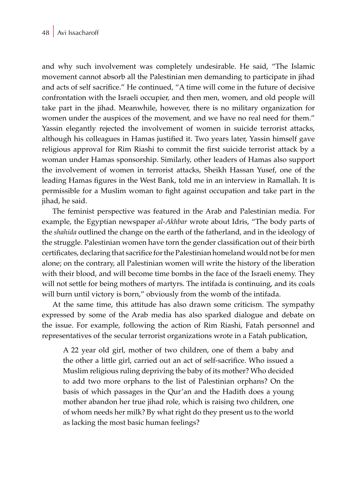and why such involvement was completely undesirable. He said, "The Islamic movement cannot absorb all the Palestinian men demanding to participate in jihad and acts of self sacrifice." He continued, "A time will come in the future of decisive confrontation with the Israeli occupier, and then men, women, and old people will take part in the jihad. Meanwhile, however, there is no military organization for women under the auspices of the movement, and we have no real need for them." Yassin elegantly rejected the involvement of women in suicide terrorist attacks, although his colleagues in Hamas justified it. Two years later, Yassin himself gave religious approval for Rim Riashi to commit the first suicide terrorist attack by a woman under Hamas sponsorship. Similarly, other leaders of Hamas also support the involvement of women in terrorist attacks, Sheikh Hassan Yusef, one of the leading Hamas figures in the West Bank, told me in an interview in Ramallah. It is permissible for a Muslim woman to fight against occupation and take part in the jihad, he said.

The feminist perspective was featured in the Arab and Palestinian media. For example, the Egyptian newspaper *al-Akhbar* wrote about Idris, "The body parts of the *shahida* outlined the change on the earth of the fatherland, and in the ideology of the struggle. Palestinian women have torn the gender classification out of their birth certificates, declaring that sacrifice for the Palestinian homeland would not be for men alone; on the contrary, all Palestinian women will write the history of the liberation with their blood, and will become time bombs in the face of the Israeli enemy. They will not settle for being mothers of martyrs. The intifada is continuing, and its coals will burn until victory is born," obviously from the womb of the intifada.

At the same time, this attitude has also drawn some criticism. The sympathy expressed by some of the Arab media has also sparked dialogue and debate on the issue. For example, following the action of Rim Riashi, Fatah personnel and representatives of the secular terrorist organizations wrote in a Fatah publication,

A 22 year old girl, mother of two children, one of them a baby and the other a little girl, carried out an act of self-sacrifice. Who issued a Muslim religious ruling depriving the baby of its mother? Who decided to add two more orphans to the list of Palestinian orphans? On the basis of which passages in the Qur'an and the Hadith does a young mother abandon her true jihad role, which is raising two children, one of whom needs her milk? By what right do they present us to the world as lacking the most basic human feelings?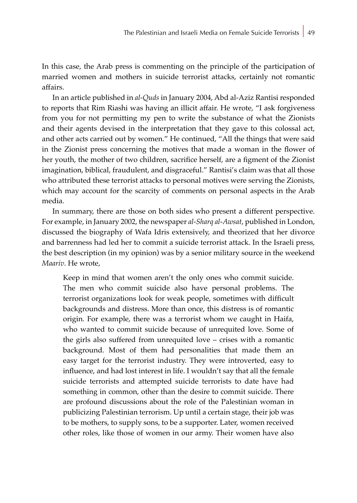In this case, the Arab press is commenting on the principle of the participation of married women and mothers in suicide terrorist attacks, certainly not romantic affairs.

In an article published in *al-Quds* in January 2004, Abd al-Aziz Rantisi responded to reports that Rim Riashi was having an illicit affair. He wrote, "I ask forgiveness from you for not permitting my pen to write the substance of what the Zionists and their agents devised in the interpretation that they gave to this colossal act, and other acts carried out by women." He continued, "All the things that were said in the Zionist press concerning the motives that made a woman in the flower of her youth, the mother of two children, sacrifice herself, are a figment of the Zionist imagination, biblical, fraudulent, and disgraceful." Rantisi's claim was that all those who attributed these terrorist attacks to personal motives were serving the Zionists, which may account for the scarcity of comments on personal aspects in the Arab media.

In summary, there are those on both sides who present a different perspective. For example, in January 2002, the newspaper *al-Sharq al-Awsat*, published in London, discussed the biography of Wafa Idris extensively, and theorized that her divorce and barrenness had led her to commit a suicide terrorist attack. In the Israeli press, the best description (in my opinion) was by a senior military source in the weekend *Maariv*. He wrote,

Keep in mind that women aren't the only ones who commit suicide. The men who commit suicide also have personal problems. The terrorist organizations look for weak people, sometimes with difficult backgrounds and distress. More than once, this distress is of romantic origin. For example, there was a terrorist whom we caught in Haifa, who wanted to commit suicide because of unrequited love. Some of the girls also suffered from unrequited love – crises with a romantic background. Most of them had personalities that made them an easy target for the terrorist industry. They were introverted, easy to influence, and had lost interest in life. I wouldn't say that all the female suicide terrorists and attempted suicide terrorists to date have had something in common, other than the desire to commit suicide. There are profound discussions about the role of the Palestinian woman in publicizing Palestinian terrorism. Up until a certain stage, their job was to be mothers, to supply sons, to be a supporter. Later, women received other roles, like those of women in our army. Their women have also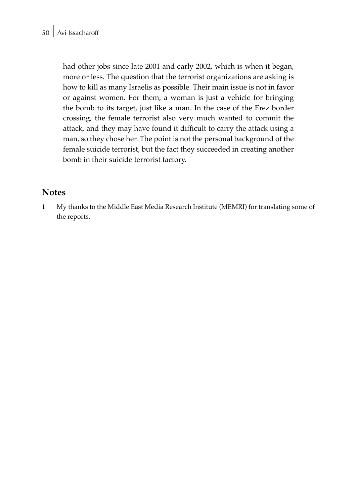had other jobs since late 2001 and early 2002, which is when it began, more or less. The question that the terrorist organizations are asking is how to kill as many Israelis as possible. Their main issue is not in favor or against women. For them, a woman is just a vehicle for bringing the bomb to its target, just like a man. In the case of the Erez border crossing, the female terrorist also very much wanted to commit the attack, and they may have found it difficult to carry the attack using a man, so they chose her. The point is not the personal background of the female suicide terrorist, but the fact they succeeded in creating another bomb in their suicide terrorist factory.

### **Notes**

1 My thanks to the Middle East Media Research Institute (MEMRI) for translating some of the reports.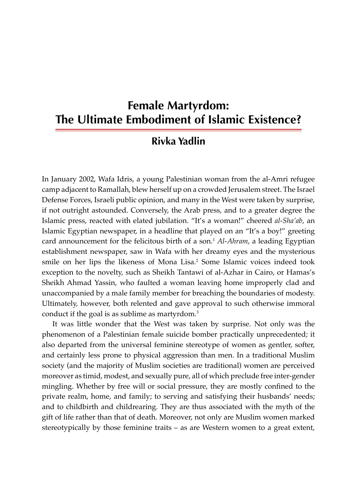# **Female Martyrdom: The Ultimate Embodiment of Islamic Existence?**

# **Rivka Yadlin**

In January 2002, Wafa Idris, a young Palestinian woman from the al-Amri refugee camp adjacent to Ramallah, blew herself up on a crowded Jerusalem street. The Israel Defense Forces, Israeli public opinion, and many in the West were taken by surprise, if not outright astounded. Conversely, the Arab press, and to a greater degree the Islamic press, reacted with elated jubilation. "It's a woman!" cheered *al-Sha'ab*, an Islamic Egyptian newspaper, in a headline that played on an "It's a boy!" greeting card announcement for the felicitous birth of a son.<sup>1</sup> *Al-Ahram*, a leading Egyptian establishment newspaper, saw in Wafa with her dreamy eyes and the mysterious smile on her lips the likeness of Mona Lisa.2 Some Islamic voices indeed took exception to the novelty, such as Sheikh Tantawi of al-Azhar in Cairo, or Hamas's Sheikh Ahmad Yassin, who faulted a woman leaving home improperly clad and unaccompanied by a male family member for breaching the boundaries of modesty. Ultimately, however, both relented and gave approval to such otherwise immoral conduct if the goal is as sublime as martyrdom.<sup>3</sup>

It was little wonder that the West was taken by surprise. Not only was the phenomenon of a Palestinian female suicide bomber practically unprecedented; it also departed from the universal feminine stereotype of women as gentler, softer, and certainly less prone to physical aggression than men. In a traditional Muslim society (and the majority of Muslim societies are traditional) women are perceived moreover as timid, modest, and sexually pure, all of which preclude free inter-gender mingling. Whether by free will or social pressure, they are mostly confined to the private realm, home, and family; to serving and satisfying their husbands' needs; and to childbirth and childrearing. They are thus associated with the myth of the gift of life rather than that of death. Moreover, not only are Muslim women marked stereotypically by those feminine traits – as are Western women to a great extent,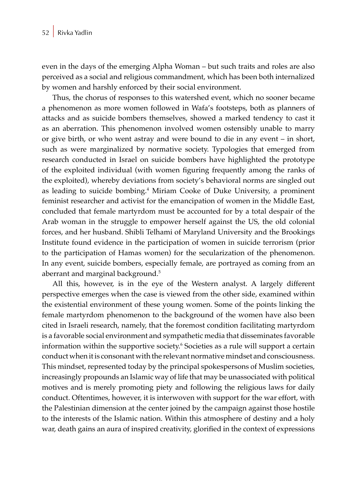even in the days of the emerging Alpha Woman – but such traits and roles are also perceived as a social and religious commandment, which has been both internalized by women and harshly enforced by their social environment.

Thus, the chorus of responses to this watershed event, which no sooner became a phenomenon as more women followed in Wafa's footsteps, both as planners of attacks and as suicide bombers themselves, showed a marked tendency to cast it as an aberration. This phenomenon involved women ostensibly unable to marry or give birth, or who went astray and were bound to die in any event – in short, such as were marginalized by normative society. Typologies that emerged from research conducted in Israel on suicide bombers have highlighted the prototype of the exploited individual (with women figuring frequently among the ranks of the exploited), whereby deviations from society's behavioral norms are singled out as leading to suicide bombing.<sup>4</sup> Miriam Cooke of Duke University, a prominent feminist researcher and activist for the emancipation of women in the Middle East, concluded that female martyrdom must be accounted for by a total despair of the Arab woman in the struggle to empower herself against the US, the old colonial forces, and her husband. Shibli Telhami of Maryland University and the Brookings Institute found evidence in the participation of women in suicide terrorism (prior to the participation of Hamas women) for the secularization of the phenomenon. In any event, suicide bombers, especially female, are portrayed as coming from an aberrant and marginal background.<sup>5</sup>

All this, however, is in the eye of the Western analyst. A largely different perspective emerges when the case is viewed from the other side, examined within the existential environment of these young women. Some of the points linking the female martyrdom phenomenon to the background of the women have also been cited in Israeli research, namely, that the foremost condition facilitating martyrdom is a favorable social environment and sympathetic media that disseminates favorable information within the supportive society.<sup>6</sup> Societies as a rule will support a certain conduct when it is consonant with the relevant normative mindset and consciousness. This mindset, represented today by the principal spokespersons of Muslim societies, increasingly propounds an Islamic way of life that may be unassociated with political motives and is merely promoting piety and following the religious laws for daily conduct. Oftentimes, however, it is interwoven with support for the war effort, with the Palestinian dimension at the center joined by the campaign against those hostile to the interests of the Islamic nation. Within this atmosphere of destiny and a holy war, death gains an aura of inspired creativity, glorified in the context of expressions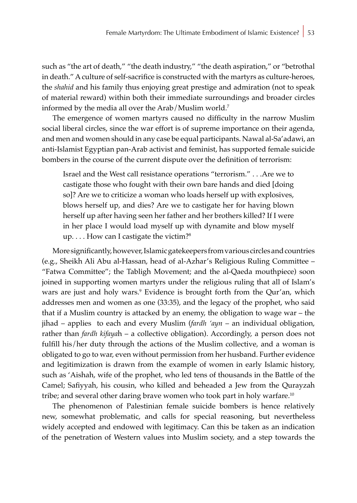such as "the art of death," "the death industry," "the death aspiration," or "betrothal in death." A culture of self-sacrifice is constructed with the martyrs as culture-heroes, the *shahid* and his family thus enjoying great prestige and admiration (not to speak of material reward) within both their immediate surroundings and broader circles informed by the media all over the Arab/Muslim world.<sup>7</sup>

The emergence of women martyrs caused no difficulty in the narrow Muslim social liberal circles, since the war effort is of supreme importance on their agenda, and men and women should in any case be equal participants. Nawal al-Sa'adawi, an anti-Islamist Egyptian pan-Arab activist and feminist, has supported female suicide bombers in the course of the current dispute over the definition of terrorism:

Israel and the West call resistance operations "terrorism." . . .Are we to castigate those who fought with their own bare hands and died [doing so]? Are we to criticize a woman who loads herself up with explosives, blows herself up, and dies? Are we to castigate her for having blown herself up after having seen her father and her brothers killed? If I were in her place I would load myself up with dynamite and blow myself  $up. \ldots$  How can I castigate the victim?<sup>8</sup>

More significantly, however, Islamic gatekeepers from various circles and countries (e.g., Sheikh Ali Abu al-Hassan, head of al-Azhar's Religious Ruling Committee – "Fatwa Committee"; the Tabligh Movement; and the al-Qaeda mouthpiece) soon joined in supporting women martyrs under the religious ruling that all of Islam's wars are just and holy wars.9 Evidence is brought forth from the Qur'an, which addresses men and women as one (33:35), and the legacy of the prophet, who said that if a Muslim country is attacked by an enemy, the obligation to wage war – the jihad – applies to each and every Muslim (*fardh 'ayn* – an individual obligation, rather than *fardh kifaya*h – a collective obligation). Accordingly, a person does not fulfill his/her duty through the actions of the Muslim collective, and a woman is obligated to go to war, even without permission from her husband. Further evidence and legitimization is drawn from the example of women in early Islamic history, such as 'Aishah, wife of the prophet, who led tens of thousands in the Battle of the Camel; Safiyyah, his cousin, who killed and beheaded a Jew from the Qurayzah tribe; and several other daring brave women who took part in holy warfare.<sup>10</sup>

The phenomenon of Palestinian female suicide bombers is hence relatively new, somewhat problematic, and calls for special reasoning, but nevertheless widely accepted and endowed with legitimacy. Can this be taken as an indication of the penetration of Western values into Muslim society, and a step towards the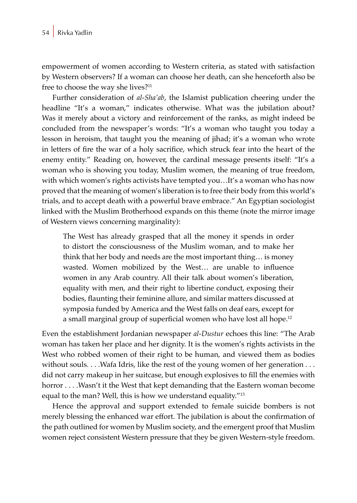empowerment of women according to Western criteria, as stated with satisfaction by Western observers? If a woman can choose her death, can she henceforth also be free to choose the way she lives?<sup>11</sup>

Further consideration of *al-Sha'ab*, the Islamist publication cheering under the headline "It's a woman," indicates otherwise. What was the jubilation about? Was it merely about a victory and reinforcement of the ranks, as might indeed be concluded from the newspaper's words: "It's a woman who taught you today a lesson in heroism, that taught you the meaning of jihad; it's a woman who wrote in letters of fire the war of a holy sacrifice, which struck fear into the heart of the enemy entity." Reading on, however, the cardinal message presents itself: "It's a woman who is showing you today, Muslim women, the meaning of true freedom, with which women's rights activists have tempted you…It's a woman who has now proved that the meaning of women's liberation is to free their body from this world's trials, and to accept death with a powerful brave embrace." An Egyptian sociologist linked with the Muslim Brotherhood expands on this theme (note the mirror image of Western views concerning marginality):

The West has already grasped that all the money it spends in order to distort the consciousness of the Muslim woman, and to make her think that her body and needs are the most important thing… is money wasted. Women mobilized by the West… are unable to influence women in any Arab country. All their talk about women's liberation, equality with men, and their right to libertine conduct, exposing their bodies, flaunting their feminine allure, and similar matters discussed at symposia funded by America and the West falls on deaf ears, except for a small marginal group of superficial women who have lost all hope.<sup>12</sup>

Even the establishment Jordanian newspaper *al-Dustur* echoes this line: "The Arab woman has taken her place and her dignity. It is the women's rights activists in the West who robbed women of their right to be human, and viewed them as bodies without souls. . . . Wafa Idris, like the rest of the young women of her generation . . . did not carry makeup in her suitcase, but enough explosives to fill the enemies with horror . . . . Wasn't it the West that kept demanding that the Eastern woman become equal to the man? Well, this is how we understand equality."<sup>13</sup>

Hence the approval and support extended to female suicide bombers is not merely blessing the enhanced war effort. The jubilation is about the confirmation of the path outlined for women by Muslim society, and the emergent proof that Muslim women reject consistent Western pressure that they be given Western-style freedom.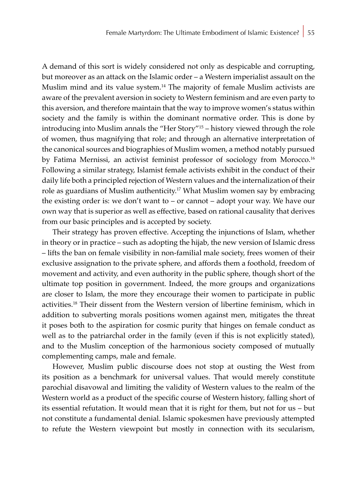A demand of this sort is widely considered not only as despicable and corrupting, but moreover as an attack on the Islamic order – a Western imperialist assault on the Muslim mind and its value system.14 The majority of female Muslim activists are aware of the prevalent aversion in society to Western feminism and are even party to this aversion, and therefore maintain that the way to improve women's status within society and the family is within the dominant normative order. This is done by introducing into Muslim annals the "Her Story"15 – history viewed through the role of women, thus magnifying that role; and through an alternative interpretation of the canonical sources and biographies of Muslim women, a method notably pursued by Fatima Mernissi, an activist feminist professor of sociology from Morocco.<sup>16</sup> Following a similar strategy, Islamist female activists exhibit in the conduct of their daily life both a principled rejection of Western values and the internalization of their role as guardians of Muslim authenticity.17 What Muslim women say by embracing the existing order is: we don't want to – or cannot – adopt your way. We have our own way that is superior as well as effective, based on rational causality that derives from our basic principles and is accepted by society.

Their strategy has proven effective. Accepting the injunctions of Islam, whether in theory or in practice – such as adopting the hijab, the new version of Islamic dress – lifts the ban on female visibility in non-familial male society, frees women of their exclusive assignation to the private sphere, and affords them a foothold, freedom of movement and activity, and even authority in the public sphere, though short of the ultimate top position in government. Indeed, the more groups and organizations are closer to Islam, the more they encourage their women to participate in public activities.18 Their dissent from the Western version of libertine feminism, which in addition to subverting morals positions women against men, mitigates the threat it poses both to the aspiration for cosmic purity that hinges on female conduct as well as to the patriarchal order in the family (even if this is not explicitly stated), and to the Muslim conception of the harmonious society composed of mutually complementing camps, male and female.

However, Muslim public discourse does not stop at ousting the West from its position as a benchmark for universal values. That would merely constitute parochial disavowal and limiting the validity of Western values to the realm of the Western world as a product of the specific course of Western history, falling short of its essential refutation. It would mean that it is right for them, but not for us – but not constitute a fundamental denial. Islamic spokesmen have previously attempted to refute the Western viewpoint but mostly in connection with its secularism,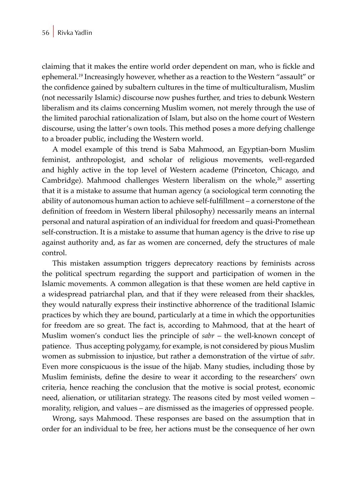claiming that it makes the entire world order dependent on man, who is fickle and ephemeral.19 Increasingly however, whether as a reaction to the Western "assault" or the confidence gained by subaltern cultures in the time of multiculturalism, Muslim (not necessarily Islamic) discourse now pushes further, and tries to debunk Western liberalism and its claims concerning Muslim women, not merely through the use of the limited parochial rationalization of Islam, but also on the home court of Western discourse, using the latter's own tools. This method poses a more defying challenge to a broader public, including the Western world.

A model example of this trend is Saba Mahmood, an Egyptian-born Muslim feminist, anthropologist, and scholar of religious movements, well-regarded and highly active in the top level of Western academe (Princeton, Chicago, and Cambridge). Mahmood challenges Western liberalism on the whole, $20$  asserting that it is a mistake to assume that human agency (a sociological term connoting the ability of autonomous human action to achieve self-fulfillment – a cornerstone of the definition of freedom in Western liberal philosophy) necessarily means an internal personal and natural aspiration of an individual for freedom and quasi-Promethean self-construction. It is a mistake to assume that human agency is the drive to rise up against authority and, as far as women are concerned, defy the structures of male control.

This mistaken assumption triggers deprecatory reactions by feminists across the political spectrum regarding the support and participation of women in the Islamic movements. A common allegation is that these women are held captive in a widespread patriarchal plan, and that if they were released from their shackles, they would naturally express their instinctive abhorrence of the traditional Islamic practices by which they are bound, particularly at a time in which the opportunities for freedom are so great. The fact is, according to Mahmood, that at the heart of Muslim women's conduct lies the principle of *sabr* – the well-known concept of patience.Thus accepting polygamy, for example, is not considered by pious Muslim women as submission to injustice, but rather a demonstration of the virtue of *sabr*. Even more conspicuous is the issue of the hijab. Many studies, including those by Muslim feminists, define the desire to wear it according to the researchers' own criteria, hence reaching the conclusion that the motive is social protest, economic need, alienation, or utilitarian strategy. The reasons cited by most veiled women – morality, religion, and values – are dismissed as the imageries of oppressed people.

Wrong, says Mahmood. These responses are based on the assumption that in order for an individual to be free, her actions must be the consequence of her own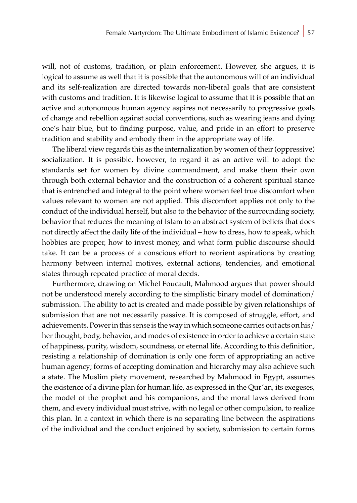will, not of customs, tradition, or plain enforcement. However, she argues, it is logical to assume as well that it is possible that the autonomous will of an individual and its self-realization are directed towards non-liberal goals that are consistent with customs and tradition. It is likewise logical to assume that it is possible that an active and autonomous human agency aspires not necessarily to progressive goals of change and rebellion against social conventions, such as wearing jeans and dying one's hair blue, but to finding purpose, value, and pride in an effort to preserve tradition and stability and embody them in the appropriate way of life.

The liberal view regards this as the internalization by women of their (oppressive) socialization. It is possible, however, to regard it as an active will to adopt the standards set for women by divine commandment, and make them their own through both external behavior and the construction of a coherent spiritual stance that is entrenched and integral to the point where women feel true discomfort when values relevant to women are not applied. This discomfort applies not only to the conduct of the individual herself, but also to the behavior of the surrounding society, behavior that reduces the meaning of Islam to an abstract system of beliefs that does not directly affect the daily life of the individual – how to dress, how to speak, which hobbies are proper, how to invest money, and what form public discourse should take. It can be a process of a conscious effort to reorient aspirations by creating harmony between internal motives, external actions, tendencies, and emotional states through repeated practice of moral deeds.

Furthermore, drawing on Michel Foucault, Mahmood argues that power should not be understood merely according to the simplistic binary model of domination/ submission. The ability to act is created and made possible by given relationships of submission that are not necessarily passive. It is composed of struggle, effort, and achievements. Power in this sense is the way in which someone carries out acts on his/ her thought, body, behavior, and modes of existence in order to achieve a certain state of happiness, purity, wisdom, soundness, or eternal life. According to this definition, resisting a relationship of domination is only one form of appropriating an active human agency; forms of accepting domination and hierarchy may also achieve such a state. The Muslim piety movement, researched by Mahmood in Egypt, assumes the existence of a divine plan for human life, as expressed in the Qur'an, its exegeses, the model of the prophet and his companions, and the moral laws derived from them, and every individual must strive, with no legal or other compulsion, to realize this plan. In a context in which there is no separating line between the aspirations of the individual and the conduct enjoined by society, submission to certain forms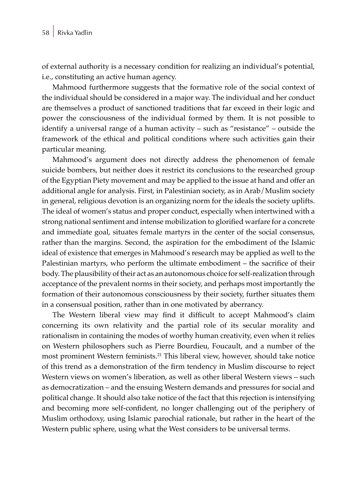of external authority is a necessary condition for realizing an individual's potential, i.e., constituting an active human agency.

Mahmood furthermore suggests that the formative role of the social context of the individual should be considered in a major way. The individual and her conduct are themselves a product of sanctioned traditions that far exceed in their logic and power the consciousness of the individual formed by them. It is not possible to identify a universal range of a human activity – such as "resistance" – outside the framework of the ethical and political conditions where such activities gain their particular meaning.

Mahmood's argument does not directly address the phenomenon of female suicide bombers, but neither does it restrict its conclusions to the researched group of the Egyptian Piety movement and may be applied to the issue at hand and offer an additional angle for analysis. First, in Palestinian society, as in Arab/Muslim society in general, religious devotion is an organizing norm for the ideals the society uplifts. The ideal of women's status and proper conduct, especially when intertwined with a strong national sentiment and intense mobilization to glorified warfare for a concrete and immediate goal, situates female martyrs in the center of the social consensus, rather than the margins. Second, the aspiration for the embodiment of the Islamic ideal of existence that emerges in Mahmood's research may be applied as well to the Palestinian martyrs, who perform the ultimate embodiment – the sacrifice of their body. The plausibility of their act as an autonomous choice for self-realization through acceptance of the prevalent norms in their society, and perhaps most importantly the formation of their autonomous consciousness by their society, further situates them in a consensual position, rather than in one motivated by aberrancy.

The Western liberal view may find it difficult to accept Mahmood's claim concerning its own relativity and the partial role of its secular morality and rationalism in containing the modes of worthy human creativity, even when it relies on Western philosophers such as Pierre Bourdieu, Foucault, and a number of the most prominent Western feminists.21 This liberal view, however, should take notice of this trend as a demonstration of the firm tendency in Muslim discourse to reject Western views on women's liberation, as well as other liberal Western views – such as democratization – and the ensuing Western demands and pressures for social and political change. It should also take notice of the fact that this rejection is intensifying and becoming more self-confident, no longer challenging out of the periphery of Muslim orthodoxy, using Islamic parochial rationale, but rather in the heart of the Western public sphere, using what the West considers to be universal terms.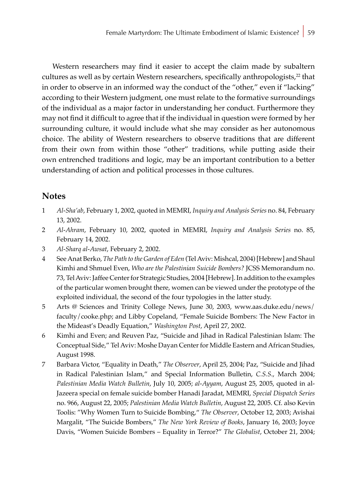Western researchers may find it easier to accept the claim made by subaltern cultures as well as by certain Western researchers, specifically anthropologists,<sup>22</sup> that in order to observe in an informed way the conduct of the "other," even if "lacking" according to their Western judgment, one must relate to the formative surroundings of the individual as a major factor in understanding her conduct. Furthermore they may not find it difficult to agree that if the individual in question were formed by her surrounding culture, it would include what she may consider as her autonomous choice. The ability of Western researchers to observe traditions that are different from their own from within those "other" traditions, while putting aside their own entrenched traditions and logic, may be an important contribution to a better understanding of action and political processes in those cultures.

### **Notes**

- 1 *Al-Sha'ab*, February 1, 2002, quoted in MEMRI, *Inquiry and Analysis Series* no. 84, February 13, 2002.
- 2 *Al-Ahram*, February 10, 2002, quoted in MEMRI, *Inquiry and Analysis Series* no. 85, February 14, 2002.
- 3 *Al-Sharq al-Awsat*, February 2, 2002.
- 4 See Anat Berko, *The Path to the Garden of Eden* (Tel Aviv: Mishcal, 2004) [Hebrew] and Shaul Kimhi and Shmuel Even, *Who are the Palestinian Suicide Bombers?* JCSS Memorandum no. 73, Tel Aviv: Jaffee Center for Strategic Studies, 2004 [Hebrew]. In addition to the examples of the particular women brought there, women can be viewed under the prototype of the exploited individual, the second of the four typologies in the latter study.
- 5 Arts @ Sciences and Trinity College News, June 30, 2003, www.aas.duke.edu/news/ faculty/cooke.php; and Libby Copeland, "Female Suicide Bombers: The New Factor in the Mideast's Deadly Equation," *Washington Post*, April 27, 2002.
- 6 Kimhi and Even; and Reuven Paz, "Suicide and Jihad in Radical Palestinian Islam: The Conceptual Side," Tel Aviv: Moshe Dayan Center for Middle Eastern and African Studies, August 1998.
- 7 Barbara Victor, "Equality in Death," *The Observer*, April 25, 2004; Paz, "Suicide and Jihad in Radical Palestinian Islam," and Special Information Bulletin, *C.S.S*., March 2004; *Palestinian Media Watch Bulletin*, July 10, 2005; *al-Ayyam*, August 25, 2005, quoted in al-Jazeera special on female suicide bomber Hanadi Jaradat, MEMRI, *Special Dispatch Series* no. 966, August 22, 2005; *Palestinian Media Watch Bulletin*, August 22, 2005. Cf. also Kevin Toolis: "Why Women Turn to Suicide Bombing," *The Observer*, October 12, 2003; Avishai Margalit, "The Suicide Bombers," *The New York Review of Books*, January 16, 2003; Joyce Davis, "Women Suicide Bombers – Equality in Terror?" *The Globalist*, October 21, 2004;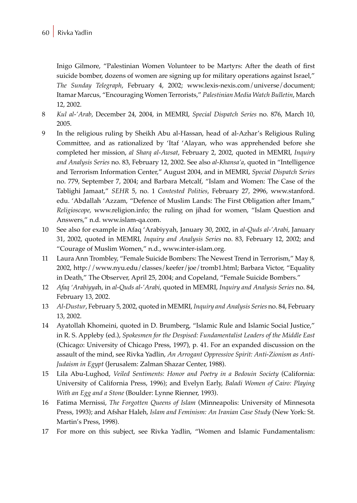Inigo Gilmore, "Palestinian Women Volunteer to be Martyrs: After the death of first suicide bomber, dozens of women are signing up for military operations against Israel," *The Sunday Telegraph*, February 4, 2002; www.lexis-nexis.com/universe/document; Itamar Marcus, "Encouraging Women Terrorists," *Palestinian Media Watch Bulletin*, March 12, 2002.

- 8 *Kul al-'Arab*, December 24, 2004, in MEMRI, *Special Dispatch Series* no. 876, March 10, 2005.
- 9 In the religious ruling by Sheikh Abu al-Hassan, head of al-Azhar's Religious Ruling Committee, and as rationalized by 'Itaf 'Alayan, who was apprehended before she completed her mission, *al Sharq al-Awsat*, February 2, 2002, quoted in MEMRI, *Inquiry and Analysis Series* no. 83, February 12, 2002. See also *al-Khansa'a*, quoted in "Intelligence and Terrorism Information Center," August 2004, and in MEMRI, *Special Dispatch Series* no. 779, September 7, 2004; and Barbara Metcalf, "Islam and Women: The Case of the Tablighi Jamaat," *SEHR* 5, no. 1 *Contested Polities*, February 27, 2996, www.stanford. edu. 'Abdallah 'Azzam, "Defence of Muslim Lands: The First Obligation after Imam," *Religioscope*, www.religion.info; the ruling on jihad for women, "Islam Question and Answers," n.d. www.islam-qa.com.
- 10 See also for example in Afaq 'Arabiyyah, January 30, 2002, in *al-Quds al-'Arabi*, January 31, 2002, quoted in MEMRI, *Inquiry and Analysis Series* no. 83, February 12, 2002; and "Courage of Muslim Women," n.d., www.inter-islam.org.
- 11 Laura Ann Trombley, "Female Suicide Bombers: The Newest Trend in Terrorism," May 8, 2002, http://www.nyu.edu/classes/keefer/joe/tromb1.html; Barbara Victor, "Equality in Death," The Observer, April 25, 2004; and Copeland, "Female Suicide Bombers."
- 12 *Afaq 'Arabiyya*h, in *al-Quds al-'Arabi*, quoted in MEMRI, *Inquiry and Analysis Series* no. 84, February 13, 2002.
- 13 *Al-Dustur*, February 5, 2002, quoted in MEMRI, *Inquiry and Analysis Series* no. 84, February 13, 2002.
- 14 Ayatollah Khomeini, quoted in D. Brumberg, "Islamic Rule and Islamic Social Justice," in R. S. Appleby (ed.), *Spokesmen for the Despised: Fundamentalist Leaders of the Middle East* (Chicago: University of Chicago Press, 1997), p. 41. For an expanded discussion on the assault of the mind, see Rivka Yadlin, *An Arrogant Oppressive Spirit: Anti-Zionism as Anti-Judaism in Egypt* (Jerusalem: Zalman Shazar Center, 1988).
- 15 Lila Abu-Lughod, *Veiled Sentiments: Honor and Poetry in a Bedouin Society* (California: University of California Press, 1996); and Evelyn Early, *Baladi Women of Cairo: Playing With an Egg and a Stone* (Boulder: Lynne Rienner, 1993).
- 16 Fatima Mernissi, *The Forgotten Queens of Islam* (Minneapolis: University of Minnesota Press, 1993); and Afshar Haleh, *Islam and Feminism: An Iranian Case Study* (New York: St. Martin's Press, 1998).
- 17 For more on this subject, see Rivka Yadlin, "Women and Islamic Fundamentalism: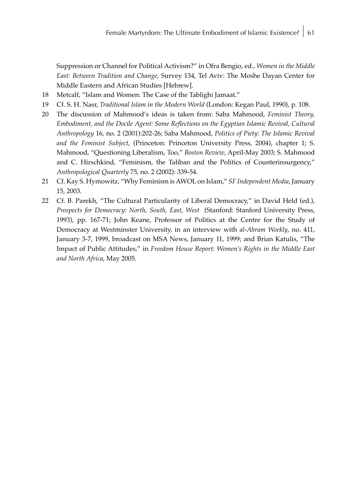Suppression or Channel for Political Activism?" in Ofra Bengio, ed*., Women in the Middle East: Between Tradition and Change*, Survey 134, Tel Aviv: The Moshe Dayan Center for Middle Eastern and African Studies [Hebrew].

- 18 Metcalf, "Islam and Women: The Case of the Tablighi Jamaat."
- 19 Cf. S. H. Nasr, *Traditional Islam in the Modern World* (London: Kegan Paul, 1990), p. 108.
- 20 The discussion of Mahmood's ideas is taken from: Saba Mahmood, *Feminist Theory, Embodiment, and the Docile Agent: Some Reflections on the Egyptian Islamic Revival*, *Cultural Anthropology* 16, no. 2 (2001):202-26; Saba Mahmood, *Politics of Piety: The Islamic Revival and the Feminist Subject*, (Princeton: Princeton University Press, 2004), chapter 1; S. Mahmood, "Questioning Liberalism, Too," *Boston Review*, April-May 2003; S. Mahmood and C. Hirschkind, "Feminism, the Taliban and the Politics of Counterinsurgency," *Anthropological Quarterly* 75, no. 2 (2002): 339-54.
- 21 Cf. Kay S. Hymowitz, "Why Feminism is AWOL on Islam," *SF Independent Media*, January 15, 2003.
- 22 Cf. B. Parekh, "The Cultural Particularity of Liberal Democracy," in David Held (ed.), *Prospects for Democracy: North, South, East, West* (Stanford: Stanford University Press, 1993), pp. 167-71; John Keane, Professor of Politics at the Centre for the Study of Democracy at Westminster University, in an interview with *al-Ahram Weekly*, no. 411, January 3-7, 1999, broadcast on MSA News, January 11, 1999; and Brian Katulis, "The Impact of Public Attitudes," in *Freedom House Report: Women's Rights in the Middle East and North Africa*, May 2005.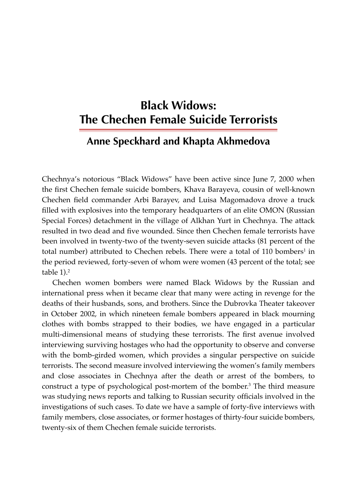# **Black Widows: The Chechen Female Suicide Terrorists**

## **Anne Speckhard and Khapta Akhmedova**

Chechnya's notorious "Black Widows" have been active since June 7, 2000 when the first Chechen female suicide bombers, Khava Barayeva, cousin of well-known Chechen field commander Arbi Barayev, and Luisa Magomadova drove a truck filled with explosives into the temporary headquarters of an elite OMON (Russian Special Forces) detachment in the village of Alkhan Yurt in Chechnya. The attack resulted in two dead and five wounded. Since then Chechen female terrorists have been involved in twenty-two of the twenty-seven suicide attacks (81 percent of the total number) attributed to Chechen rebels. There were a total of 110 bombers<sup>1</sup> in the period reviewed, forty-seven of whom were women (43 percent of the total; see table  $1$ ). $2$ 

Chechen women bombers were named Black Widows by the Russian and international press when it became clear that many were acting in revenge for the deaths of their husbands, sons, and brothers. Since the Dubrovka Theater takeover in October 2002, in which nineteen female bombers appeared in black mourning clothes with bombs strapped to their bodies, we have engaged in a particular multi-dimensional means of studying these terrorists. The first avenue involved interviewing surviving hostages who had the opportunity to observe and converse with the bomb-girded women, which provides a singular perspective on suicide terrorists. The second measure involved interviewing the women's family members and close associates in Chechnya after the death or arrest of the bombers, to construct a type of psychological post-mortem of the bomber.<sup>3</sup> The third measure was studying news reports and talking to Russian security officials involved in the investigations of such cases. To date we have a sample of forty-five interviews with family members, close associates, or former hostages of thirty-four suicide bombers, twenty-six of them Chechen female suicide terrorists.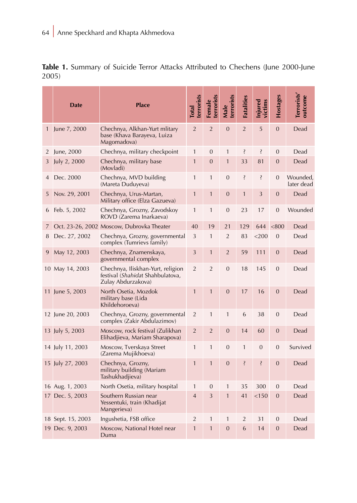|              | <b>Date</b>       | <b>Place</b>                                                                                | terrorists<br><b>Total</b> | terrorists<br>Female | terrorists<br>Male | <b>Fatalities</b> | njured<br>victims | Hostages       | Terrorists'<br>outcome |
|--------------|-------------------|---------------------------------------------------------------------------------------------|----------------------------|----------------------|--------------------|-------------------|-------------------|----------------|------------------------|
| $\mathbf{1}$ | June 7, 2000      | Chechnya, Alkhan-Yurt mlitary<br>base (Khava Barayeva, Luiza<br>Magomadova)                 | $\overline{2}$             | $\overline{2}$       | $\mathbf{0}$       | $\overline{2}$    | 5                 | $\overline{0}$ | Dead                   |
| 2            | June, 2000        | Chechnya, military checkpoint                                                               |                            | 0                    | $\mathbf{1}$       | ś,                | Ş                 | $\mathbf{0}$   | Dead                   |
| 3            | July 2, 2000      | Chechnya, military base<br>(Movladi)                                                        | $\mathbf{1}$               | $\overline{0}$       | $\mathbf{1}$       | 33                | 81                | $\overline{0}$ | Dead                   |
| 4            | Dec. 2000         | Chechnya, MVD building<br>(Mareta Duduyeva)                                                 |                            | $\mathbf{1}$         | $\overline{0}$     | Ş                 | Ş                 | $\overline{0}$ | Wounded,<br>later dead |
| 5            | Nov. 29, 2001     | Chechnya, Urus-Martan,<br>Military office (Elza Gazueva)                                    |                            | $\mathbf{1}$         | $\mathbf{0}$       | $\mathbf{1}$      | 3                 | $\mathbf{0}$   | Dead                   |
| 6            | Feb. 5, 2002      | Chechnya, Grozny, Zavodskoy<br>ROVD (Zarema Inarkaeva)                                      |                            | $\mathbf{1}$         | $\overline{0}$     | 23                | 17                | $\overline{0}$ | Wounded                |
| 7            |                   | Oct. 23-26, 2002 Moscow, Dubrovka Theater                                                   |                            | 19                   | 21                 | 129               | 644               | < 800          | Dead                   |
| 8            | Dec. 27, 2002     | Chechnya, Grozny, governmental<br>complex (Tumrievs family)                                 | 3                          | $\mathbf{1}$         | $\overline{2}$     | 83                | $<$ 200           | $\mathbf{0}$   | Dead                   |
| 9            | May 12, 2003      | Chechnya, Znamenskaya,<br>governmental complex                                              |                            | $\mathbf{1}$         | $\overline{2}$     | 59                | 111               | $\overline{0}$ | Dead                   |
|              | 10 May 14, 2003   | Chechnya, Iliskhan-Yurt, religion<br>festival (Shahidat Shahbulatova,<br>Zulay Abdurzakova) | $\overline{2}$             | $\overline{2}$       | $\overline{0}$     | 18                | 145               | $\overline{0}$ | Dead                   |
|              | 11 June 5, 2003   | North Osetia, Mozdok<br>military base (Lida<br>Khildehoroeva)                               | $\mathbf{1}$               | $\mathbf{1}$         | $\mathbf{0}$       | 17                | 16                | $\mathbf{0}$   | Dead                   |
|              | 12 June 20, 2003  | Chechnya, Grozny, governmental<br>complex (Zakir Abdulazimov)                               |                            | $\mathbf{1}$         | $\mathbf{1}$       | 6                 | 38                | $\overline{0}$ | Dead                   |
|              | 13 July 5, 2003   | Moscow, rock festival (Zulikhan<br>Elihadjieva, Mariam Sharapova)                           |                            | $\overline{2}$       | $\mathbf{0}$       | 14                | 60                | $\mathbf{0}$   | Dead                   |
|              | 14 July 11, 2003  | Moscow, Tverskaya Street<br>(Zarema Mujikhoeva)                                             |                            | $\mathbf{1}$         | $\overline{0}$     | $\mathbf{1}$      | $\overline{0}$    | $\overline{0}$ | Survived               |
|              | 15 July 27, 2003  | Chechnya, Grozny,<br>military building (Mariam<br>Tashukhadjieva)                           |                            | $\overline{1}$       | $\overline{0}$     | Ş                 | Ş                 | $\overline{0}$ | Dead                   |
|              | 16 Aug. 1, 2003   | North Osetia, military hospital                                                             | $\mathbf{1}$               | 0                    | $\mathbf{1}$       | 35                | 300               | $\mathbf{0}$   | Dead                   |
|              | 17 Dec. 5, 2003   | Southern Russian near<br>Yessentuki, train (Khadijat<br>Mangerieva)                         | $\overline{4}$             | 3                    | $\mathbf{1}$       | 41                | < 150             | $\overline{0}$ | Dead                   |
|              | 18 Sept. 15, 2003 | Ingushetia, FSB office                                                                      | $\overline{2}$             | 1                    | $\mathbf{1}$       | $\overline{2}$    | 31                | $\mathbf{0}$   | Dead                   |
|              | 19 Dec. 9, 2003   | Moscow, National Hotel near<br>Duma                                                         | $\mathbf{1}$               | $\mathbf{1}$         | $\overline{0}$     | 6                 | 14                | $\overline{0}$ | Dead                   |

**Table 1.** Summary of Suicide Terror Attacks Attributed to Chechens (June 2000-June 2005)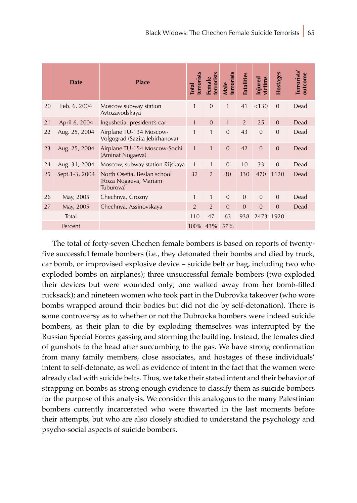|         | <b>Date</b>     | <b>Place</b>                                                      | terrorists<br><b>Total</b> | terrorists<br>Female | terrorists<br>Male | Fatalities     | victims<br>Injured | Hostages       | Terrorists'<br>outcome |
|---------|-----------------|-------------------------------------------------------------------|----------------------------|----------------------|--------------------|----------------|--------------------|----------------|------------------------|
| 20      | Feb. 6, 2004    | Moscow subway station<br>Avtozavodskaya                           | $\mathbf{1}$               | $\overline{0}$       | 1                  | 41             | < 130              | $\overline{0}$ | Dead                   |
| 21      | April 6, 2004   | Ingushetia, president's car                                       | $\mathbf{1}$               | $\overline{0}$       | $\mathbf{1}$       | $\overline{2}$ | 25                 | $\mathbf{0}$   | Dead                   |
| 22      | Aug. 25, 2004   | Airplane TU-134 Moscow-<br>Volgograd (Sazita Jebirhanova)         | $\mathbf{1}$               | 1                    | $\overline{0}$     | 43             | $\overline{0}$     | $\overline{0}$ | Dead                   |
| 23      | Aug. 25, 2004   | Airplane TU-154 Moscow-Sochi<br>(Aminat Nogaeva)                  | $\mathbf{1}$               | $\mathbf{1}$         | $\overline{0}$     | 42             | $\overline{0}$     | $\overline{0}$ | Dead                   |
| 24      | Aug. 31, 2004   | Moscow, subway station Rijskaya                                   | 1                          | 1                    | $\Omega$           | 10             | 33                 | $\overline{0}$ | Dead                   |
| 25      | Sept. 1-3, 2004 | North Osetia, Beslan school<br>(Roza Nogaeva, Mariam<br>Tuburova) | 32                         | $\overline{2}$       | 30                 | 330            | 470                | 1120           | Dead                   |
| 26      | May, 2005       | Chechnya, Grozny                                                  | 1                          | 1                    | $\overline{0}$     | $\overline{0}$ | $\overline{0}$     | $\overline{0}$ | Dead                   |
| 27      | May, 2005       | Chechnya, Assinovskaya                                            | $\overline{2}$             | $\overline{2}$       | $\Omega$           | $\overline{0}$ | $\overline{0}$     | $\overline{0}$ | Dead                   |
| Total   |                 |                                                                   | 110                        | 47                   | 63                 | 938            |                    | 2473 1920      |                        |
| Percent |                 |                                                                   | 100%                       | 43%                  | 57%                |                |                    |                |                        |

The total of forty-seven Chechen female bombers is based on reports of twentyfive successful female bombers (i.e., they detonated their bombs and died by truck, car bomb, or improvised explosive device – suicide belt or bag, including two who exploded bombs on airplanes); three unsuccessful female bombers (two exploded their devices but were wounded only; one walked away from her bomb-filled rucksack); and nineteen women who took part in the Dubrovka takeover (who wore bombs wrapped around their bodies but did not die by self-detonation). There is some controversy as to whether or not the Dubrovka bombers were indeed suicide bombers, as their plan to die by exploding themselves was interrupted by the Russian Special Forces gassing and storming the building. Instead, the females died of gunshots to the head after succumbing to the gas. We have strong confirmation from many family members, close associates, and hostages of these individuals' intent to self-detonate, as well as evidence of intent in the fact that the women were already clad with suicide belts. Thus, we take their stated intent and their behavior of strapping on bombs as strong enough evidence to classify them as suicide bombers for the purpose of this analysis. We consider this analogous to the many Palestinian bombers currently incarcerated who were thwarted in the last moments before their attempts, but who are also closely studied to understand the psychology and psycho-social aspects of suicide bombers.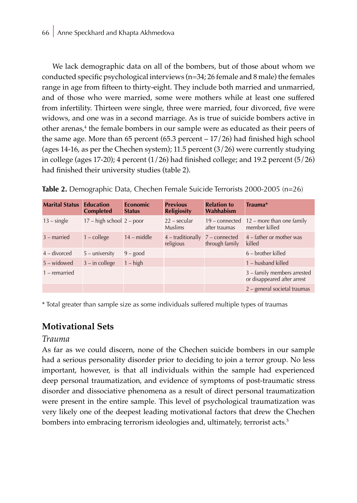We lack demographic data on all of the bombers, but of those about whom we conducted specific psychological interviews (n=34; 26 female and 8 male) the females range in age from fifteen to thirty-eight. They include both married and unmarried, and of those who were married, some were mothers while at least one suffered from infertility. Thirteen were single, three were married, four divorced, five were widows, and one was in a second marriage. As is true of suicide bombers active in other arenas,<sup>4</sup> the female bombers in our sample were as educated as their peers of the same age. More than 65 percent (65.3 percent – 17/26) had finished high school (ages 14-16, as per the Chechen system); 11.5 percent  $(3/26)$  were currently studying in college (ages 17-20); 4 percent  $(1/26)$  had finished college; and 19.2 percent  $(5/26)$ had finished their university studies (table 2).

|  |  | Table 2. Demographic Data, Chechen Female Suicide Terrorists 2000-2005 (n=26) |
|--|--|-------------------------------------------------------------------------------|
|--|--|-------------------------------------------------------------------------------|

| <b>Marital Status</b> | <b>Education</b><br><b>Completed</b> | <b>Economic</b><br><b>Status</b> | <b>Previous</b><br><b>Religiosity</b>   | <b>Relation to</b><br>Wahhabism   | $Trauma*$                                                  |
|-----------------------|--------------------------------------|----------------------------------|-----------------------------------------|-----------------------------------|------------------------------------------------------------|
| $13 - single$         | $17 - high school 2 - poor$          |                                  | $22 - \text{secular}$<br><b>Muslims</b> | $19$ – connected<br>after traumas | $12$ – more than one family<br>member killed               |
| $3$ – married         | $1$ – college                        | $14$ – middle                    | $4$ – traditionally<br>religious        | $7$ – connected<br>through family | $4$ – father or mother was<br>killed                       |
| $4$ – divorced        | $5 -$ university                     | $9 - good$                       |                                         |                                   | $6$ – brother killed                                       |
| $5 -$ widowed         | $3 - in college$                     | $1 - high$                       |                                         |                                   | $1 -$ husband killed                                       |
| $1$ – remarried       |                                      |                                  |                                         |                                   | 3 - family members arrested<br>or disappeared after arrest |
|                       |                                      |                                  |                                         |                                   | $2$ – general societal traumas                             |

\* Total greater than sample size as some individuals suffered multiple types of traumas

## **Motivational Sets**

### *Trauma*

As far as we could discern, none of the Chechen suicide bombers in our sample had a serious personality disorder prior to deciding to join a terror group. No less important, however, is that all individuals within the sample had experienced deep personal traumatization, and evidence of symptoms of post-traumatic stress disorder and dissociative phenomena as a result of direct personal traumatization were present in the entire sample. This level of psychological traumatization was very likely one of the deepest leading motivational factors that drew the Chechen bombers into embracing terrorism ideologies and, ultimately, terrorist acts.<sup>5</sup>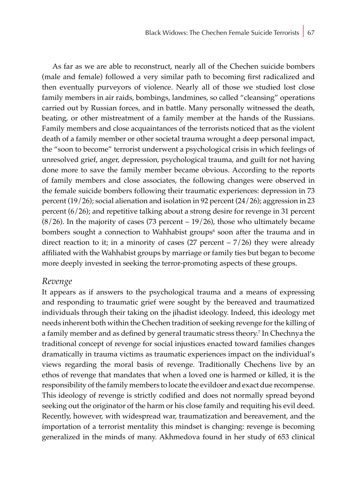As far as we are able to reconstruct, nearly all of the Chechen suicide bombers (male and female) followed a very similar path to becoming first radicalized and then eventually purveyors of violence. Nearly all of those we studied lost close family members in air raids, bombings, landmines, so called "cleansing" operations carried out by Russian forces, and in battle. Many personally witnessed the death, beating, or other mistreatment of a family member at the hands of the Russians. Family members and close acquaintances of the terrorists noticed that as the violent death of a family member or other societal trauma wrought a deep personal impact, the "soon to become" terrorist underwent a psychological crisis in which feelings of unresolved grief, anger, depression, psychological trauma, and guilt for not having done more to save the family member became obvious. According to the reports of family members and close associates, the following changes were observed in the female suicide bombers following their traumatic experiences: depression in 73 percent (19/26); social alienation and isolation in 92 percent (24/26); aggression in 23 percent (6/26); and repetitive talking about a strong desire for revenge in 31 percent  $(8/26)$ . In the majority of cases (73 percent – 19/26), those who ultimately became bombers sought a connection to Wahhabist groups<sup>6</sup> soon after the trauma and in direct reaction to it; in a minority of cases (27 percent  $-7/26$ ) they were already affiliated with the Wahhabist groups by marriage or family ties but began to become more deeply invested in seeking the terror-promoting aspects of these groups.

### *Revenge*

It appears as if answers to the psychological trauma and a means of expressing and responding to traumatic grief were sought by the bereaved and traumatized individuals through their taking on the jihadist ideology. Indeed, this ideology met needs inherent both within the Chechen tradition of seeking revenge for the killing of a family member and as defined by general traumatic stress theory.<sup>7</sup> In Chechnya the traditional concept of revenge for social injustices enacted toward families changes dramatically in trauma victims as traumatic experiences impact on the individual's views regarding the moral basis of revenge. Traditionally Chechens live by an ethos of revenge that mandates that when a loved one is harmed or killed, it is the responsibility of the family members to locate the evildoer and exact due recompense. This ideology of revenge is strictly codified and does not normally spread beyond seeking out the originator of the harm or his close family and requiting his evil deed. Recently, however, with widespread war, traumatization and bereavement, and the importation of a terrorist mentality this mindset is changing: revenge is becoming generalized in the minds of many. Akhmedova found in her study of 653 clinical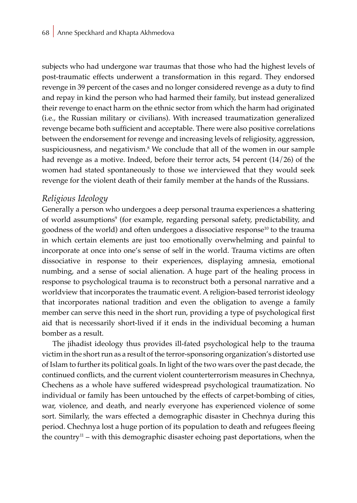subjects who had undergone war traumas that those who had the highest levels of post-traumatic effects underwent a transformation in this regard. They endorsed revenge in 39 percent of the cases and no longer considered revenge as a duty to find and repay in kind the person who had harmed their family, but instead generalized their revenge to enact harm on the ethnic sector from which the harm had originated (i.e., the Russian military or civilians). With increased traumatization generalized revenge became both sufficient and acceptable. There were also positive correlations between the endorsement for revenge and increasing levels of religiosity, aggression, suspiciousness, and negativism.8 We conclude that all of the women in our sample had revenge as a motive. Indeed, before their terror acts, 54 percent (14/26) of the women had stated spontaneously to those we interviewed that they would seek revenge for the violent death of their family member at the hands of the Russians.

### *Religious Ideology*

Generally a person who undergoes a deep personal trauma experiences a shattering of world assumptions<sup>9</sup> (for example, regarding personal safety, predictability, and goodness of the world) and often undergoes a dissociative response10 to the trauma in which certain elements are just too emotionally overwhelming and painful to incorporate at once into one's sense of self in the world. Trauma victims are often dissociative in response to their experiences, displaying amnesia, emotional numbing, and a sense of social alienation. A huge part of the healing process in response to psychological trauma is to reconstruct both a personal narrative and a worldview that incorporates the traumatic event. A religion-based terrorist ideology that incorporates national tradition and even the obligation to avenge a family member can serve this need in the short run, providing a type of psychological first aid that is necessarily short-lived if it ends in the individual becoming a human bomber as a result.

The jihadist ideology thus provides ill-fated psychological help to the trauma victim in the short run as a result of the terror-sponsoring organization's distorted use of Islam to further its political goals. In light of the two wars over the past decade, the continued conflicts, and the current violent counterterrorism measures in Chechnya, Chechens as a whole have suffered widespread psychological traumatization. No individual or family has been untouched by the effects of carpet-bombing of cities, war, violence, and death, and nearly everyone has experienced violence of some sort. Similarly, the wars effected a demographic disaster in Chechnya during this period. Chechnya lost a huge portion of its population to death and refugees fleeing the country11 – with this demographic disaster echoing past deportations, when the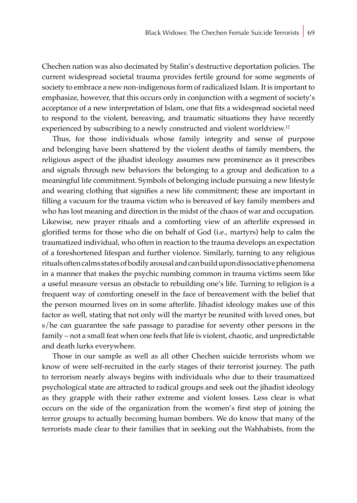Chechen nation was also decimated by Stalin's destructive deportation policies. The current widespread societal trauma provides fertile ground for some segments of society to embrace a new non-indigenous form of radicalized Islam. It is important to emphasize, however, that this occurs only in conjunction with a segment of society's acceptance of a new interpretation of Islam, one that fits a widespread societal need to respond to the violent, bereaving, and traumatic situations they have recently experienced by subscribing to a newly constructed and violent worldview.<sup>12</sup>

Thus, for those individuals whose family integrity and sense of purpose and belonging have been shattered by the violent deaths of family members, the religious aspect of the jihadist ideology assumes new prominence as it prescribes and signals through new behaviors the belonging to a group and dedication to a meaningful life commitment. Symbols of belonging include pursuing a new lifestyle and wearing clothing that signifies a new life commitment; these are important in filling a vacuum for the trauma victim who is bereaved of key family members and who has lost meaning and direction in the midst of the chaos of war and occupation. Likewise, new prayer rituals and a comforting view of an afterlife expressed in glorified terms for those who die on behalf of God (i.e., martyrs) help to calm the traumatized individual, who often in reaction to the trauma develops an expectation of a foreshortened lifespan and further violence. Similarly, turning to any religious rituals often calms states of bodily arousal and can build upon dissociative phenomena in a manner that makes the psychic numbing common in trauma victims seem like a useful measure versus an obstacle to rebuilding one's life. Turning to religion is a frequent way of comforting oneself in the face of bereavement with the belief that the person mourned lives on in some afterlife. Jihadist ideology makes use of this factor as well, stating that not only will the martyr be reunited with loved ones, but s/he can guarantee the safe passage to paradise for seventy other persons in the family – not a small feat when one feels that life is violent, chaotic, and unpredictable and death lurks everywhere.

Those in our sample as well as all other Chechen suicide terrorists whom we know of were self-recruited in the early stages of their terrorist journey. The path to terrorism nearly always begins with individuals who due to their traumatized psychological state are attracted to radical groups and seek out the jihadist ideology as they grapple with their rather extreme and violent losses. Less clear is what occurs on the side of the organization from the women's first step of joining the terror groups to actually becoming human bombers. We do know that many of the terrorists made clear to their families that in seeking out the Wahhabists, from the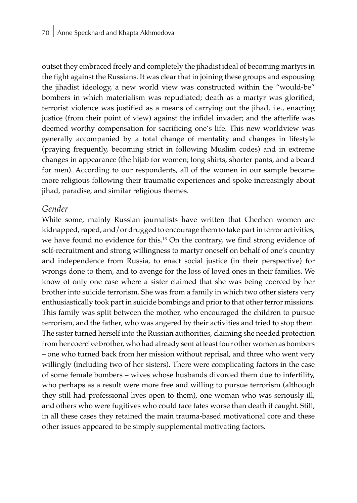outset they embraced freely and completely the jihadist ideal of becoming martyrs in the fight against the Russians. It was clear that in joining these groups and espousing the jihadist ideology, a new world view was constructed within the "would-be" bombers in which materialism was repudiated; death as a martyr was glorified; terrorist violence was justified as a means of carrying out the jihad, i.e., enacting justice (from their point of view) against the infidel invader; and the afterlife was deemed worthy compensation for sacrificing one's life. This new worldview was generally accompanied by a total change of mentality and changes in lifestyle (praying frequently, becoming strict in following Muslim codes) and in extreme changes in appearance (the hijab for women; long shirts, shorter pants, and a beard for men). According to our respondents, all of the women in our sample became more religious following their traumatic experiences and spoke increasingly about jihad, paradise, and similar religious themes.

#### *Gender*

While some, mainly Russian journalists have written that Chechen women are kidnapped, raped, and/or drugged to encourage them to take part in terror activities, we have found no evidence for this.13 On the contrary, we find strong evidence of self-recruitment and strong willingness to martyr oneself on behalf of one's country and independence from Russia, to enact social justice (in their perspective) for wrongs done to them, and to avenge for the loss of loved ones in their families. We know of only one case where a sister claimed that she was being coerced by her brother into suicide terrorism. She was from a family in which two other sisters very enthusiastically took part in suicide bombings and prior to that other terror missions. This family was split between the mother, who encouraged the children to pursue terrorism, and the father, who was angered by their activities and tried to stop them. The sister turned herself into the Russian authorities, claiming she needed protection from her coercive brother, who had already sent at least four other women as bombers – one who turned back from her mission without reprisal, and three who went very willingly (including two of her sisters). There were complicating factors in the case of some female bombers – wives whose husbands divorced them due to infertility, who perhaps as a result were more free and willing to pursue terrorism (although they still had professional lives open to them), one woman who was seriously ill, and others who were fugitives who could face fates worse than death if caught. Still, in all these cases they retained the main trauma-based motivational core and these other issues appeared to be simply supplemental motivating factors.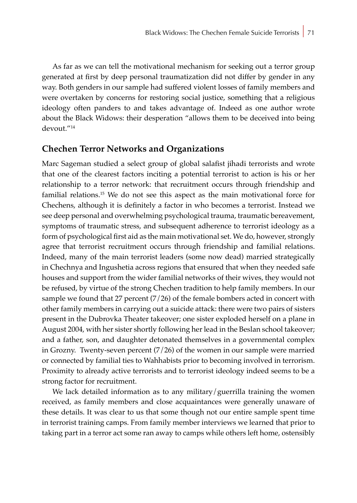As far as we can tell the motivational mechanism for seeking out a terror group generated at first by deep personal traumatization did not differ by gender in any way. Both genders in our sample had suffered violent losses of family members and were overtaken by concerns for restoring social justice, something that a religious ideology often panders to and takes advantage of. Indeed as one author wrote about the Black Widows: their desperation "allows them to be deceived into being devout."<sup>14</sup>

### **Chechen Terror Networks and Organizations**

Marc Sageman studied a select group of global salafist jihadi terrorists and wrote that one of the clearest factors inciting a potential terrorist to action is his or her relationship to a terror network: that recruitment occurs through friendship and familial relations.15 We do not see this aspect as the main motivational force for Chechens, although it is definitely a factor in who becomes a terrorist. Instead we see deep personal and overwhelming psychological trauma, traumatic bereavement, symptoms of traumatic stress, and subsequent adherence to terrorist ideology as a form of psychological first aid as the main motivational set. We do, however, strongly agree that terrorist recruitment occurs through friendship and familial relations. Indeed, many of the main terrorist leaders (some now dead) married strategically in Chechnya and Ingushetia across regions that ensured that when they needed safe houses and support from the wider familial networks of their wives, they would not be refused, by virtue of the strong Chechen tradition to help family members. In our sample we found that 27 percent  $(7/26)$  of the female bombers acted in concert with other family members in carrying out a suicide attack: there were two pairs of sisters present in the Dubrovka Theater takeover; one sister exploded herself on a plane in August 2004, with her sister shortly following her lead in the Beslan school takeover; and a father, son, and daughter detonated themselves in a governmental complex in Grozny. Twenty-seven percent (7/26) of the women in our sample were married or connected by familial ties to Wahhabists prior to becoming involved in terrorism. Proximity to already active terrorists and to terrorist ideology indeed seems to be a strong factor for recruitment.

We lack detailed information as to any military/guerrilla training the women received, as family members and close acquaintances were generally unaware of these details. It was clear to us that some though not our entire sample spent time in terrorist training camps. From family member interviews we learned that prior to taking part in a terror act some ran away to camps while others left home, ostensibly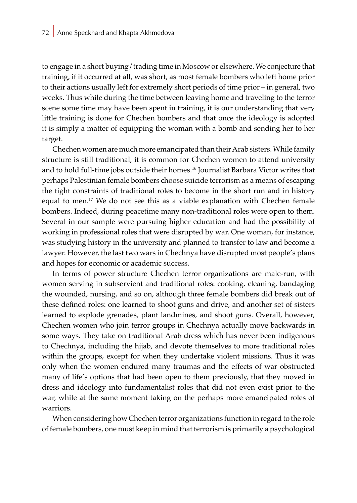to engage in a short buying/trading time in Moscow or elsewhere. We conjecture that training, if it occurred at all, was short, as most female bombers who left home prior to their actions usually left for extremely short periods of time prior – in general, two weeks. Thus while during the time between leaving home and traveling to the terror scene some time may have been spent in training, it is our understanding that very little training is done for Chechen bombers and that once the ideology is adopted it is simply a matter of equipping the woman with a bomb and sending her to her target.

Chechen women are much more emancipated than their Arab sisters. While family structure is still traditional, it is common for Chechen women to attend university and to hold full-time jobs outside their homes.<sup>16</sup> Journalist Barbara Victor writes that perhaps Palestinian female bombers choose suicide terrorism as a means of escaping the tight constraints of traditional roles to become in the short run and in history equal to men.<sup>17</sup> We do not see this as a viable explanation with Chechen female bombers. Indeed, during peacetime many non-traditional roles were open to them. Several in our sample were pursuing higher education and had the possibility of working in professional roles that were disrupted by war. One woman, for instance, was studying history in the university and planned to transfer to law and become a lawyer. However, the last two wars in Chechnya have disrupted most people's plans and hopes for economic or academic success.

In terms of power structure Chechen terror organizations are male-run, with women serving in subservient and traditional roles: cooking, cleaning, bandaging the wounded, nursing, and so on, although three female bombers did break out of these defined roles: one learned to shoot guns and drive, and another set of sisters learned to explode grenades, plant landmines, and shoot guns. Overall, however, Chechen women who join terror groups in Chechnya actually move backwards in some ways. They take on traditional Arab dress which has never been indigenous to Chechnya, including the hijab, and devote themselves to more traditional roles within the groups, except for when they undertake violent missions. Thus it was only when the women endured many traumas and the effects of war obstructed many of life's options that had been open to them previously, that they moved in dress and ideology into fundamentalist roles that did not even exist prior to the war, while at the same moment taking on the perhaps more emancipated roles of warriors.

When considering how Chechen terror organizations function in regard to the role of female bombers, one must keep in mind that terrorism is primarily a psychological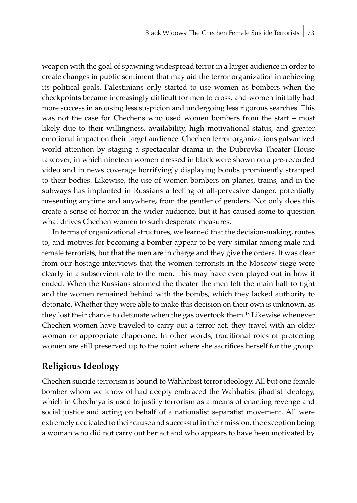weapon with the goal of spawning widespread terror in a larger audience in order to create changes in public sentiment that may aid the terror organization in achieving its political goals. Palestinians only started to use women as bombers when the checkpoints became increasingly difficult for men to cross, and women initially had more success in arousing less suspicion and undergoing less rigorous searches. This was not the case for Chechens who used women bombers from the start – most likely due to their willingness, availability, high motivational status, and greater emotional impact on their target audience. Chechen terror organizations galvanized world attention by staging a spectacular drama in the Dubrovka Theater House takeover, in which nineteen women dressed in black were shown on a pre-recorded video and in news coverage horrifyingly displaying bombs prominently strapped to their bodies. Likewise, the use of women bombers on planes, trains, and in the subways has implanted in Russians a feeling of all-pervasive danger, potentially presenting anytime and anywhere, from the gentler of genders. Not only does this create a sense of horror in the wider audience, but it has caused some to question what drives Chechen women to such desperate measures.

In terms of organizational structures, we learned that the decision-making, routes to, and motives for becoming a bomber appear to be very similar among male and female terrorists, but that the men are in charge and they give the orders. It was clear from our hostage interviews that the women terrorists in the Moscow siege were clearly in a subservient role to the men. This may have even played out in how it ended. When the Russians stormed the theater the men left the main hall to fight and the women remained behind with the bombs, which they lacked authority to detonate. Whether they were able to make this decision on their own is unknown, as they lost their chance to detonate when the gas overtook them.18 Likewise whenever Chechen women have traveled to carry out a terror act, they travel with an older woman or appropriate chaperone. In other words, traditional roles of protecting women are still preserved up to the point where she sacrifices herself for the group.

## **Religious Ideology**

Chechen suicide terrorism is bound to Wahhabist terror ideology. All but one female bomber whom we know of had deeply embraced the Wahhabist jihadist ideology, which in Chechnya is used to justify terrorism as a means of enacting revenge and social justice and acting on behalf of a nationalist separatist movement. All were extremely dedicated to their cause and successful in their mission, the exception being a woman who did not carry out her act and who appears to have been motivated by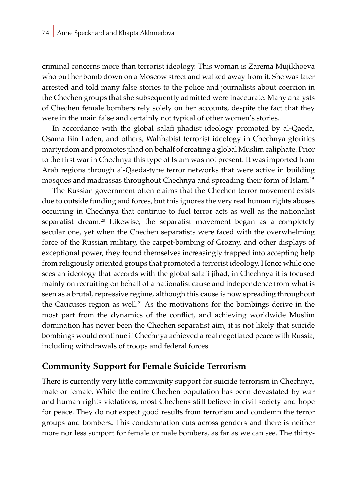criminal concerns more than terrorist ideology. This woman is Zarema Mujikhoeva who put her bomb down on a Moscow street and walked away from it. She was later arrested and told many false stories to the police and journalists about coercion in the Chechen groups that she subsequently admitted were inaccurate. Many analysts of Chechen female bombers rely solely on her accounts, despite the fact that they were in the main false and certainly not typical of other women's stories.

In accordance with the global salafi jihadist ideology promoted by al-Qaeda, Osama Bin Laden, and others, Wahhabist terrorist ideology in Chechnya glorifies martyrdom and promotes jihad on behalf of creating a global Muslim caliphate. Prior to the first war in Chechnya this type of Islam was not present. It was imported from Arab regions through al-Qaeda-type terror networks that were active in building mosques and madrassas throughout Chechnya and spreading their form of Islam.19

The Russian government often claims that the Chechen terror movement exists due to outside funding and forces, but this ignores the very real human rights abuses occurring in Chechnya that continue to fuel terror acts as well as the nationalist separatist dream.<sup>20</sup> Likewise, the separatist movement began as a completely secular one, yet when the Chechen separatists were faced with the overwhelming force of the Russian military, the carpet-bombing of Grozny, and other displays of exceptional power, they found themselves increasingly trapped into accepting help from religiously oriented groups that promoted a terrorist ideology. Hence while one sees an ideology that accords with the global salafi jihad, in Chechnya it is focused mainly on recruiting on behalf of a nationalist cause and independence from what is seen as a brutal, repressive regime, although this cause is now spreading throughout the Caucuses region as well.<sup>21</sup> As the motivations for the bombings derive in the most part from the dynamics of the conflict, and achieving worldwide Muslim domination has never been the Chechen separatist aim, it is not likely that suicide bombings would continue if Chechnya achieved a real negotiated peace with Russia, including withdrawals of troops and federal forces.

### **Community Support for Female Suicide Terrorism**

There is currently very little community support for suicide terrorism in Chechnya, male or female. While the entire Chechen population has been devastated by war and human rights violations, most Chechens still believe in civil society and hope for peace. They do not expect good results from terrorism and condemn the terror groups and bombers. This condemnation cuts across genders and there is neither more nor less support for female or male bombers, as far as we can see. The thirty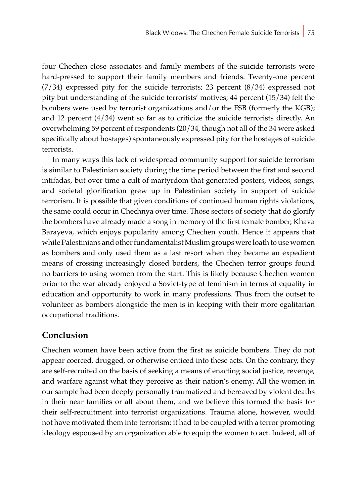four Chechen close associates and family members of the suicide terrorists were hard-pressed to support their family members and friends. Twenty-one percent  $(7/34)$  expressed pity for the suicide terrorists; 23 percent  $(8/34)$  expressed not pity but understanding of the suicide terrorists' motives; 44 percent (15/34) felt the bombers were used by terrorist organizations and/or the FSB (formerly the KGB); and 12 percent  $(4/34)$  went so far as to criticize the suicide terrorists directly. An overwhelming 59 percent of respondents (20/34, though not all of the 34 were asked specifically about hostages) spontaneously expressed pity for the hostages of suicide terrorists.

In many ways this lack of widespread community support for suicide terrorism is similar to Palestinian society during the time period between the first and second intifadas, but over time a cult of martyrdom that generated posters, videos, songs, and societal glorification grew up in Palestinian society in support of suicide terrorism. It is possible that given conditions of continued human rights violations, the same could occur in Chechnya over time. Those sectors of society that do glorify the bombers have already made a song in memory of the first female bomber, Khava Barayeva, which enjoys popularity among Chechen youth. Hence it appears that while Palestinians and other fundamentalist Muslim groups were loath to use women as bombers and only used them as a last resort when they became an expedient means of crossing increasingly closed borders, the Chechen terror groups found no barriers to using women from the start. This is likely because Chechen women prior to the war already enjoyed a Soviet-type of feminism in terms of equality in education and opportunity to work in many professions. Thus from the outset to volunteer as bombers alongside the men is in keeping with their more egalitarian occupational traditions.

### **Conclusion**

Chechen women have been active from the first as suicide bombers. They do not appear coerced, drugged, or otherwise enticed into these acts. On the contrary, they are self-recruited on the basis of seeking a means of enacting social justice, revenge, and warfare against what they perceive as their nation's enemy. All the women in our sample had been deeply personally traumatized and bereaved by violent deaths in their near families or all about them, and we believe this formed the basis for their self-recruitment into terrorist organizations. Trauma alone, however, would not have motivated them into terrorism: it had to be coupled with a terror promoting ideology espoused by an organization able to equip the women to act. Indeed, all of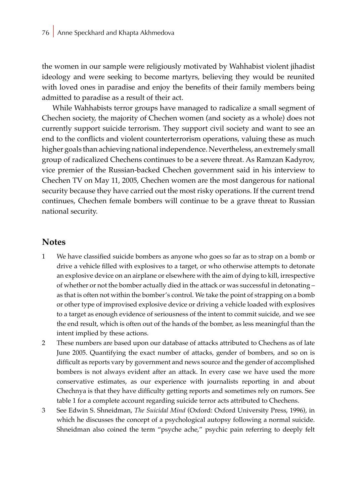the women in our sample were religiously motivated by Wahhabist violent jihadist ideology and were seeking to become martyrs, believing they would be reunited with loved ones in paradise and enjoy the benefits of their family members being admitted to paradise as a result of their act.

While Wahhabists terror groups have managed to radicalize a small segment of Chechen society, the majority of Chechen women (and society as a whole) does not currently support suicide terrorism. They support civil society and want to see an end to the conflicts and violent counterterrorism operations, valuing these as much higher goals than achieving national independence. Nevertheless, an extremely small group of radicalized Chechens continues to be a severe threat. As Ramzan Kadyrov, vice premier of the Russian-backed Chechen government said in his interview to Chechen TV on May 11, 2005, Chechen women are the most dangerous for national security because they have carried out the most risky operations. If the current trend continues, Chechen female bombers will continue to be a grave threat to Russian national security.

### **Notes**

- 1 We have classified suicide bombers as anyone who goes so far as to strap on a bomb or drive a vehicle filled with explosives to a target, or who otherwise attempts to detonate an explosive device on an airplane or elsewhere with the aim of dying to kill, irrespective of whether or not the bomber actually died in the attack or was successful in detonating – as that is often not within the bomber's control. We take the point of strapping on a bomb or other type of improvised explosive device or driving a vehicle loaded with explosives to a target as enough evidence of seriousness of the intent to commit suicide, and we see the end result, which is often out of the hands of the bomber, as less meaningful than the intent implied by these actions.
- 2 These numbers are based upon our database of attacks attributed to Chechens as of late June 2005. Quantifying the exact number of attacks, gender of bombers, and so on is difficult as reports vary by government and news source and the gender of accomplished bombers is not always evident after an attack. In every case we have used the more conservative estimates, as our experience with journalists reporting in and about Chechnya is that they have difficulty getting reports and sometimes rely on rumors. See table 1 for a complete account regarding suicide terror acts attributed to Chechens.
- 3 See Edwin S. Shneidman, *The Suicidal Mind* (Oxford: Oxford University Press, 1996), in which he discusses the concept of a psychological autopsy following a normal suicide. Shneidman also coined the term "psyche ache," psychic pain referring to deeply felt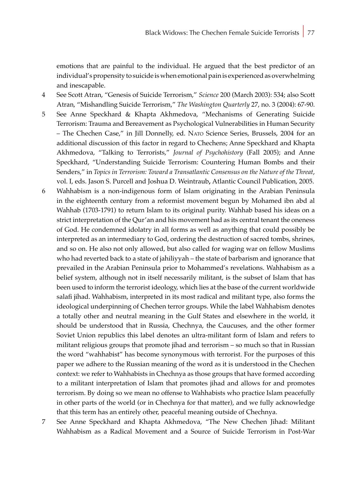emotions that are painful to the individual. He argued that the best predictor of an individual's propensity to suicide is when emotional pain is experienced as overwhelming and inescapable.

- 4 See Scott Atran, "Genesis of Suicide Terrorism," *Science* 200 (March 2003): 534; also Scott Atran, "Mishandling Suicide Terrorism," *The Washington Quarterly* 27, no. 3 (2004): 67-90.
- 5 See Anne Speckhard & Khapta Akhmedova, "Mechanisms of Generating Suicide Terrorism: Trauma and Bereavement as Psychological Vulnerabilities in Human Security – The Chechen Case," in Jill Donnelly, ed. Nato Science Series, Brussels, 2004 for an additional discussion of this factor in regard to Chechens; Anne Speckhard and Khapta Akhmedova, "Talking to Terrorists," *Journal of Psychohistory* (Fall 2005); and Anne Speckhard, "Understanding Suicide Terrorism: Countering Human Bombs and their Senders," in *Topics in Terrorism: Toward a Transatlantic Consensus on the Nature of the Threat*, vol. I, eds. Jason S. Purcell and Joshua D. Weintraub**,** Atlantic Council Publication, 2005.
- 6 Wahhabism is a non-indigenous form of Islam originating in the Arabian Peninsula in the eighteenth century from a reformist movement begun by Mohamed ibn abd al Wahhab (1703-1791) to return Islam to its original purity. Wahhab based his ideas on a strict interpretation of the Qur'an and his movement had as its central tenant the oneness of God. He condemned idolatry in all forms as well as anything that could possibly be interpreted as an intermediary to God, ordering the destruction of sacred tombs, shrines, and so on. He also not only allowed, but also called for waging war on fellow Muslims who had reverted back to a state of jahiliyyah – the state of barbarism and ignorance that prevailed in the Arabian Peninsula prior to Mohammed's revelations. Wahhabism as a belief system, although not in itself necessarily militant, is the subset of Islam that has been used to inform the terrorist ideology, which lies at the base of the current worldwide salafi jihad. Wahhabism, interpreted in its most radical and militant type, also forms the ideological underpinning of Chechen terror groups. While the label Wahhabism denotes a totally other and neutral meaning in the Gulf States and elsewhere in the world, it should be understood that in Russia, Chechnya, the Caucuses, and the other former Soviet Union republics this label denotes an ultra-militant form of Islam and refers to militant religious groups that promote jihad and terrorism – so much so that in Russian the word "wahhabist" has become synonymous with terrorist. For the purposes of this paper we adhere to the Russian meaning of the word as it is understood in the Chechen context: we refer to Wahhabists in Chechnya as those groups that have formed according to a militant interpretation of Islam that promotes jihad and allows for and promotes terrorism. By doing so we mean no offense to Wahhabists who practice Islam peacefully in other parts of the world (or in Chechnya for that matter), and we fully acknowledge that this term has an entirely other, peaceful meaning outside of Chechnya.
- 7 See Anne Speckhard and Khapta Akhmedova, "The New Chechen Jihad: Militant Wahhabism as a Radical Movement and a Source of Suicide Terrorism in Post-War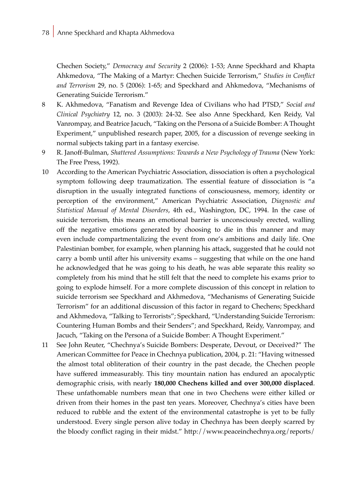Chechen Society," *Democracy and Security* 2 (2006): 1-53; Anne Speckhard and Khapta Ahkmedova, "The Making of a Martyr: Chechen Suicide Terrorism," *Studies in Conflict and Terrorism* 29, no. 5 (2006): 1-65; and Speckhard and Ahkmedova, "Mechanisms of Generating Suicide Terrorism."

- 8 K. Akhmedova, "Fanatism and Revenge Idea of Civilians who had PTSD," *Social and Clinical Psychiatry* 12, no. 3 (2003): 24-32. See also Anne Speckhard, Ken Reidy, Val Vanrompay, and Beatrice Jacuch, "Taking on the Persona of a Suicide Bomber: A Thought Experiment," unpublished research paper, 2005, for a discussion of revenge seeking in normal subjects taking part in a fantasy exercise.
- 9 R. Janoff-Bulman, *Shattered Assumptions: Towards a New Psychology of Trauma* (New York: The Free Press, 1992).
- 10 According to the American Psychiatric Association, dissociation is often a psychological symptom following deep traumatization. The essential feature of dissociation is "a disruption in the usually integrated functions of consciousness, memory, identity or perception of the environment," American Psychiatric Association, *Diagnostic and Statistical Manual of Mental Disorders*, 4th ed., Washington, DC, 1994. In the case of suicide terrorism, this means an emotional barrier is unconsciously erected, walling off the negative emotions generated by choosing to die in this manner and may even include compartmentalizing the event from one's ambitions and daily life. One Palestinian bomber, for example, when planning his attack, suggested that he could not carry a bomb until after his university exams – suggesting that while on the one hand he acknowledged that he was going to his death, he was able separate this reality so completely from his mind that he still felt that the need to complete his exams prior to going to explode himself. For a more complete discussion of this concept in relation to suicide terrorism see Speckhard and Akhmedova, "Mechanisms of Generating Suicide Terrorism" for an additional discussion of this factor in regard to Chechens; Speckhard and Akhmedova, "Talking to Terrorists"; Speckhard, "Understanding Suicide Terrorism: Countering Human Bombs and their Senders"; and Speckhard, Reidy, Vanrompay, and Jacuch, "Taking on the Persona of a Suicide Bomber: A Thought Experiment."
- 11 See John Reuter, "Chechnya's Suicide Bombers: Desperate, Devout, or Deceived?" The American Committee for Peace in Chechnya publication, 2004, p. 21: "Having witnessed the almost total obliteration of their country in the past decade, the Chechen people have suffered immeasurably. This tiny mountain nation has endured an apocalyptic demographic crisis, with nearly **180,000 Chechens killed and over 300,000 displaced**. These unfathomable numbers mean that one in two Chechens were either killed or driven from their homes in the past ten years. Moreover, Chechnya's cities have been reduced to rubble and the extent of the environmental catastrophe is yet to be fully understood. Every single person alive today in Chechnya has been deeply scarred by the bloody conflict raging in their midst." http://www.peaceinchechnya.org/reports/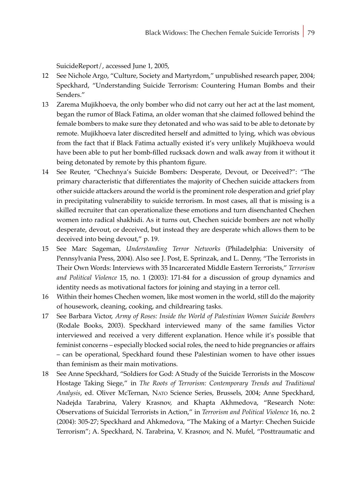SuicideReport/, accessed June 1, 2005,

- 12 See Nichole Argo, "Culture, Society and Martyrdom," unpublished research paper, 2004; Speckhard, "Understanding Suicide Terrorism: Countering Human Bombs and their Senders."
- 13 Zarema Mujikhoeva, the only bomber who did not carry out her act at the last moment, began the rumor of Black Fatima, an older woman that she claimed followed behind the female bombers to make sure they detonated and who was said to be able to detonate by remote. Mujikhoeva later discredited herself and admitted to lying, which was obvious from the fact that if Black Fatima actually existed it's very unlikely Mujikhoeva would have been able to put her bomb-filled rucksack down and walk away from it without it being detonated by remote by this phantom figure.
- 14 See Reuter, "Chechnya's Suicide Bombers: Desperate, Devout, or Deceived?": "The primary characteristic that differentiates the majority of Chechen suicide attackers from other suicide attackers around the world is the prominent role desperation and grief play in precipitating vulnerability to suicide terrorism. In most cases, all that is missing is a skilled recruiter that can operationalize these emotions and turn disenchanted Chechen women into radical shakhidi. As it turns out, Chechen suicide bombers are not wholly desperate, devout, or deceived, but instead they are desperate which allows them to be deceived into being devout," p. 19.
- 15 See Marc Sageman, *Understanding Terror Networks* (Philadelphia: University of Pennsylvania Press, 2004). Also see J. Post, E. Sprinzak, and L. Denny, "The Terrorists in Their Own Words: Interviews with 35 Incarcerated Middle Eastern Terrorists," *Terrorism and Political Violence* 15, no. 1 (2003): 171-84 for a discussion of group dynamics and identity needs as motivational factors for joining and staying in a terror cell.
- 16 Within their homes Chechen women, like most women in the world, still do the majority of housework, cleaning, cooking, and childrearing tasks.
- 17 See Barbara Victor, *Army of Roses: Inside the World of Palestinian Women Suicide Bombers* (Rodale Books, 2003). Speckhard interviewed many of the same families Victor interviewed and received a very different explanation. Hence while it's possible that feminist concerns – especially blocked social roles, the need to hide pregnancies or affairs – can be operational, Speckhard found these Palestinian women to have other issues than feminism as their main motivations.
- 18 See Anne Speckhard, "Soldiers for God: A Study of the Suicide Terrorists in the Moscow Hostage Taking Siege," in *The Roots of Terrorism: Contemporary Trends and Traditional Analysis*, ed. Oliver McTernan, Nato Science Series, Brussels, 2004; Anne Speckhard, Nadejda Tarabrina, Valery Krasnov, and Khapta Akhmedova, "Research Note: Observations of Suicidal Terrorists in Action," in *Terrorism and Political Violence* 16, no. 2 (2004): 305-27; Speckhard and Ahkmedova, "The Making of a Martyr: Chechen Suicide Terrorism"; A. Speckhard, N. Tarabrina, V. Krasnov, and N. Mufel, "Posttraumatic and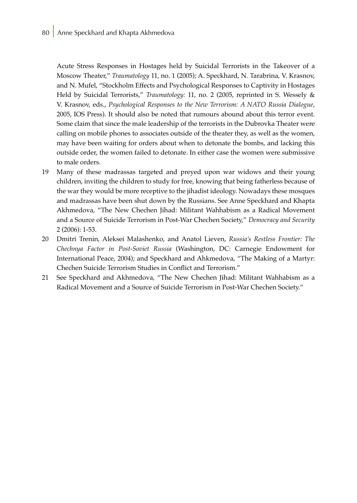Acute Stress Responses in Hostages held by Suicidal Terrorists in the Takeover of a Moscow Theater," *Traumatology* 11, no. 1 (2005); A. Speckhard, N. Tarabrina, V. Krasnov, and N. Mufel, "Stockholm Effects and Psychological Responses to Captivity in Hostages Held by Suicidal Terrorists," *Traumatology:* 11, no. 2 (2005, reprinted in S. Wessely & V. Krasnov, eds., *Psychological Responses to the New Terrorism: A NATO Russia Dialogue*, 2005, IOS Press). It should also be noted that rumours abound about this terror event. Some claim that since the male leadership of the terrorists in the Dubrovka Theater were calling on mobile phones to associates outside of the theater they, as well as the women, may have been waiting for orders about when to detonate the bombs, and lacking this outside order, the women failed to detonate. In either case the women were submissive to male orders.

- 19 Many of these madrassas targeted and preyed upon war widows and their young children, inviting the children to study for free, knowing that being fatherless because of the war they would be more receptive to the jihadist ideology. Nowadays these mosques and madrassas have been shut down by the Russians. See Anne Speckhard and Khapta Akhmedova, "The New Chechen Jihad: Militant Wahhabism as a Radical Movement and a Source of Suicide Terrorism in Post-War Chechen Society," *Democracy and Security* 2 (2006): 1-53.
- 20 Dmitri Trenin, Aleksei Malashenko, and Anatol Lieven, *Russia's Restless Frontier: The Chechnya Factor in Post-Soviet Russia* (Washington, DC: Carnegie Endowment for International Peace, 2004); and Speckhard and Ahkmedova, "The Making of a Martyr: Chechen Suicide Terrorism Studies in Conflict and Terrorism."
- 21 See Speckhard and Akhmedova, "The New Chechen Jihad: Militant Wahhabism as a Radical Movement and a Source of Suicide Terrorism in Post-War Chechen Society."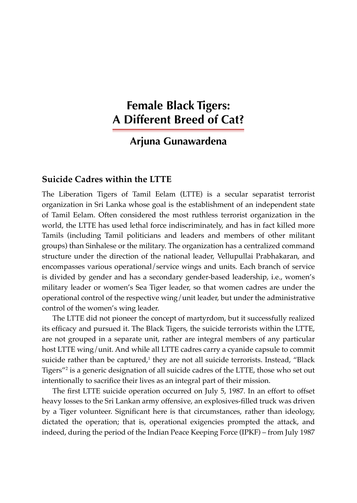# **Female Black Tigers: A Different Breed of Cat?**

# **Arjuna Gunawardena**

### **Suicide Cadres within the LTTE**

The Liberation Tigers of Tamil Eelam (LTTE) is a secular separatist terrorist organization in Sri Lanka whose goal is the establishment of an independent state of Tamil Eelam. Often considered the most ruthless terrorist organization in the world, the LTTE has used lethal force indiscriminately, and has in fact killed more Tamils (including Tamil politicians and leaders and members of other militant groups) than Sinhalese or the military. The organization has a centralized command structure under the direction of the national leader, Vellupullai Prabhakaran, and encompasses various operational/service wings and units. Each branch of service is divided by gender and has a secondary gender-based leadership, i.e., women's military leader or women's Sea Tiger leader, so that women cadres are under the operational control of the respective wing/unit leader, but under the administrative control of the women's wing leader.

The LTTE did not pioneer the concept of martyrdom, but it successfully realized its efficacy and pursued it. The Black Tigers, the suicide terrorists within the LTTE, are not grouped in a separate unit, rather are integral members of any particular host LTTE wing/unit. And while all LTTE cadres carry a cyanide capsule to commit suicide rather than be captured, $^1$  they are not all suicide terrorists. Instead, "Black Tigers"<sup>2</sup> is a generic designation of all suicide cadres of the LTTE, those who set out intentionally to sacrifice their lives as an integral part of their mission.

The first LTTE suicide operation occurred on July 5, 1987. In an effort to offset heavy losses to the Sri Lankan army offensive, an explosives-filled truck was driven by a Tiger volunteer. Significant here is that circumstances, rather than ideology, dictated the operation; that is, operational exigencies prompted the attack, and indeed, during the period of the Indian Peace Keeping Force (IPKF) – from July 1987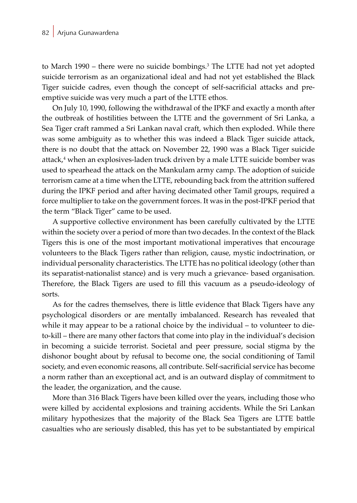to March 1990 – there were no suicide bombings.<sup>3</sup> The LTTE had not yet adopted suicide terrorism as an organizational ideal and had not yet established the Black Tiger suicide cadres, even though the concept of self-sacrificial attacks and preemptive suicide was very much a part of the LTTE ethos.

On July 10, 1990, following the withdrawal of the IPKF and exactly a month after the outbreak of hostilities between the LTTE and the government of Sri Lanka, a Sea Tiger craft rammed a Sri Lankan naval craft, which then exploded. While there was some ambiguity as to whether this was indeed a Black Tiger suicide attack, there is no doubt that the attack on November 22, 1990 was a Black Tiger suicide attack,<sup>4</sup> when an explosives-laden truck driven by a male LTTE suicide bomber was used to spearhead the attack on the Mankulam army camp. The adoption of suicide terrorism came at a time when the LTTE, rebounding back from the attrition suffered during the IPKF period and after having decimated other Tamil groups, required a force multiplier to take on the government forces. It was in the post-IPKF period that the term "Black Tiger" came to be used.

A supportive collective environment has been carefully cultivated by the LTTE within the society over a period of more than two decades. In the context of the Black Tigers this is one of the most important motivational imperatives that encourage volunteers to the Black Tigers rather than religion, cause, mystic indoctrination, or individual personality characteristics. The LTTE has no political ideology (other than its separatist-nationalist stance) and is very much a grievance- based organisation. Therefore, the Black Tigers are used to fill this vacuum as a pseudo-ideology of sorts.

As for the cadres themselves, there is little evidence that Black Tigers have any psychological disorders or are mentally imbalanced. Research has revealed that while it may appear to be a rational choice by the individual – to volunteer to dieto-kill – there are many other factors that come into play in the individual's decision in becoming a suicide terrorist. Societal and peer pressure, social stigma by the dishonor bought about by refusal to become one, the social conditioning of Tamil society, and even economic reasons, all contribute. Self-sacrificial service has become a norm rather than an exceptional act, and is an outward display of commitment to the leader, the organization, and the cause.

More than 316 Black Tigers have been killed over the years, including those who were killed by accidental explosions and training accidents. While the Sri Lankan military hypothesizes that the majority of the Black Sea Tigers are LTTE battle casualties who are seriously disabled, this has yet to be substantiated by empirical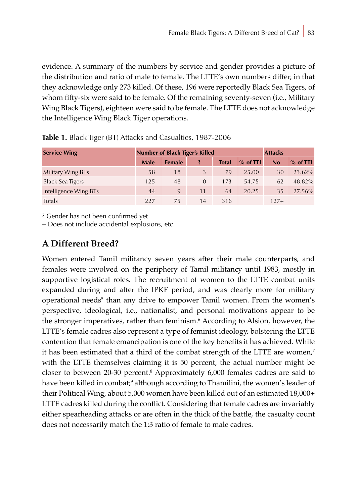evidence. A summary of the numbers by service and gender provides a picture of the distribution and ratio of male to female. The LTTE's own numbers differ, in that they acknowledge only 273 killed. Of these, 196 were reportedly Black Sea Tigers, of whom fifty-six were said to be female. Of the remaining seventy-seven (i.e., Military Wing Black Tigers), eighteen were said to be female. The LTTE does not acknowledge the Intelligence Wing Black Tiger operations.

| <b>Service Wing</b>     | <b>Number of Black Tiger's Killed</b> |               |          |              |            | <b>Attacks</b> |            |
|-------------------------|---------------------------------------|---------------|----------|--------------|------------|----------------|------------|
|                         | Male                                  | <b>Female</b> |          | <b>Total</b> | $%$ of TTL | <b>No</b>      | $%$ of TTL |
| Military Wing BTs       | 58                                    | 18            | 3        | 79           | 25.00      | 30             | 23.62%     |
| <b>Black Sea Tigers</b> | 125                                   | 48            | $\Omega$ | 173          | 54.75      | 62             | 48.82%     |
| Intelligence Wing BTs   | 44                                    | 9             | 11       | 64           | 20.25      | 35             | 27.56%     |
| Totals                  | 227                                   | 75            | 14       | 316          |            | $127+$         |            |

|  |  |  | Table 1. Black Tiger (BT) Attacks and Casualties, 1987-2006 |  |  |
|--|--|--|-------------------------------------------------------------|--|--|
|--|--|--|-------------------------------------------------------------|--|--|

? Gender has not been confirmed yet

+ Does not include accidental explosions, etc.

## **A Different Breed?**

Women entered Tamil militancy seven years after their male counterparts, and females were involved on the periphery of Tamil militancy until 1983, mostly in supportive logistical roles. The recruitment of women to the LTTE combat units expanded during and after the IPKF period, and was clearly more for military operational needs<sup>5</sup> than any drive to empower Tamil women. From the women's perspective, ideological, i.e., nationalist, and personal motivations appear to be the stronger imperatives, rather than feminism.<sup>6</sup> According to Alsion, however, the LTTE's female cadres also represent a type of feminist ideology, bolstering the LTTE contention that female emancipation is one of the key benefits it has achieved. While it has been estimated that a third of the combat strength of the LTTE are women,<sup>7</sup> with the LTTE themselves claiming it is 50 percent, the actual number might be closer to between 20-30 percent.<sup>8</sup> Approximately 6,000 females cadres are said to have been killed in combat;<sup>9</sup> although according to Thamilini, the women's leader of their Political Wing, about 5,000 women have been killed out of an estimated 18,000+ LTTE cadres killed during the conflict. Considering that female cadres are invariably either spearheading attacks or are often in the thick of the battle, the casualty count does not necessarily match the 1:3 ratio of female to male cadres.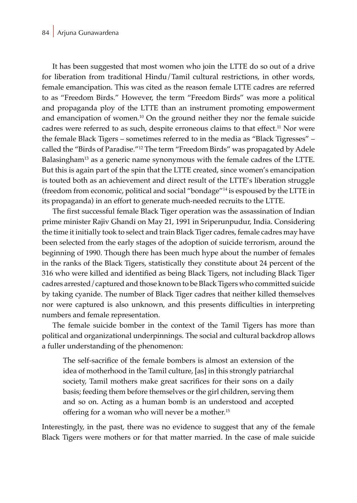It has been suggested that most women who join the LTTE do so out of a drive for liberation from traditional Hindu/Tamil cultural restrictions, in other words, female emancipation. This was cited as the reason female LTTE cadres are referred to as "Freedom Birds." However, the term "Freedom Birds" was more a political and propaganda ploy of the LTTE than an instrument promoting empowerment and emancipation of women.10 On the ground neither they nor the female suicide cadres were referred to as such, despite erroneous claims to that effect.<sup>11</sup> Nor were the female Black Tigers – sometimes referred to in the media as "Black Tigresses" – called the "Birds of Paradise."<sup>12</sup> The term "Freedom Birds" was propagated by Adele Balasingham<sup>13</sup> as a generic name synonymous with the female cadres of the LTTE. But this is again part of the spin that the LTTE created, since women's emancipation is touted both as an achievement and direct result of the LTTE's liberation struggle (freedom from economic, political and social "bondage"<sup>14</sup> is espoused by the LTTE in its propaganda) in an effort to generate much-needed recruits to the LTTE.

The first successful female Black Tiger operation was the assassination of Indian prime minister Rajiv Ghandi on May 21, 1991 in Sriperunpudur, India. Considering the time it initially took to select and train Black Tiger cadres, female cadres may have been selected from the early stages of the adoption of suicide terrorism, around the beginning of 1990. Though there has been much hype about the number of females in the ranks of the Black Tigers, statistically they constitute about 24 percent of the 316 who were killed and identified as being Black Tigers, not including Black Tiger cadres arrested/captured and those known to be Black Tigers who committed suicide by taking cyanide. The number of Black Tiger cadres that neither killed themselves nor were captured is also unknown, and this presents difficulties in interpreting numbers and female representation.

The female suicide bomber in the context of the Tamil Tigers has more than political and organizational underpinnings. The social and cultural backdrop allows a fuller understanding of the phenomenon:

The self-sacrifice of the female bombers is almost an extension of the idea of motherhood in the Tamil culture, [as] in this strongly patriarchal society, Tamil mothers make great sacrifices for their sons on a daily basis; feeding them before themselves or the girl children, serving them and so on. Acting as a human bomb is an understood and accepted offering for a woman who will never be a mother.<sup>15</sup>

Interestingly, in the past, there was no evidence to suggest that any of the female Black Tigers were mothers or for that matter married. In the case of male suicide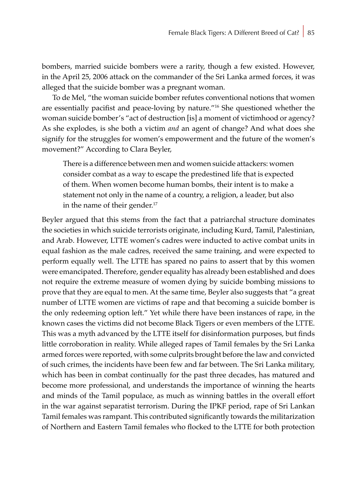bombers, married suicide bombers were a rarity, though a few existed. However, in the April 25, 2006 attack on the commander of the Sri Lanka armed forces, it was alleged that the suicide bomber was a pregnant woman.

To de Mel, "the woman suicide bomber refutes conventional notions that women are essentially pacifist and peace-loving by nature."16 She questioned whether the woman suicide bomber's "act of destruction [is] a moment of victimhood or agency? As she explodes, is she both a victim *and* an agent of change? And what does she signify for the struggles for women's empowerment and the future of the women's movement?" According to Clara Beyler,

There is a difference between men and women suicide attackers: women consider combat as a way to escape the predestined life that is expected of them. When women become human bombs, their intent is to make a statement not only in the name of a country, a religion, a leader, but also in the name of their gender.<sup>17</sup>

Beyler argued that this stems from the fact that a patriarchal structure dominates the societies in which suicide terrorists originate, including Kurd, Tamil, Palestinian, and Arab. However, LTTE women's cadres were inducted to active combat units in equal fashion as the male cadres, received the same training, and were expected to perform equally well. The LTTE has spared no pains to assert that by this women were emancipated. Therefore, gender equality has already been established and does not require the extreme measure of women dying by suicide bombing missions to prove that they are equal to men. At the same time, Beyler also suggests that "a great number of LTTE women are victims of rape and that becoming a suicide bomber is the only redeeming option left." Yet while there have been instances of rape, in the known cases the victims did not become Black Tigers or even members of the LTTE. This was a myth advanced by the LTTE itself for disinformation purposes, but finds little corroboration in reality. While alleged rapes of Tamil females by the Sri Lanka armed forces were reported, with some culprits brought before the law and convicted of such crimes, the incidents have been few and far between. The Sri Lanka military, which has been in combat continually for the past three decades, has matured and become more professional, and understands the importance of winning the hearts and minds of the Tamil populace, as much as winning battles in the overall effort in the war against separatist terrorism. During the IPKF period, rape of Sri Lankan Tamil females was rampant. This contributed significantly towards the militarization of Northern and Eastern Tamil females who flocked to the LTTE for both protection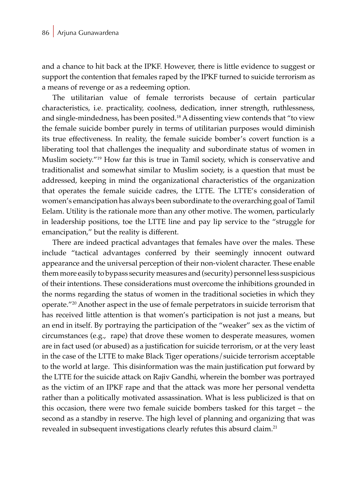and a chance to hit back at the IPKF. However, there is little evidence to suggest or support the contention that females raped by the IPKF turned to suicide terrorism as a means of revenge or as a redeeming option.

The utilitarian value of female terrorists because of certain particular characteristics, i.e. practicality, coolness, dedication, inner strength, ruthlessness, and single-mindedness, has been posited.<sup>18</sup> A dissenting view contends that "to view the female suicide bomber purely in terms of utilitarian purposes would diminish its true effectiveness. In reality, the female suicide bomber's covert function is a liberating tool that challenges the inequality and subordinate status of women in Muslim society."19 How far this is true in Tamil society, which is conservative and traditionalist and somewhat similar to Muslim society, is a question that must be addressed, keeping in mind the organizational characteristics of the organization that operates the female suicide cadres, the LTTE. The LTTE's consideration of women's emancipation has always been subordinate to the overarching goal of Tamil Eelam. Utility is the rationale more than any other motive. The women, particularly in leadership positions, toe the LTTE line and pay lip service to the "struggle for emancipation," but the reality is different.

There are indeed practical advantages that females have over the males. These include "tactical advantages conferred by their seemingly innocent outward appearance and the universal perception of their non-violent character. These enable them more easily to bypass security measures and (security) personnel less suspicious of their intentions. These considerations must overcome the inhibitions grounded in the norms regarding the status of women in the traditional societies in which they operate."20 Another aspect in the use of female perpetrators in suicide terrorism that has received little attention is that women's participation is not just a means, but an end in itself. By portraying the participation of the "weaker" sex as the victim of circumstances (e.g., rape) that drove these women to desperate measures, women are in fact used (or abused) as a justification for suicide terrorism, or at the very least in the case of the LTTE to make Black Tiger operations/suicide terrorism acceptable to the world at large. This disinformation was the main justification put forward by the LTTE for the suicide attack on Rajiv Gandhi, wherein the bomber was portrayed as the victim of an IPKF rape and that the attack was more her personal vendetta rather than a politically motivated assassination. What is less publicized is that on this occasion, there were two female suicide bombers tasked for this target – the second as a standby in reserve. The high level of planning and organizing that was revealed in subsequent investigations clearly refutes this absurd claim.<sup>21</sup>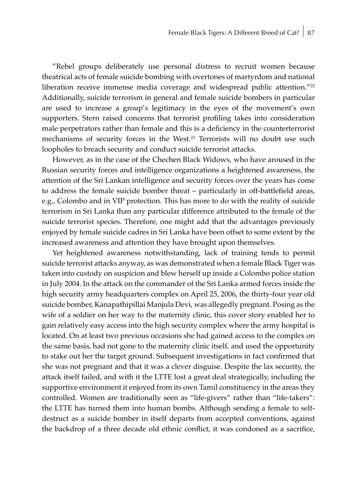"Rebel groups deliberately use personal distress to recruit women because theatrical acts of female suicide bombing with overtones of martyrdom and national liberation receive immense media coverage and widespread public attention."<sup>22</sup> Additionally, suicide terrorism in general and female suicide bombers in particular are used to increase a group's legitimacy in the eyes of the movement's own supporters. Stern raised concerns that terrorist profiling takes into consideration male perpetrators rather than female and this is a deficiency in the counterterrorist mechanisms of security forces in the West.23 Terrorists will no doubt use such loopholes to breach security and conduct suicide terrorist attacks.

However, as in the case of the Chechen Black Widows, who have aroused in the Russian security forces and intelligence organizations a heightened awareness, the attention of the Sri Lankan intelligence and security forces over the years has come to address the female suicide bomber threat – particularly in off-battlefield areas, e.g., Colombo and in VIP protection. This has more to do with the reality of suicide terrorism in Sri Lanka than any particular difference attributed to the female of the suicide terrorist species. Therefore, one might add that the advantages previously enjoyed by female suicide cadres in Sri Lanka have been offset to some extent by the increased awareness and attention they have brought upon themselves.

Yet heightened awareness notwithstanding, lack of training tends to permit suicide terrorist attacks anyway, as was demonstrated when a female Black Tiger was taken into custody on suspicion and blew herself up inside a Colombo police station in July 2004. In the attack on the commander of the Sri Lanka armed forces inside the high security army headquarters complex on April 25, 2006, the thirty-four year old suicide bomber, Kanapathipillai Manjula Devi, was allegedly pregnant. Posing as the wife of a soldier on her way to the maternity clinic, this cover story enabled her to gain relatively easy access into the high security complex where the army hospital is located. On at least two previous occasions she had gained access to the complex on the same basis, had not gone to the maternity clinic itself, and used the opportunity to stake out her the target ground. Subsequent investigations in fact confirmed that she was not pregnant and that it was a clever disguise. Despite the lax security, the attack itself failed, and with it the LTTE lost a great deal strategically, including the supportive environment it enjoyed from its own Tamil constituency in the areas they controlled. Women are traditionally seen as "life-givers" rather than "life-takers": the LTTE has turned them into human bombs. Although sending a female to selfdestruct as a suicide bomber in itself departs from accepted conventions, against the backdrop of a three decade old ethnic conflict, it was condoned as a sacrifice,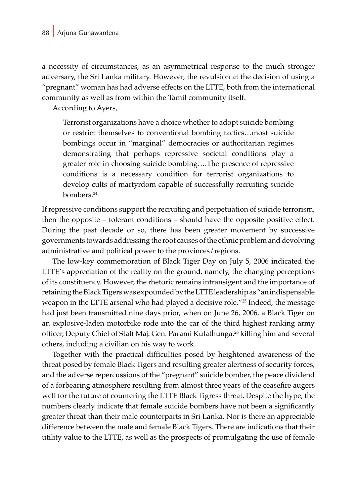a necessity of circumstances, as an asymmetrical response to the much stronger adversary, the Sri Lanka military. However, the revulsion at the decision of using a "pregnant" woman has had adverse effects on the LTTE, both from the international community as well as from within the Tamil community itself.

According to Ayers,

Terrorist organizations have a choice whether to adopt suicide bombing or restrict themselves to conventional bombing tactics…most suicide bombings occur in "marginal" democracies or authoritarian regimes demonstrating that perhaps repressive societal conditions play a greater role in choosing suicide bombing….The presence of repressive conditions is a necessary condition for terrorist organizations to develop cults of martyrdom capable of successfully recruiting suicide bombers.<sup>24</sup>

If repressive conditions support the recruiting and perpetuation of suicide terrorism, then the opposite – tolerant conditions – should have the opposite positive effect. During the past decade or so, there has been greater movement by successive governments towards addressing the root causes of the ethnic problem and devolving administrative and political power to the provinces/regions.

The low-key commemoration of Black Tiger Day on July 5, 2006 indicated the LTTE's appreciation of the reality on the ground, namely, the changing perceptions of its constituency. However, the rhetoric remains intransigent and the importance of retaining the Black Tigers was expounded by the LTTE leadership as "an indispensable weapon in the LTTE arsenal who had played a decisive role."<sup>25</sup> Indeed, the message had just been transmitted nine days prior, when on June 26, 2006, a Black Tiger on an explosive-laden motorbike rode into the car of the third highest ranking army officer, Deputy Chief of Staff Maj. Gen. Parami Kulathunga,<sup>26</sup> killing him and several others, including a civilian on his way to work.

Together with the practical difficulties posed by heightened awareness of the threat posed by female Black Tigers and resulting greater alertness of security forces, and the adverse repercussions of the "pregnant" suicide bomber, the peace dividend of a forbearing atmosphere resulting from almost three years of the ceasefire augers well for the future of countering the LTTE Black Tigress threat. Despite the hype, the numbers clearly indicate that female suicide bombers have not been a significantly greater threat than their male counterparts in Sri Lanka. Nor is there an appreciable difference between the male and female Black Tigers. There are indications that their utility value to the LTTE, as well as the prospects of promulgating the use of female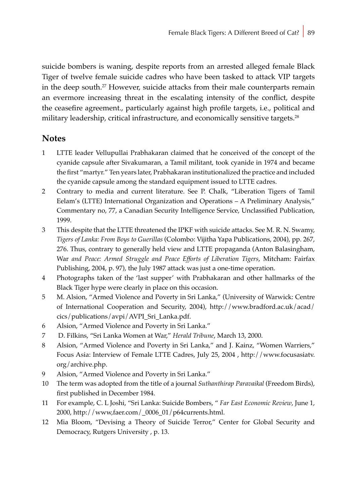suicide bombers is waning, despite reports from an arrested alleged female Black Tiger of twelve female suicide cadres who have been tasked to attack VIP targets in the deep south.<sup>27</sup> However, suicide attacks from their male counterparts remain an evermore increasing threat in the escalating intensity of the conflict, despite the ceasefire agreement., particularly against high profile targets, i.e., political and military leadership, critical infrastructure, and economically sensitive targets.<sup>28</sup>

### **Notes**

- 1 LTTE leader Vellupullai Prabhakaran claimed that he conceived of the concept of the cyanide capsule after Sivakumaran, a Tamil militant, took cyanide in 1974 and became the first "martyr." Ten years later, Prabhakaran institutionalized the practice and included the cyanide capsule among the standard equipment issued to LTTE cadres.
- 2 Contrary to media and current literature. See P. Chalk, "Liberation Tigers of Tamil Eelam's (LTTE) International Organization and Operations – A Preliminary Analysis," Commentary no, 77, a Canadian Security Intelligence Service, Unclassified Publication, 1999.
- 3 This despite that the LTTE threatened the IPKF with suicide attacks. See M. R. N. Swamy, *Tigers of Lanka: From Boys to Guerillas* (Colombo: Vijitha Yapa Publications, 2004), pp. 267, 276. Thus, contrary to generally held view and LTTE propaganda (Anton Balasingham, War *and Peace: Armed Struggle and Peace Efforts of Liberation Tigers*, Mitcham: Fairfax Publishing, 2004, p. 97), the July 1987 attack was just a one-time operation.
- 4 Photographs taken of the 'last supper' with Prabhakaran and other hallmarks of the Black Tiger hype were clearly in place on this occasion.
- 5 M. Alsion, "Armed Violence and Poverty in Sri Lanka," (University of Warwick: Centre of International Cooperation and Security, 2004), http://www.bradford.ac.uk/acad/ cics/publications/avpi/AVPI\_Sri\_Lanka.pdf.
- 6 Alsion, "Armed Violence and Poverty in Sri Lanka."
- 7 D. Filkins, "Sri Lanka Women at War," *Herald Tribune*, March 13, 2000.
- 8 Alsion, "Armed Violence and Poverty in Sri Lanka," and J. Kainz, "Women Warriers," Focus Asia: Interview of Female LTTE Cadres, July 25, 2004 , http://www.focusasiatv. org/archive.php.
- 9 Alsion, "Armed Violence and Poverty in Sri Lanka."
- 10 The term was adopted from the title of a journal *Suthanthirap Paravaikal* (Freedom Birds), first published in December 1984.
- 11 For example, C. L Joshi, "Sri Lanka: Suicide Bombers, " *Far East Economic Review*, June 1, 2000, http://www,faer.com/\_0006\_01/p64currents.html.
- 12 Mia Bloom, "Devising a Theory of Suicide Terror," Center for Global Security and Democracy, Rutgers University , p. 13.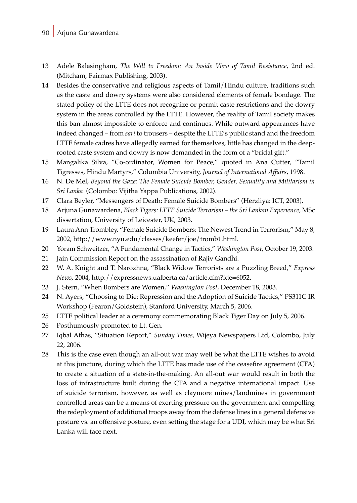### 90 Arjuna Gunawardena

- 13 Adele Balasingham, *The Will to Freedom: An Inside View of Tamil Resistance*, 2nd ed. (Mitcham, Fairmax Publishing, 2003).
- 14 Besides the conservative and religious aspects of Tamil/Hindu culture, traditions such as the caste and dowry systems were also considered elements of female bondage. The stated policy of the LTTE does not recognize or permit caste restrictions and the dowry system in the areas controlled by the LTTE. However, the reality of Tamil society makes this ban almost impossible to enforce and continues. While outward appearances have indeed changed – from *sari* to trousers – despite the LTTE's public stand and the freedom LTTE female cadres have allegedly earned for themselves, little has changed in the deeprooted caste system and dowry is now demanded in the form of a "bridal gift."
- 15 Mangalika Silva, "Co-ordinator, Women for Peace," quoted in Ana Cutter, "Tamil Tigresses, Hindu Martyrs," Columbia University, *Journal of International Affairs*, 1998.
- 16 N. De Mel, *Beyond the Gaze: The Female Suicide Bomber, Gender, Sexuality and Militarism in Sri Lanka* (Colombo: Vijitha Yappa Publications, 2002).
- 17 Clara Beyler, "Messengers of Death: Female Suicide Bombers" (Herzliya: ICT, 2003).
- 18 Arjuna Gunawardena, *Black Tigers: LTTE Suicide Terrorism the Sri Lankan Experience,* MSc dissertation, University of Leicester, UK, 2003.
- 19 Laura Ann Trombley, "Female Suicide Bombers: The Newest Trend in Terrorism," May 8, 2002, http://www.nyu.edu/classes/keefer/joe/tromb1.html.
- 20 Yoram Schweitzer, "A Fundamental Change in Tactics," *Washington Post*, October 19, 2003.
- 21 Jain Commission Report on the assassination of Rajiv Gandhi.
- 22 W. A. Knight and T. Narozhna, "Black Widow Terrorists are a Puzzling Breed," *Express News*, 2004, http://expressnews.ualberta.ca/article.cfm?ide=6052.
- 23 J. Stern, "When Bombers are Women," *Washington Post*, December 18, 2003.
- 24 N. Ayers, "Choosing to Die: Repression and the Adoption of Suicide Tactics," PS311C IR Workshop (Fearon/Goldstein), Stanford University, March 5, 2006.
- 25 LTTE political leader at a ceremony commemorating Black Tiger Day on July 5, 2006.
- 26 Posthumously promoted to Lt. Gen.
- 27 Iqbal Athas, "Situation Report," *Sunday Times*, Wijeya Newspapers Ltd, Colombo, July 22, 2006.
- 28 This is the case even though an all-out war may well be what the LTTE wishes to avoid at this juncture, during which the LTTE has made use of the ceasefire agreement (CFA) to create a situation of a state-in-the-making. An all-out war would result in both the loss of infrastructure built during the CFA and a negative international impact. Use of suicide terrorism, however, as well as claymore mines/landmines in government controlled areas can be a means of exerting pressure on the government and compelling the redeployment of additional troops away from the defense lines in a general defensive posture vs. an offensive posture, even setting the stage for a UDI, which may be what Sri Lanka will face next.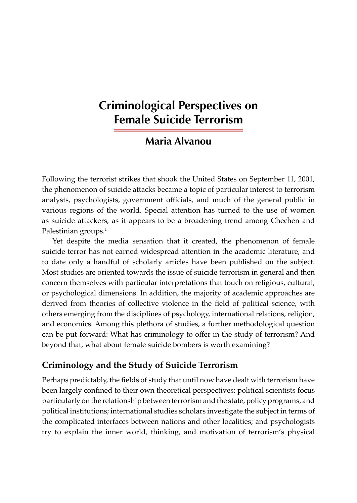# **Criminological Perspectives on Female Suicide Terrorism**

## **Maria Alvanou**

Following the terrorist strikes that shook the United States on September 11, 2001, the phenomenon of suicide attacks became a topic of particular interest to terrorism analysts, psychologists, government officials, and much of the general public in various regions of the world. Special attention has turned to the use of women as suicide attackers, as it appears to be a broadening trend among Chechen and Palestinian groups.<sup>1</sup>

Yet despite the media sensation that it created, the phenomenon of female suicide terror has not earned widespread attention in the academic literature, and to date only a handful of scholarly articles have been published on the subject. Most studies are oriented towards the issue of suicide terrorism in general and then concern themselves with particular interpretations that touch on religious, cultural, or psychological dimensions. In addition, the majority of academic approaches are derived from theories of collective violence in the field of political science, with others emerging from the disciplines of psychology, international relations, religion, and economics. Among this plethora of studies, a further methodological question can be put forward: What has criminology to offer in the study of terrorism? And beyond that, what about female suicide bombers is worth examining?

## **Criminology and the Study of Suicide Terrorism**

Perhaps predictably, the fields of study that until now have dealt with terrorism have been largely confined to their own theoretical perspectives: political scientists focus particularly on the relationship between terrorism and the state, policy programs, and political institutions; international studies scholars investigate the subject in terms of the complicated interfaces between nations and other localities; and psychologists try to explain the inner world, thinking, and motivation of terrorism's physical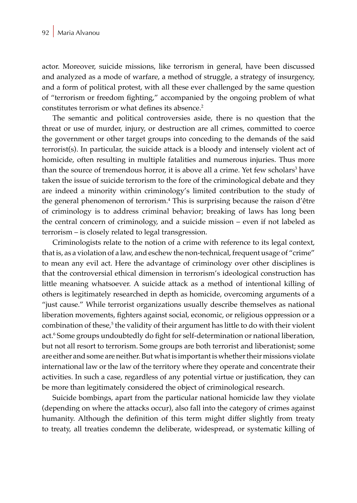actor. Moreover, suicide missions, like terrorism in general, have been discussed and analyzed as a mode of warfare, a method of struggle, a strategy of insurgency, and a form of political protest, with all these ever challenged by the same question of "terrorism or freedom fighting," accompanied by the ongoing problem of what constitutes terrorism or what defines its absence.<sup>2</sup>

The semantic and political controversies aside, there is no question that the threat or use of murder, injury, or destruction are all crimes, committed to coerce the government or other target groups into conceding to the demands of the said terrorist(s). In particular, the suicide attack is a bloody and intensely violent act of homicide, often resulting in multiple fatalities and numerous injuries. Thus more than the source of tremendous horror, it is above all a crime. Yet few scholars<sup>3</sup> have taken the issue of suicide terrorism to the fore of the criminological debate and they are indeed a minority within criminology's limited contribution to the study of the general phenomenon of terrorism.4 This is surprising because the raison d'être of criminology is to address criminal behavior; breaking of laws has long been the central concern of criminology, and a suicide mission – even if not labeled as terrorism – is closely related to legal transgression.

Criminologists relate to the notion of a crime with reference to its legal context, that is, as a violation of a law, and eschew the non-technical, frequent usage of "crime" to mean any evil act. Here the advantage of criminology over other disciplines is that the controversial ethical dimension in terrorism's ideological construction has little meaning whatsoever. A suicide attack as a method of intentional killing of others is legitimately researched in depth as homicide, overcoming arguments of a "just cause." While terrorist organizations usually describe themselves as national liberation movements, fighters against social, economic, or religious oppression or a combination of these,<sup>5</sup> the validity of their argument has little to do with their violent act.6 Some groups undoubtedly do fight for self-determination or national liberation, but not all resort to terrorism. Some groups are both terrorist and liberationist; some are either and some are neither. But what is important is whether their missions violate international law or the law of the territory where they operate and concentrate their activities. In such a case, regardless of any potential virtue or justification, they can be more than legitimately considered the object of criminological research.

Suicide bombings, apart from the particular national homicide law they violate (depending on where the attacks occur), also fall into the category of crimes against humanity. Although the definition of this term might differ slightly from treaty to treaty, all treaties condemn the deliberate, widespread, or systematic killing of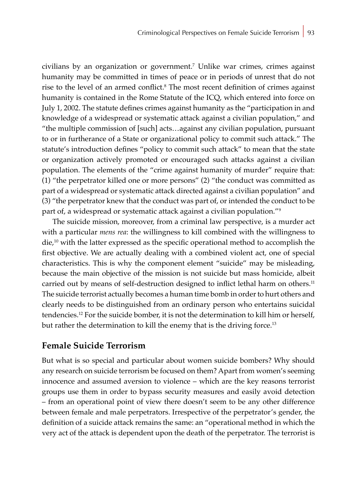civilians by an organization or government.<sup>7</sup> Unlike war crimes, crimes against humanity may be committed in times of peace or in periods of unrest that do not rise to the level of an armed conflict.<sup>8</sup> The most recent definition of crimes against humanity is contained in the Rome Statute of the ICQ, which entered into force on July 1, 2002. The statute defines crimes against humanity as the "participation in and knowledge of a widespread or systematic attack against a civilian population," and "the multiple commission of [such] acts…against any civilian population, pursuant to or in furtherance of a State or organizational policy to commit such attack." The statute's introduction defines "policy to commit such attack" to mean that the state or organization actively promoted or encouraged such attacks against a civilian population. The elements of the "crime against humanity of murder" require that: (1) "the perpetrator killed one or more persons" (2) "the conduct was committed as part of a widespread or systematic attack directed against a civilian population" and (3) "the perpetrator knew that the conduct was part of, or intended the conduct to be part of, a widespread or systematic attack against a civilian population."<sup>9</sup>

The suicide mission, moreover, from a criminal law perspective, is a murder act with a particular *mens rea*: the willingness to kill combined with the willingness to  $die<sup>10</sup>$  with the latter expressed as the specific operational method to accomplish the first objective. We are actually dealing with a combined violent act, one of special characteristics. This is why the component element "suicide" may be misleading, because the main objective of the mission is not suicide but mass homicide, albeit carried out by means of self-destruction designed to inflict lethal harm on others.<sup>11</sup> The suicide terrorist actually becomes a human time bomb in order to hurt others and clearly needs to be distinguished from an ordinary person who entertains suicidal tendencies.12 For the suicide bomber, it is not the determination to kill him or herself, but rather the determination to kill the enemy that is the driving force.<sup>13</sup>

### **Female Suicide Terrorism**

But what is so special and particular about women suicide bombers? Why should any research on suicide terrorism be focused on them? Apart from women's seeming innocence and assumed aversion to violence – which are the key reasons terrorist groups use them in order to bypass security measures and easily avoid detection – from an operational point of view there doesn't seem to be any other difference between female and male perpetrators. Irrespective of the perpetrator's gender, the definition of a suicide attack remains the same: an "operational method in which the very act of the attack is dependent upon the death of the perpetrator. The terrorist is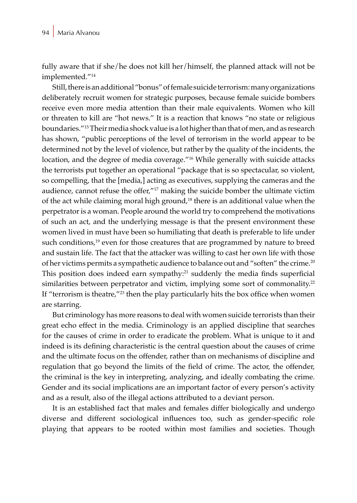fully aware that if she/he does not kill her/himself, the planned attack will not be implemented."<sup>14</sup>

Still, there is an additional "bonus" of female suicide terrorism: many organizations deliberately recruit women for strategic purposes, because female suicide bombers receive even more media attention than their male equivalents. Women who kill or threaten to kill are "hot news." It is a reaction that knows "no state or religious boundaries."15 Their media shock value is a lot higher than that of men, and as research has shown, "public perceptions of the level of terrorism in the world appear to be determined not by the level of violence, but rather by the quality of the incidents, the location, and the degree of media coverage."16 While generally with suicide attacks the terrorists put together an operational "package that is so spectacular, so violent, so compelling, that the [media,] acting as executives, supplying the cameras and the audience, cannot refuse the offer,"<sup>17</sup> making the suicide bomber the ultimate victim of the act while claiming moral high ground,<sup>18</sup> there is an additional value when the perpetrator is a woman. People around the world try to comprehend the motivations of such an act, and the underlying message is that the present environment these women lived in must have been so humiliating that death is preferable to life under such conditions,<sup>19</sup> even for those creatures that are programmed by nature to breed and sustain life. The fact that the attacker was willing to cast her own life with those of her victims permits a sympathetic audience to balance out and "soften" the crime.<sup>20</sup> This position does indeed earn sympathy:21 suddenly the media finds superficial similarities between perpetrator and victim, implying some sort of commonality.<sup>22</sup> If "terrorism is theatre,"<sup>23</sup> then the play particularly hits the box office when women are starring.

But criminology has more reasons to deal with women suicide terrorists than their great echo effect in the media. Criminology is an applied discipline that searches for the causes of crime in order to eradicate the problem. What is unique to it and indeed is its defining characteristic is the central question about the causes of crime and the ultimate focus on the offender, rather than on mechanisms of discipline and regulation that go beyond the limits of the field of crime. The actor, the offender, the criminal is the key in interpreting, analyzing, and ideally combating the crime. Gender and its social implications are an important factor of every person's activity and as a result, also of the illegal actions attributed to a deviant person.

It is an established fact that males and females differ biologically and undergo diverse and different sociological influences too, such as gender-specific role playing that appears to be rooted within most families and societies. Though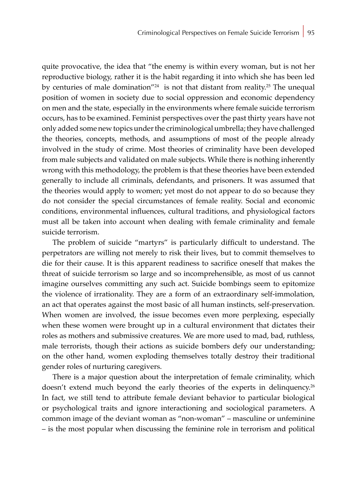quite provocative, the idea that "the enemy is within every woman, but is not her reproductive biology, rather it is the habit regarding it into which she has been led by centuries of male domination"<sup>24</sup> is not that distant from reality.<sup>25</sup> The unequal position of women in society due to social oppression and economic dependency on men and the state, especially in the environments where female suicide terrorism occurs, has to be examined. Feminist perspectives over the past thirty years have not only added some new topics under the criminological umbrella; they have challenged the theories, concepts, methods, and assumptions of most of the people already involved in the study of crime. Most theories of criminality have been developed from male subjects and validated on male subjects. While there is nothing inherently wrong with this methodology, the problem is that these theories have been extended generally to include all criminals, defendants, and prisoners. It was assumed that the theories would apply to women; yet most do not appear to do so because they do not consider the special circumstances of female reality. Social and economic conditions, environmental influences, cultural traditions, and physiological factors must all be taken into account when dealing with female criminality and female suicide terrorism.

The problem of suicide "martyrs" is particularly difficult to understand. The perpetrators are willing not merely to risk their lives, but to commit themselves to die for their cause. It is this apparent readiness to sacrifice oneself that makes the threat of suicide terrorism so large and so incomprehensible, as most of us cannot imagine ourselves committing any such act. Suicide bombings seem to epitomize the violence of irrationality. They are a form of an extraordinary self-immolation, an act that operates against the most basic of all human instincts, self-preservation. When women are involved, the issue becomes even more perplexing, especially when these women were brought up in a cultural environment that dictates their roles as mothers and submissive creatures. We are more used to mad, bad, ruthless, male terrorists, though their actions as suicide bombers defy our understanding; on the other hand, women exploding themselves totally destroy their traditional gender roles of nurturing caregivers.

There is a major question about the interpretation of female criminality, which doesn't extend much beyond the early theories of the experts in delinquency.<sup>26</sup> In fact, we still tend to attribute female deviant behavior to particular biological or psychological traits and ignore interactioning and sociological parameters. A common image of the deviant woman as "non-woman" – masculine or unfeminine – is the most popular when discussing the feminine role in terrorism and political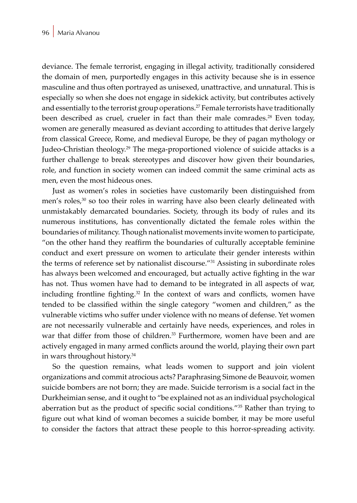deviance. The female terrorist, engaging in illegal activity, traditionally considered the domain of men, purportedly engages in this activity because she is in essence masculine and thus often portrayed as unisexed, unattractive, and unnatural. This is especially so when she does not engage in sidekick activity, but contributes actively and essentially to the terrorist group operations.<sup>27</sup> Female terrorists have traditionally been described as cruel, crueler in fact than their male comrades.<sup>28</sup> Even today, women are generally measured as deviant according to attitudes that derive largely from classical Greece, Rome, and medieval Europe, be they of pagan mythology or Judeo-Christian theology.<sup>29</sup> The mega-proportioned violence of suicide attacks is a further challenge to break stereotypes and discover how given their boundaries, role, and function in society women can indeed commit the same criminal acts as men, even the most hideous ones.

Just as women's roles in societies have customarily been distinguished from men's roles,<sup>30</sup> so too their roles in warring have also been clearly delineated with unmistakably demarcated boundaries. Society, through its body of rules and its numerous institutions, has conventionally dictated the female roles within the boundaries of militancy. Though nationalist movements invite women to participate, "on the other hand they reaffirm the boundaries of culturally acceptable feminine conduct and exert pressure on women to articulate their gender interests within the terms of reference set by nationalist discourse."<sup>31</sup> Assisting in subordinate roles has always been welcomed and encouraged, but actually active fighting in the war has not. Thus women have had to demand to be integrated in all aspects of war, including frontline fighting.<sup>32</sup> In the context of wars and conflicts, women have tended to be classified within the single category "women and children," as the vulnerable victims who suffer under violence with no means of defense. Yet women are not necessarily vulnerable and certainly have needs, experiences, and roles in war that differ from those of children.<sup>33</sup> Furthermore, women have been and are actively engaged in many armed conflicts around the world, playing their own part in wars throughout history.34

So the question remains, what leads women to support and join violent organizations and commit atrocious acts? Paraphrasing Simone de Beauvoir, women suicide bombers are not born; they are made. Suicide terrorism is a social fact in the Durkheimian sense, and it ought to "be explained not as an individual psychological aberration but as the product of specific social conditions."35 Rather than trying to figure out what kind of woman becomes a suicide bomber, it may be more useful to consider the factors that attract these people to this horror-spreading activity.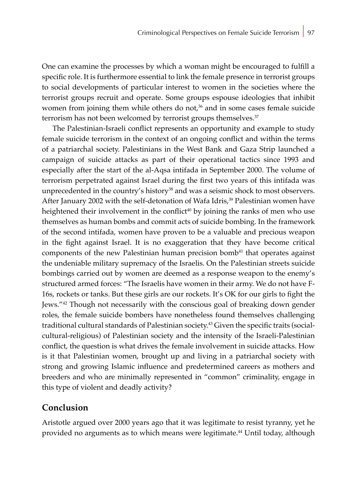One can examine the processes by which a woman might be encouraged to fulfill a specific role. It is furthermore essential to link the female presence in terrorist groups to social developments of particular interest to women in the societies where the terrorist groups recruit and operate. Some groups espouse ideologies that inhibit women from joining them while others do not,<sup>36</sup> and in some cases female suicide terrorism has not been welcomed by terrorist groups themselves.<sup>37</sup>

The Palestinian-Israeli conflict represents an opportunity and example to study female suicide terrorism in the context of an ongoing conflict and within the terms of a patriarchal society. Palestinians in the West Bank and Gaza Strip launched a campaign of suicide attacks as part of their operational tactics since 1993 and especially after the start of the al-Aqsa intifada in September 2000. The volume of terrorism perpetrated against Israel during the first two years of this intifada was unprecedented in the country's history<sup>38</sup> and was a seismic shock to most observers. After January 2002 with the self-detonation of Wafa Idris,<sup>39</sup> Palestinian women have heightened their involvement in the conflict<sup>40</sup> by joining the ranks of men who use themselves as human bombs and commit acts of suicide bombing. In the framework of the second intifada, women have proven to be a valuable and precious weapon in the fight against Israel. It is no exaggeration that they have become critical components of the new Palestinian human precision bomb<sup>41</sup> that operates against the undeniable military supremacy of the Israelis. On the Palestinian streets suicide bombings carried out by women are deemed as a response weapon to the enemy's structured armed forces: "The Israelis have women in their army. We do not have F-16s, rockets or tanks. But these girls are our rockets. It's OK for our girls to fight the Jews."<sup>42</sup> Though not necessarily with the conscious goal of breaking down gender roles, the female suicide bombers have nonetheless found themselves challenging traditional cultural standards of Palestinian society.<sup>43</sup> Given the specific traits (socialcultural-religious) of Palestinian society and the intensity of the Israeli-Palestinian conflict, the question is what drives the female involvement in suicide attacks. How is it that Palestinian women, brought up and living in a patriarchal society with strong and growing Islamic influence and predetermined careers as mothers and breeders and who are minimally represented in "common" criminality, engage in this type of violent and deadly activity?

### **Conclusion**

Aristotle argued over 2000 years ago that it was legitimate to resist tyranny, yet he provided no arguments as to which means were legitimate.<sup>44</sup> Until today, although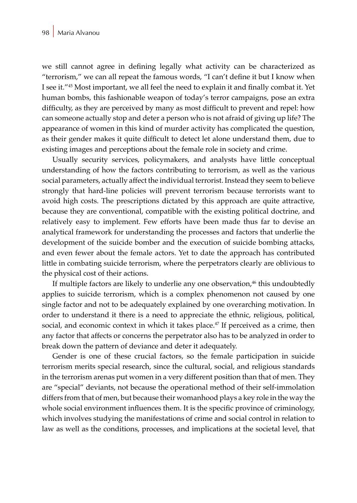we still cannot agree in defining legally what activity can be characterized as "terrorism," we can all repeat the famous words, "I can't define it but I know when I see it."<sup>45</sup> Most important, we all feel the need to explain it and finally combat it. Yet human bombs, this fashionable weapon of today's terror campaigns, pose an extra difficulty, as they are perceived by many as most difficult to prevent and repel: how can someone actually stop and deter a person who is not afraid of giving up life? The appearance of women in this kind of murder activity has complicated the question, as their gender makes it quite difficult to detect let alone understand them, due to existing images and perceptions about the female role in society and crime.

Usually security services, policymakers, and analysts have little conceptual understanding of how the factors contributing to terrorism, as well as the various social parameters, actually affect the individual terrorist. Instead they seem to believe strongly that hard-line policies will prevent terrorism because terrorists want to avoid high costs. The prescriptions dictated by this approach are quite attractive, because they are conventional, compatible with the existing political doctrine, and relatively easy to implement. Few efforts have been made thus far to devise an analytical framework for understanding the processes and factors that underlie the development of the suicide bomber and the execution of suicide bombing attacks, and even fewer about the female actors. Yet to date the approach has contributed little in combating suicide terrorism, where the perpetrators clearly are oblivious to the physical cost of their actions.

If multiple factors are likely to underlie any one observation,<sup>46</sup> this undoubtedly applies to suicide terrorism, which is a complex phenomenon not caused by one single factor and not to be adequately explained by one overarching motivation. In order to understand it there is a need to appreciate the ethnic, religious, political, social, and economic context in which it takes place.<sup>47</sup> If perceived as a crime, then any factor that affects or concerns the perpetrator also has to be analyzed in order to break down the pattern of deviance and deter it adequately.

Gender is one of these crucial factors, so the female participation in suicide terrorism merits special research, since the cultural, social, and religious standards in the terrorism arenas put women in a very different position than that of men. They are "special" deviants, not because the operational method of their self-immolation differs from that of men, but because their womanhood plays a key role in the way the whole social environment influences them. It is the specific province of criminology, which involves studying the manifestations of crime and social control in relation to law as well as the conditions, processes, and implications at the societal level, that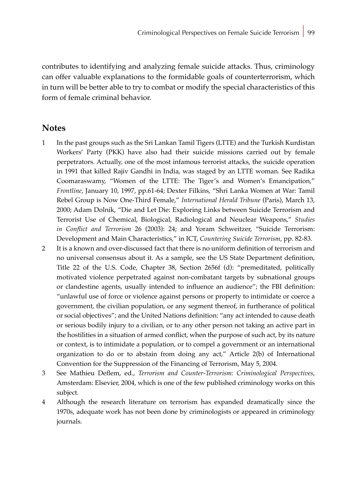contributes to identifying and analyzing female suicide attacks. Thus, criminology can offer valuable explanations to the formidable goals of counterterrorism, which in turn will be better able to try to combat or modify the special characteristics of this form of female criminal behavior.

### **Notes**

- 1 In the past groups such as the Sri Lankan Tamil Tigers (LTTE) and the Turkish Kurdistan Workers' Party (PKK) have also had their suicide missions carried out by female perpetrators. Actually, one of the most infamous terrorist attacks, the suicide operation in 1991 that killed Rajiv Gandhi in India, was staged by an LTTE woman. See Radika Coomaraswamy, "Women of the LTTE: The Tiger's and Women's Emancipation," *Frontline*, January 10, 1997, pp.61-64; Dexter Filkins, "Shri Lanka Women at War: Tamil Rebel Group is Now One-Third Female," *International Herald Tribune* (Paris), March 13, 2000; Adam Dolnik, "Die and Let Die: Exploring Links between Suicide Terrorism and Terrorist Use of Chemical, Biological, Radiological and Neuclear Weapons," *Studies in Conflict and Terrorism* 26 (2003): 24; and Yoram Schweitzer, "Suicide Terrorism: Development and Main Characteristics," in ICT, *Countering Suicide Terrorism*, pp. 82-83.
- 2 It is a known and over-discussed fact that there is no uniform definition of terrorism and no universal consensus about it. As a sample, see the US State Department definition, Title 22 of the U.S. Code, Chapter 38, Section 2656f (d): "premeditated, politically motivated violence perpetrated against non-combatant targets by subnational groups or clandestine agents, usually intended to influence an audience"; the FBI definition: "unlawful use of force or violence against persons or property to intimidate or coerce a government, the civilian population, or any segment thereof, in furtherance of political or social objectives"; and the United Nations definition: "any act intended to cause death or serious bodily injury to a civilian, or to any other person not taking an active part in the hostilities in a situation of armed conflict, when the purpose of such act, by its nature or context, is to intimidate a population, or to compel a government or an international organization to do or to abstain from doing any act," Article 2(b) of International Convention for the Suppression of the Financing of Terrorism, May 5, 2004.
- 3 See Mathieu Deflem, ed., *Terrorism and Counter-Terrorism: Criminological Perspectives*, Amsterdam: Elsevier, 2004, which is one of the few published criminology works on this subject.
- 4 Although the research literature on terrorism has expanded dramatically since the 1970s, adequate work has not been done by criminologists or appeared in criminology journals.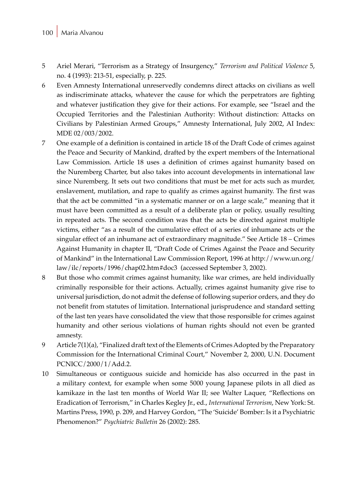#### 100 Maria Alvanou

- 5 Ariel Merari, "Terrorism as a Strategy of Insurgency," *Terrorism and Political Violence* 5, no. 4 (1993): 213-51, especially, p. 225.
- 6 Even Amnesty International unreservedly condemns direct attacks on civilians as well as indiscriminate attacks, whatever the cause for which the perpetrators are fighting and whatever justification they give for their actions. For example, see "Israel and the Occupied Territories and the Palestinian Authority: Without distinction: Attacks on Civilians by Palestinian Armed Groups," Amnesty International, July 2002, AI Index: MDE 02/003/2002.
- 7 One example of a definition is contained in article 18 of the Draft Code of crimes against the Peace and Security of Mankind, drafted by the expert members of the International Law Commission. Article 18 uses a definition of crimes against humanity based on the Nuremberg Charter, but also takes into account developments in international law since Nuremberg. It sets out two conditions that must be met for acts such as murder, enslavement, mutilation, and rape to qualify as crimes against humanity. The first was that the act be committed "in a systematic manner or on a large scale," meaning that it must have been committed as a result of a deliberate plan or policy, usually resulting in repeated acts. The second condition was that the acts be directed against multiple victims, either "as a result of the cumulative effect of a series of inhumane acts or the singular effect of an inhumane act of extraordinary magnitude." See Article 18 – Crimes Against Humanity in chapter II, "Draft Code of Crimes Against the Peace and Security of Mankind" in the International Law Commission Report, 1996 at http://www.un.org/ law/ilc/reports/1996/chap02.htm#doc3 (accessed September 3, 2002).
- 8 But those who commit crimes against humanity, like war crimes, are held individually criminally responsible for their actions. Actually, crimes against humanity give rise to universal jurisdiction, do not admit the defense of following superior orders, and they do not benefit from statutes of limitation. International jurisprudence and standard setting of the last ten years have consolidated the view that those responsible for crimes against humanity and other serious violations of human rights should not even be granted amnesty.
- 9 Article 7(1)(a), "Finalized draft text of the Elements of Crimes Adopted by the Preparatory Commission for the International Criminal Court," November 2, 2000, U.N. Document PCNICC/2000/1/Add.2.
- 10 Simultaneous or contiguous suicide and homicide has also occurred in the past in a military context, for example when some 5000 young Japanese pilots in all died as kamikaze in the last ten months of World War II; see Walter Laquer, "Reflections on Eradication of Terrorism," in Charles Kegley Jr., ed., *International Terrorism*, New York: St. Martins Press, 1990, p. 209, and Harvey Gordon, "The 'Suicide' Bomber: Is it a Psychiatric Phenomenon?" *Psychiatric Bulletin* 26 (2002): 285.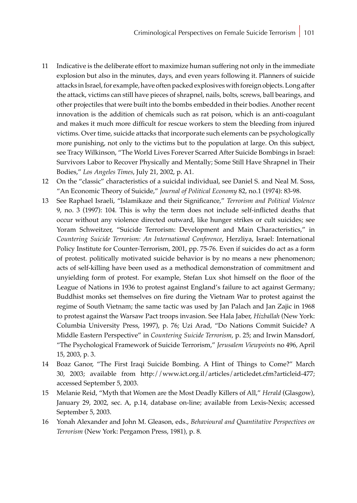- 11 Indicative is the deliberate effort to maximize human suffering not only in the immediate explosion but also in the minutes, days, and even years following it. Planners of suicide attacks in Israel, for example, have often packed explosives with foreign objects. Long after the attack, victims can still have pieces of shrapnel, nails, bolts, screws, ball bearings, and other projectiles that were built into the bombs embedded in their bodies. Another recent innovation is the addition of chemicals such as rat poison, which is an anti-coagulant and makes it much more difficult for rescue workers to stem the bleeding from injured victims. Over time, suicide attacks that incorporate such elements can be psychologically more punishing, not only to the victims but to the population at large. On this subject, see Tracy Wilkinson, "The World Lives Forever Scarred After Suicide Bombings in Israel: Survivors Labor to Recover Physically and Mentally; Some Still Have Shrapnel in Their Bodies," *Los Angeles Times*, July 21, 2002, p. A1.
- 12 On the "classic" characteristics of a suicidal individual, see Daniel S. and Neal M. Soss, "An Economic Theory of Suicide," *Journal of Political Economy* 82, no.1 (1974): 83-98.
- 13 See Raphael Israeli, "Islamikaze and their Significance," *Terrorism and Political Violence* 9, no. 3 (1997): 104. This is why the term does not include self-inflicted deaths that occur without any violence directed outward, like hunger strikes or cult suicides; see Yoram Schweitzer, "Suicide Terrorism: Development and Main Characteristics," in *Countering Suicide Terrorism: An International Conference*, Herzliya, Israel: International Policy Institute for Counter-Terrorism, 2001, pp. 75-76. Even if suicides do act as a form of protest. politically motivated suicide behavior is by no means a new phenomenon; acts of self-killing have been used as a methodical demonstration of commitment and unyielding form of protest. For example, Stefan Lux shot himself on the floor of the League of Nations in 1936 to protest against England's failure to act against Germany; Buddhist monks set themselves on fire during the Vietnam War to protest against the regime of South Vietnam; the same tactic was used by Jan Palach and Jan Zajic in 1968 to protest against the Warsaw Pact troops invasion. See Hala Jaber, *Hizballah* (New York: Columbia University Press, 1997), p. 76; Uzi Arad, "Do Nations Commit Suicide? A Middle Eastern Perspective" in *Countering Suicide Terrorism*, p. 25; and Irwin Mansdorf, "The Psychological Framework of Suicide Terrorism," *Jerusalem Viewpoints* no 496, April 15, 2003, p. 3.
- 14 Boaz Ganor, "The First Iraqi Suicide Bombing. A Hint of Things to Come?" March 30, 2003; available from http://www.ict.org.il/articles/articledet.cfm?articleid-477; accessed September 5, 2003.
- 15 Melanie Reid, "Myth that Women are the Most Deadly Killers of All," *Herald* (Glasgow), January 29, 2002, sec. A, p.14, database on-line; available from Lexis-Nexis; accessed September 5, 2003.
- 16 Yonah Alexander and John M. Gleason, eds., *Behavioural and Quantitative Perspectives on Terrorism* (New York: Pergamon Press, 1981), p. 8.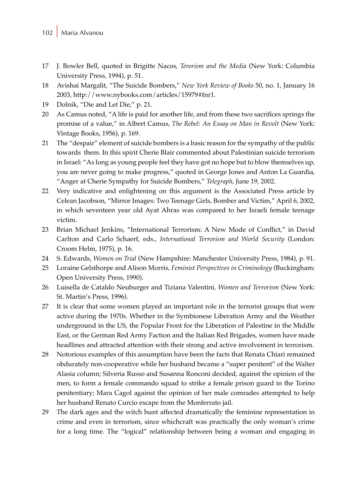- 17 J. Bowler Bell, quoted in Brigitte Nacos, *Terorism and the Media* (New York: Columbia University Press, 1994), p. 51.
- 18 Avishai Margalit, "The Suicide Bombers," *New York Review of Books* 50, no. 1, January 16 2003, http://www.nybooks.com/articles/15979#fnr1.
- 19 Dolnik, "Die and Let Die," p. 21.
- 20 As Camus noted, "A life is paid for another life, and from these two sacrifices springs the promise of a value," in Albert Camus, *The Rebel*: *An Essay on Man in Revolt* (New York: Vintage Books, 1956), p. 169.
- 21 The "despair" element of suicide bombers is a basic reason for the sympathy of the public towards them. In this spirit Cherie Blair commented about Palestinian suicide terrorism in Israel: "As long as young people feel they have got no hope but to blow themselves up, you are never going to make progress," quoted in George Jones and Anton La Guardia, "Anger at Cherie Sympathy for Suicide Bombers," *Telegraph*, June 19, 2002.
- 22 Very indicative and enlightening on this argument is the Associated Press article by Celean Jacobson, "Mirror Images: Two Teenage Girls, Bomber and Victim," April 6, 2002, in which seventeen year old Ayat Ahras was compared to her Israeli female teenage victim.
- 23 Brian Michael Jenkins, "International Terrorism: A New Mode of Conflict," in David Carlton and Carlo Schaerf, eds., *International Terrorism and World Security* (London: Croom Helm, 1975), p. 16.
- 24 S. Edwards, *Women on Trial* (New Hampshire: Manchester University Press, 1984), p. 91.
- 25 Loraine Gelsthorpe and Alison Morris, *Feminist Perspectives in Criminology* (Buckingham: Open University Press, 1990).
- 26 Luisella de Cataldo Neuburger and Tiziana Valentini, *Women and Terrorism* (New York: St. Martin's Press, 1996).
- 27 It is clear that some women played an important role in the terrorist groups that were active during the 1970s. Whether in the Symbionese Liberation Army and the Weather underground in the US, the Popular Front for the Liberation of Palestine in the Middle East, or the German Red Army Faction and the Italian Red Brigades, women have made headlines and attracted attention with their strong and active involvement in terrorism.
- 28 Notorious examples of this assumption have been the facts that Renata Chiari remained obdurately non-cooperative while her husband became a "super penitent" of the Walter Alasia column; Silveria Russo and Susanna Ronconi decided, against the opinion of the men, to form a female commando squad to strike a female prison guard in the Torino penitentiary; Mara Cagol against the opinion of her male comrades attempted to help her husband Renato Curcio escape from the Monferrato jail.
- 29 The dark ages and the witch hunt affected dramatically the feminine representation in crime and even in terrorism, since whichcraft was practically the only woman's crime for a long time. The "logical" relationship between being a woman and engaging in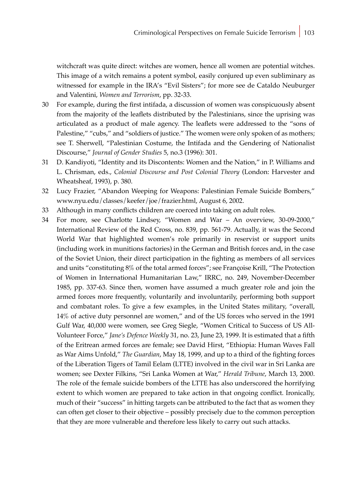witchcraft was quite direct: witches are women, hence all women are potential witches. This image of a witch remains a potent symbol, easily conjured up even subliminary as witnessed for example in the IRA's "Evil Sisters"; for more see de Cataldo Neuburger and Valentini, *Women and Terrorism*, pp. 32-33.

- 30 For example, during the first intifada, a discussion of women was conspicuously absent from the majority of the leaflets distributed by the Palestinians, since the uprising was articulated as a product of male agency. The leaflets were addressed to the "sons of Palestine," "cubs," and "soldiers of justice." The women were only spoken of as mothers; see T. Sherwell, "Palestinian Costume, the Intifada and the Gendering of Nationalist Discourse," *Journal of Gender Studies* 5, no.3 (1996): 301.
- 31 D. Kandiyoti, "Identity and its Discontents: Women and the Nation," in P. Williams and L. Chrisman, eds., *Colonial Discourse and Post Colonial Theory* (London: Harvester and Wheatsheaf, 1993), p. 380.
- 32 Lucy Frazier, "Abandon Weeping for Weapons: Palestinian Female Suicide Bombers," www.nyu.edu/classes/keefer/joe/frazier.html, August 6, 2002.
- 33 Although in many conflicts children are coerced into taking on adult roles.
- 34 For more, see Charlotte Lindsey, "Women and War An overview, 30-09-2000," International Review of the Red Cross, no. 839, pp. 561-79. Actually, it was the Second World War that highlighted women's role primarily in reservist or support units (including work in munitions factories) in the German and British forces and, in the case of the Soviet Union, their direct participation in the fighting as members of all services and units "constituting 8% of the total armed forces"; see Françoise Krill, "The Protection of Women in International Humanitarian Law," IRRC, no. 249, November-December 1985, pp. 337-63. Since then, women have assumed a much greater role and join the armed forces more frequently, voluntarily and involuntarily, performing both support and combatant roles. To give a few examples, in the United States military, "overall, 14% of active duty personnel are women," and of the US forces who served in the 1991 Gulf War, 40,000 were women, see Greg Siegle, "Women Critical to Success of US All-Volunteer Force," *Jane's Defence Weekly* 31, no. 23, June 23, 1999. It is estimated that a fifth of the Eritrean armed forces are female; see David Hirst, "Ethiopia: Human Waves Fall as War Aims Unfold," *The Guardian*, May 18, 1999, and up to a third of the fighting forces of the Liberation Tigers of Tamil Eelam (LTTE) involved in the civil war in Sri Lanka are women; see Dexter Filkins, "Sri Lanka Women at War," *Herald Tribune*, March 13, 2000. The role of the female suicide bombers of the LTTE has also underscored the horrifying extent to which women are prepared to take action in that ongoing conflict. Ironically, much of their "success" in hitting targets can be attributed to the fact that as women they can often get closer to their objective – possibly precisely due to the common perception that they are more vulnerable and therefore less likely to carry out such attacks.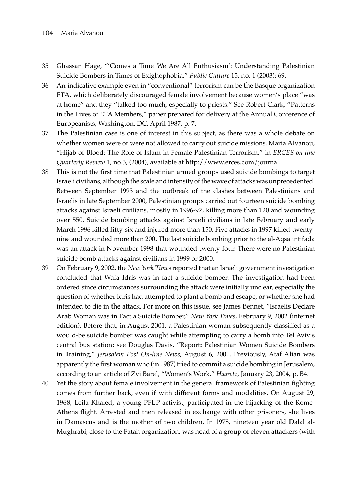#### 104 Maria Alvanou

- 35 Ghassan Hage, "'Comes a Time We Are All Enthusiasm': Understanding Palestinian Suicide Bombers in Times of Exighophobia," *Public Culture* 15, no. 1 (2003): 69.
- 36 An indicative example even in "conventional" terrorism can be the Basque organization ETA, which deliberately discouraged female involvement because women's place "was at home" and they "talked too much, especially to priests." See Robert Clark, "Patterns in the Lives of ETA Members," paper prepared for delivery at the Annual Conference of Europeanists, Washington. DC, April 1987, p. 7.
- 37 The Palestinian case is one of interest in this subject, as there was a whole debate on whether women were or were not allowed to carry out suicide missions. Maria Alvanou, "Hijab of Blood: The Role of Islam in Female Palestinian Terrorism," in *ERCES on line Quarterly Review* 1, no.3, (2004), available at http://www.erces.com/journal.
- 38 This is not the first time that Palestinian armed groups used suicide bombings to target Israeli civilians, although the scale and intensity of the wave of attacks was unprecedented. Between September 1993 and the outbreak of the clashes between Palestinians and Israelis in late September 2000, Palestinian groups carried out fourteen suicide bombing attacks against Israeli civilians, mostly in 1996-97, killing more than 120 and wounding over 550. Suicide bombing attacks against Israeli civilians in late February and early March 1996 killed fifty-six and injured more than 150. Five attacks in 1997 killed twentynine and wounded more than 200. The last suicide bombing prior to the al-Aqsa intifada was an attack in November 1998 that wounded twenty-four. There were no Palestinian suicide bomb attacks against civilians in 1999 or 2000.
- 39 On February 9, 2002, the *New York Times* reported that an Israeli government investigation concluded that Wafa Idris was in fact a suicide bomber. The investigation had been ordered since circumstances surrounding the attack were initially unclear, especially the question of whether Idris had attempted to plant a bomb and escape, or whether she had intended to die in the attack. For more on this issue, see James Bennet, "Israelis Declare Arab Woman was in Fact a Suicide Bomber," *New York Times*, February 9, 2002 (internet edition). Before that, in August 2001, a Palestinian woman subsequently classified as a would-be suicide bomber was caught while attempting to carry a bomb into Tel Aviv's central bus station; see Douglas Davis, "Report: Palestinian Women Suicide Bombers in Training," *Jerusalem Post On-line News*, August 6, 2001. Previously, Ataf Alian was apparently the first woman who (in 1987) tried to commit a suicide bombing in Jerusalem, according to an article of Zvi Barel, "Women's Work," *Haaretz*, January 23, 2004, p. B4.
- 40 Yet the story about female involvement in the general framework of Palestinian fighting comes from further back, even if with different forms and modalities. On August 29, 1968, Leila Khaled, a young PFLP activist, participated in the hijacking of the Rome-Athens flight. Arrested and then released in exchange with other prisoners, she lives in Damascus and is the mother of two children. In 1978, nineteen year old Dalal al-Mughrabi, close to the Fatah organization, was head of a group of eleven attackers (with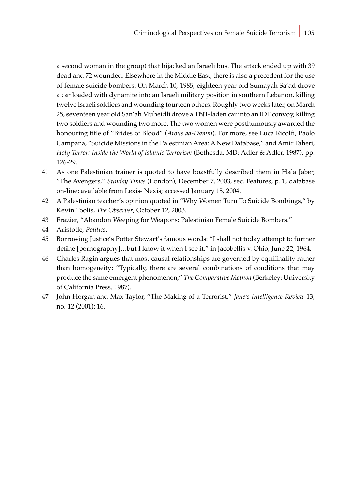a second woman in the group) that hijacked an Israeli bus. The attack ended up with 39 dead and 72 wounded. Elsewhere in the Middle East, there is also a precedent for the use of female suicide bombers. On March 10, 1985, eighteen year old Sumayah Sa'ad drove a car loaded with dynamite into an Israeli military position in southern Lebanon, killing twelve Israeli soldiers and wounding fourteen others. Roughly two weeks later, on March 25, seventeen year old San'ah Muheidli drove a TNT-laden car into an IDF convoy, killing two soldiers and wounding two more. The two women were posthumously awarded the honouring title of "Brides of Blood" (*Arous ad-Damm*). For more, see Luca Ricolfi, Paolo Campana, "Suicide Missions in the Palestinian Area: A New Database," and Amir Taheri, *Holy Terror: Inside the World of Islamic Terrorism* (Bethesda, MD: Adler & Adler, 1987), pp. 126-29.

- 41 As one Palestinian trainer is quoted to have boastfully described them in Hala Jaber, "The Avengers," *Sunday Times* (London), December 7, 2003, sec. Features, p. 1, database on-line; available from Lexis- Nexis; accessed January 15, 2004.
- 42 A Palestinian teacher's opinion quoted in "Why Women Turn To Suicide Bombings," by Kevin Toolis, *The Observer*, October 12, 2003.
- 43 Frazier, "Abandon Weeping for Weapons: Palestinian Female Suicide Bombers."
- 44 Aristotle, *Politics*.
- 45 Borrowing Justice's Potter Stewart's famous words: "I shall not today attempt to further define [pornography]…but I know it when I see it," in Jacobellis v. Ohio, June 22, 1964.
- 46 Charles Ragin argues that most causal relationships are governed by equifinality rather than homogeneity: "Typically, there are several combinations of conditions that may produce the same emergent phenomenon," *The Comparative Method* (Berkeley: University of California Press, 1987).
- 47 John Horgan and Max Taylor, "The Making of a Terrorist," *Jane's Intelligence Review* 13, no. 12 (2001): 16.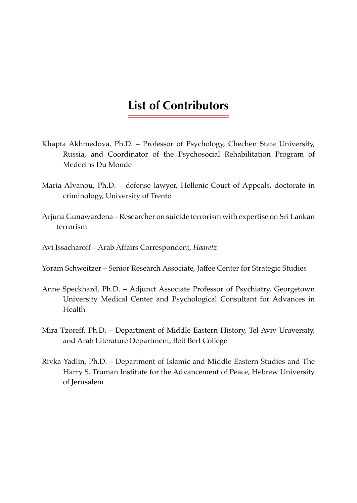# **List of Contributors**

- Khapta Akhmedova, Ph.D. Professor of Psychology, Chechen State University, Russia, and Coordinator of the Psychosocial Rehabilitation Program of Medecins Du Monde
- Maria Alvanou, Ph.D. defense lawyer, Hellenic Court of Appeals, doctorate in criminology, University of Trento
- Arjuna Gunawardena Researcher on suicide terrorism with expertise on Sri Lankan terrorism
- Avi Issacharoff Arab Affairs Correspondent, *Haaretz*
- Yoram Schweitzer Senior Research Associate, Jaffee Center for Strategic Studies
- Anne Speckhard, Ph.D. Adjunct Associate Professor of Psychiatry, Georgetown University Medical Center and Psychological Consultant for Advances in Health
- Mira Tzoreff, Ph.D. Department of Middle Eastern History, Tel Aviv University, and Arab Literature Department, Beit Berl College
- Rivka Yadlin, Ph.D. Department of Islamic and Middle Eastern Studies and The Harry S. Truman Institute for the Advancement of Peace, Hebrew University of Jerusalem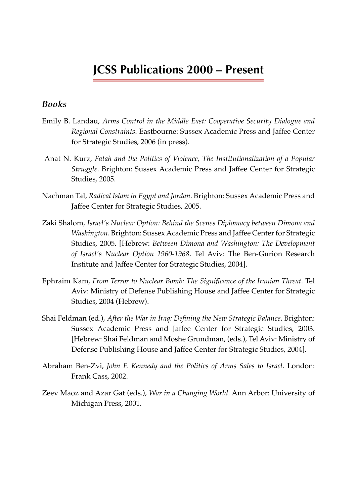# **JCSS Publications 2000 – Present**

### *Books*

- Emily B. Landau, *Arms Control in the Middle East: Cooperative Security Dialogue and Regional Constraints*. Eastbourne: Sussex Academic Press and Jaffee Center for Strategic Studies, 2006 (in press).
- Anat N. Kurz, *Fatah and the Politics of Violence, The Institutionalization of a Popular Struggle*. Brighton: Sussex Academic Press and Jaffee Center for Strategic Studies, 2005.
- Nachman Tal, *Radical Islam in Egypt and Jordan*. Brighton: Sussex Academic Press and Jaffee Center for Strategic Studies, 2005.
- Zaki Shalom, *Israel's Nuclear Option: Behind the Scenes Diplomacy between Dimona and Washington*. Brighton: Sussex Academic Press and Jaffee Center for Strategic Studies, 2005. [Hebrew: *Between Dimona and Washington: The Development of Israel's Nuclear Option 1960-1968*. Tel Aviv: The Ben-Gurion Research Institute and Jaffee Center for Strategic Studies, 2004].
- Ephraim Kam, *From Terror to Nuclear Bomb: The Significance of the Iranian Threat*. Tel Aviv: Ministry of Defense Publishing House and Jaffee Center for Strategic Studies, 2004 (Hebrew).
- Shai Feldman (ed.), *After the War in Iraq: Defining the New Strategic Balance*. Brighton: Sussex Academic Press and Jaffee Center for Strategic Studies, 2003. [Hebrew: Shai Feldman and Moshe Grundman, (eds.), Tel Aviv: Ministry of Defense Publishing House and Jaffee Center for Strategic Studies, 2004].
- Abraham Ben-Zvi, *John F. Kennedy and the Politics of Arms Sales to Israel*. London: Frank Cass, 2002.
- Zeev Maoz and Azar Gat (eds.), *War in a Changing World*. Ann Arbor: University of Michigan Press, 2001.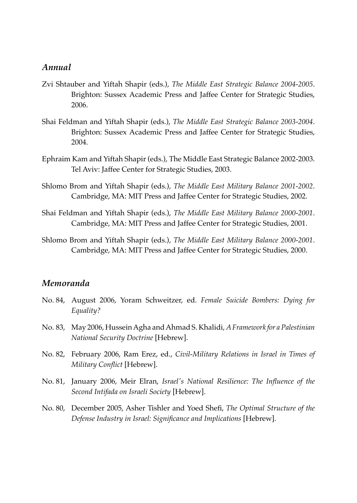## *Annual*

- Zvi Shtauber and Yiftah Shapir (eds.), *The Middle East Strategic Balance 2004-2005*. Brighton: Sussex Academic Press and Jaffee Center for Strategic Studies, 2006.
- Shai Feldman and Yiftah Shapir (eds.), *The Middle East Strategic Balance 2003-2004*. Brighton: Sussex Academic Press and Jaffee Center for Strategic Studies, 2004.
- Ephraim Kam and Yiftah Shapir (eds.), The Middle East Strategic Balance 2002-2003. Tel Aviv: Jaffee Center for Strategic Studies, 2003.
- Shlomo Brom and Yiftah Shapir (eds.), *The Middle East Military Balance 2001-2002*. Cambridge, MA: MIT Press and Jaffee Center for Strategic Studies, 2002.
- Shai Feldman and Yiftah Shapir (eds.), *The Middle East Military Balance 2000-2001*. Cambridge, MA: MIT Press and Jaffee Center for Strategic Studies, 2001.
- Shlomo Brom and Yiftah Shapir (eds.), *The Middle East Military Balance 2000-2001*. Cambridge, MA: MIT Press and Jaffee Center for Strategic Studies, 2000.

## *Memoranda*

- No. 84, August 2006, Yoram Schweitzer, ed. *Female Suicide Bombers: Dying for Equality?*
- No. 83, May 2006, Hussein Agha and Ahmad S. Khalidi, *A Framework for a Palestinian National Security Doctrine* [Hebrew].
- No. 82, February 2006, Ram Erez, ed., *Civil-Military Relations in Israel in Times of Military Conflict* [Hebrew].
- No. 81, January 2006, Meir Elran, *Israel's National Resilience: The Influence of the Second Intifada on Israeli Society* [Hebrew].
- No. 80, December 2005, Asher Tishler and Yoed Shefi, *The Optimal Structure of the Defense Industry in Israel: Significance and Implications* [Hebrew].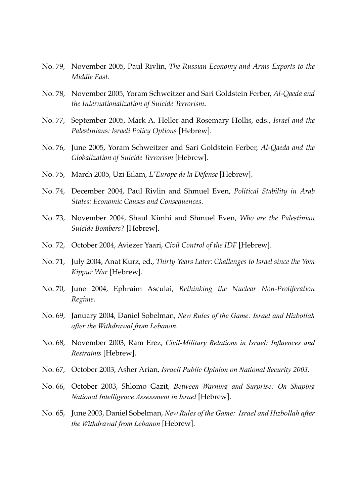- No. 79, November 2005, Paul Rivlin, *The Russian Economy and Arms Exports to the Middle East*.
- No. 78, November 2005, Yoram Schweitzer and Sari Goldstein Ferber, *Al-Qaeda and the Internationalization of Suicide Terrorism*.
- No. 77, September 2005, Mark A. Heller and Rosemary Hollis, eds., *Israel and the Palestinians: Israeli Policy Options* [Hebrew].
- No. 76, June 2005, Yoram Schweitzer and Sari Goldstein Ferber, *Al-Qaeda and the Globalization of Suicide Terrorism* [Hebrew].
- No. 75, March 2005, Uzi Eilam, *L'Europe de la Défense* [Hebrew].
- No. 74, December 2004, Paul Rivlin and Shmuel Even, *Political Stability in Arab States: Economic Causes and Consequences*.
- No. 73, November 2004, Shaul Kimhi and Shmuel Even, *Who are the Palestinian Suicide Bombers?* [Hebrew].
- No. 72, October 2004, Aviezer Yaari, *Civil Control of the IDF* [Hebrew].
- No. 71, July 2004, Anat Kurz, ed., *Thirty Years Later: Challenges to Israel since the Yom Kippur War* [Hebrew].
- No. 70, June 2004, Ephraim Asculai, *Rethinking the Nuclear Non-Proliferation Regime*.
- No. 69, January 2004, Daniel Sobelman, *New Rules of the Game: Israel and Hizbollah after the Withdrawal from Lebanon*.
- No. 68, November 2003, Ram Erez, *Civil-Military Relations in Israel: Influences and Restraints* [Hebrew].
- No. 67, October 2003, Asher Arian, *Israeli Public Opinion on National Security 2003*.
- No. 66, October 2003, Shlomo Gazit, *Between Warning and Surprise: On Shaping National Intelligence Assessment in Israel* [Hebrew].
- No. 65, June 2003, Daniel Sobelman, *New Rules of the Game: Israel and Hizbollah after the Withdrawal from Lebanon* [Hebrew].